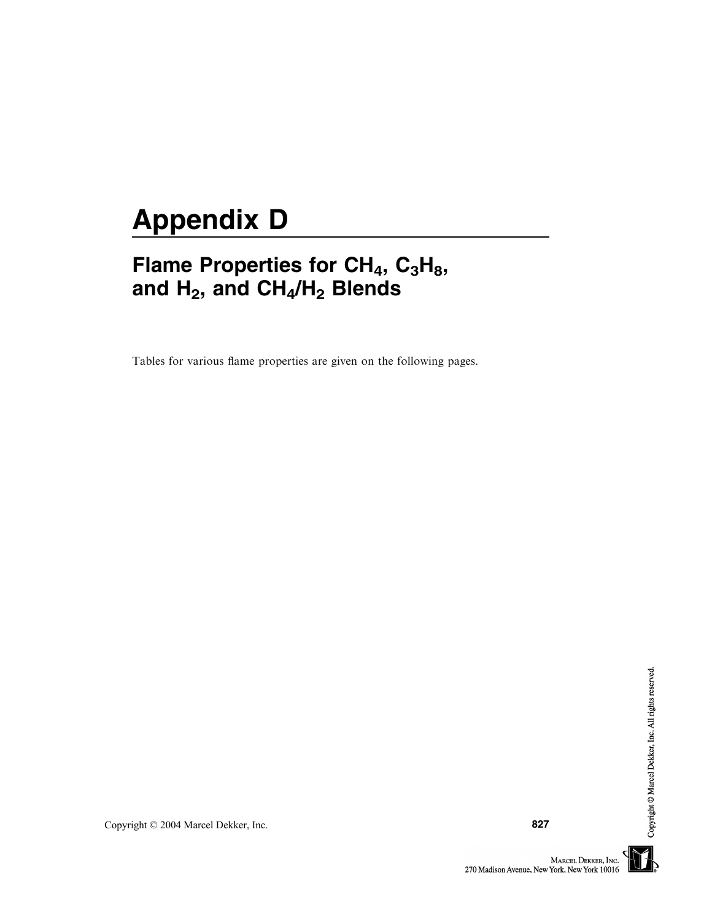## Appendix D

## Flame Properties for  $CH_4$ ,  $C_3H_8$ , and  $H_2$ , and  $CH_4/H_2$  Blends

Tables for various flame properties are given on the following pages.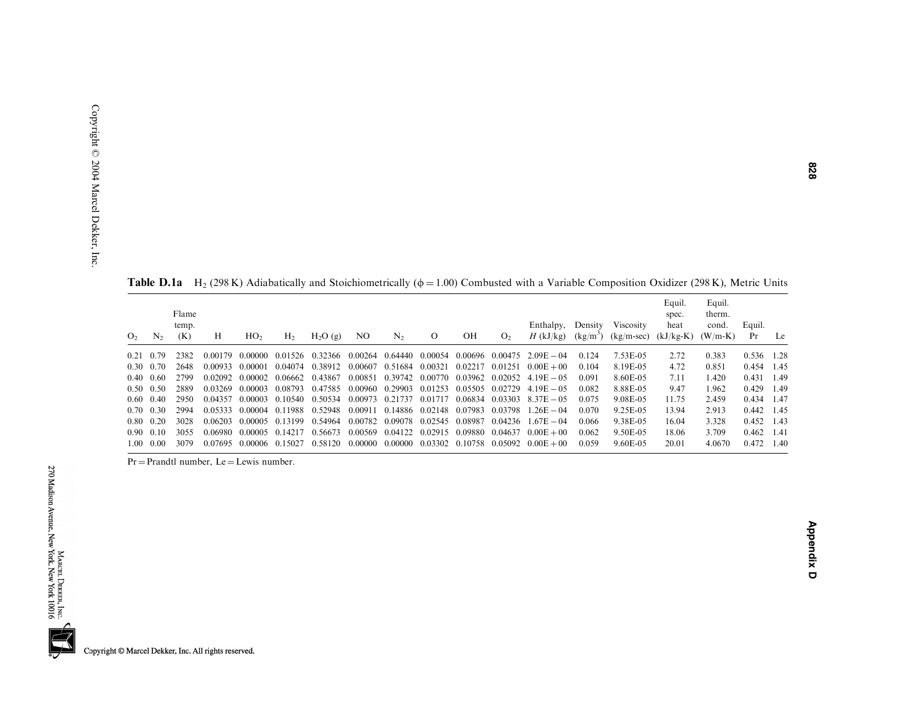| O <sub>2</sub> | $N_{2}$   | Flame<br>temp.<br>(K) | Н       | HO <sub>2</sub> | H <sub>2</sub>  | H <sub>2</sub> O(g)                     | NO.     | $N_{2}$                                 | $\circ$ | OН      | O <sub>2</sub> | Enthalpy,<br>$H$ (kJ/kg)                                                                               | Density | Viscosity<br>$(kg/m3)$ $(kg/m-sec)$ | Equil.<br>spec.<br>heat<br>$(kJ/kg-K)$ | Equil.<br>therm.<br>cond.<br>$(W/m-K)$ | Equil.<br>Pr | Le   |
|----------------|-----------|-----------------------|---------|-----------------|-----------------|-----------------------------------------|---------|-----------------------------------------|---------|---------|----------------|--------------------------------------------------------------------------------------------------------|---------|-------------------------------------|----------------------------------------|----------------------------------------|--------------|------|
| 0.21           | 0.79      | 2382                  | 0.00179 | -0.00000        | 0.01526         | 0.32366                                 |         | 0.00264 0.64440                         | 0.00054 | 0.00696 | 0.00475        | $2.09E - 04$                                                                                           | 0.124   | 7.53E-05                            | 2.72                                   | 0.383                                  | 0.536 1.28   |      |
| 0.30           | 0.70      | 2648                  | 0.00933 | 0.00001         |                 | 0.04074 0.38912                         | 0.00607 | 0.51684 0.00321                         |         | 0.02217 | 0.01251        | $0.00E + 00$                                                                                           | 0.104   | 8.19E-05                            | 4.72                                   | 0.851                                  | 0.454 1.45   |      |
| 0.40           | 0.60      | 2799                  |         | 0.02092 0.00002 | 0.06662         | 0.43867                                 | 0.00851 | 0.39742 0.00770                         |         | 0.03962 | 0.02052        | $4.19E - 0.5$                                                                                          | 0.091   | 8.60E-05                            | 7.11                                   | 1.420                                  | $0.431$ 1.49 |      |
| 0.50           | 0.50      | 2889                  | 0.03269 | - 0.00003 -     |                 | 0.08793 0.47585                         |         | 0.00960 0.29903 0.01253 0.05505 0.02729 |         |         |                | $4.19E - 0.5$                                                                                          | 0.082   | 8.88E-05                            | 9.47                                   | 1.962                                  | 0.429 1.49   |      |
| 0.60           | 0.40      | 2950                  | 0.04357 | 0.00003 0.10540 |                 |                                         |         |                                         |         |         |                | $0.50534$ $0.00973$ $0.21737$ $0.01717$ $0.06834$ $0.03303$ $8.37E-0.5$                                | 0.075   | 9.08E-05                            | 11.75                                  | 2.459                                  | 0.434 1.47   |      |
| 0.70           | 0.30      | 2994                  | 0.05333 | 0.00004 0.11988 |                 | 0.52948                                 |         | 0.00911 0.14886 0.02148 0.07983         |         |         | 0.03798        | $1.26E - 04$                                                                                           | 0.070   | 9.25E-05                            | 13.94                                  | 2.913                                  | $0.442$ 1.45 |      |
| 0.80           | 0.20      | 3028                  | 0.06203 |                 | 0.00005 0.13199 | 0.54964 0.00782 0.09078 0.02545 0.08987 |         |                                         |         |         | 0.04236        | $.67E - 04$                                                                                            | 0.066   | 9.38E-05                            | 16.04                                  | 3.328                                  | $0.452$ 1.43 |      |
| 0.90           | 0.10      | 3055                  | 0.06980 | 0.00005 0.14217 |                 | 0.56673                                 |         | 0.00569 0.04122 0.02915 0.09880         |         |         | 0.04637        | $0.00E + 00$                                                                                           | 0.062   | 9.50E-05                            | 18.06                                  | 3.709                                  | $0.462$ 1.41 |      |
|                | 1.00 0.00 | 3079                  |         |                 |                 |                                         |         |                                         |         |         |                | $0.07695$ $0.00006$ $0.15027$ $0.58120$ $0.00000$ $0.00000$ $0.03302$ $0.10758$ $0.05092$ $0.00E + 00$ | 0.059   | 9.60E-05                            | 20.01                                  | 4.0670                                 | 0.472        | 1.40 |

**Table D.1a** H<sub>2</sub> (298 K) Adiabatically and Stoichiometrically ( $\phi$  = 1.00) Combusted with a Variable Composition Oxidizer (298 K), Metric Units

 $Pr = Pr$  andtl number,  $Le = Lewis$  number.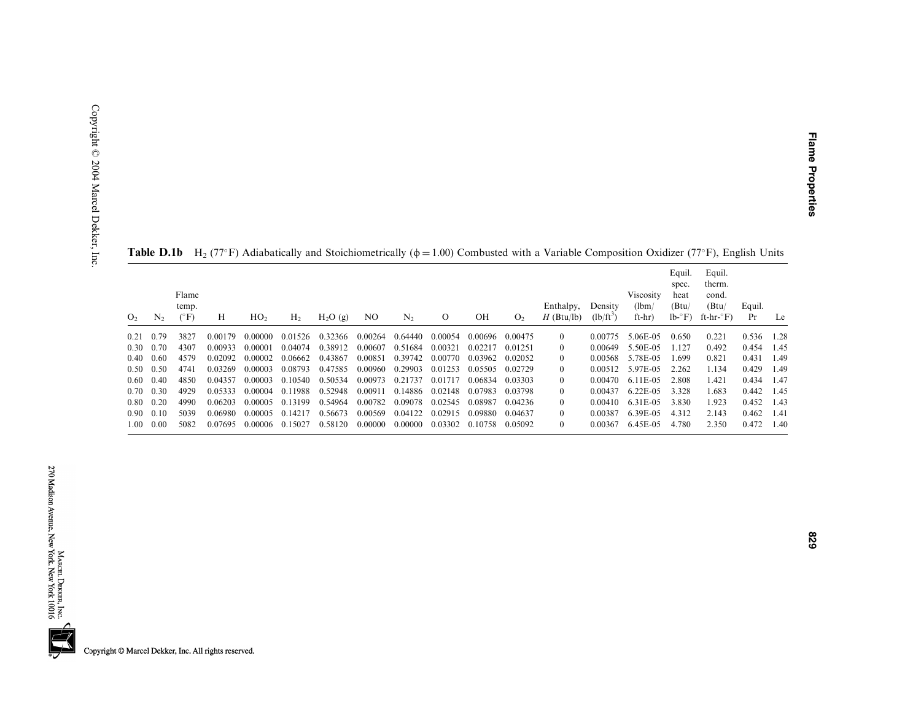| 0.21<br>0.30      | N <sub>2</sub> | Flame<br>temp.<br>$(^{\circ}F)$ | H       | HO <sub>2</sub> | H <sub>2</sub> | H <sub>2</sub> O(g) | NO.     | N <sub>2</sub> | $\Omega$ | OН      | O <sub>2</sub> | Enthalpy,<br>$H$ (Btu/lb) | Density<br>$(lb/ft^3)$ | <b>Viscosity</b><br>(lbm)<br>$ft-hr)$ | Equil.<br>spec.<br>heat<br>(Btu/<br>$lb - F$ | Equil.<br>therm.<br>cond.<br>(Btu)<br>ft-hr- $\mathrm{F}$ ) | Equil.<br>Pr | Le   |
|-------------------|----------------|---------------------------------|---------|-----------------|----------------|---------------------|---------|----------------|----------|---------|----------------|---------------------------|------------------------|---------------------------------------|----------------------------------------------|-------------------------------------------------------------|--------------|------|
| 0.40              | 0.79           | 3827                            | 0.00179 | 0.00000         | 0.01526        | 0.32366             | 0.00264 | 0.64440        | 0.00054  | 0.00696 | 0.00475        | $\theta$                  | 0.00775                | 5.06E-05                              | 0.650                                        | 0.221                                                       | 0.536        | 1.28 |
|                   | 0.70           | 4307                            | 0.00933 | 0.00001         | 0.04074        | 0.38912             | 0.00607 | 0.51684        | 0.00321  | 0.02217 | 0.01251        | 0                         | 0.00649                | 5.50E-05                              | 1.127                                        | 0.492                                                       | 0.454        | 1.45 |
|                   | 0.60           | 4579                            | 0.02092 | 0.00002         | 0.06662        | 0.43867             | 0.00851 | 0.39742        | 0.00770  | 0.03962 | 0.02052        | $\theta$                  | 0.00568                | 5.78E-05                              | 1.699                                        | 0.821                                                       | 0.431        | 1.49 |
| $0.50 \quad 0.50$ |                | 4741                            | 0.03269 | 0.00003         | 0.08793        | 0.47585             | 0.00960 | 0.29903        | 0.01253  | 0.05505 | 0.02729        | 0                         | 0.00512                | 5.97E-05                              | 2.262                                        | 1.134                                                       | 0.429        | 1.49 |
| 0.40<br>$0.60 -$  |                | 48.50                           | 0.04357 | 0.00003         | 0.10540        | 0.50534             | 0.00973 | 0.21737        | 0.01717  | 0.06834 | 0.03303        | 0                         | 0.00470                | $6.11E-0.5$                           | 2.808                                        | 1.421                                                       | 0.434        | 1.47 |
| $0.70 \quad 0.30$ |                | 4929                            | 0.05333 | 0.00004         | 0.11988        | 0.52948             | 0.00911 | 0.14886        | 0.02148  | 0.07983 | 0.03798        | $\theta$                  | 0.00437                | $6.22E-0.5$                           | 3.328                                        | 1.683                                                       | 0.442        | 1.45 |
| 0.20<br>0.80      |                | 4990                            | 0.06203 | 0.00005         | 0.13199        | 0.54964             | 0.00782 | 0.09078        | 0.02545  | 0.08987 | 0.04236        | $\theta$                  | 0.00410                | 6.31E-05                              | 3.830                                        | 1.923                                                       | 0.452        | 1.43 |
| 0.90 <sub>1</sub> | 0.10           | 5039                            | 0.06980 | 0.00005         | 0.14217        | 0.56673             | 0.00569 | 0.04122        | 0.02915  | 0.09880 | 0.04637        | 0                         | 0.00387                | 6.39E-05                              | 4.312                                        | 2.143                                                       | 0.462        | 1.41 |
| 1.00              | 0.00           | 5082                            | 0.07695 | 0.00006         | 0.15027        | 0.58120             | 0.00000 | 0.00000        | 0.03302  | 0.10758 | 0.05092        | 0                         | 0.00367                | 6.45E-05                              | 4.780                                        | 2.350                                                       | 0.472        | 1.40 |

**Table D.1b** H<sub>2</sub> (77°F) Adiabatically and Stoichiometrically ( $\phi$  = 1.00) Combusted with a Variable Composition Oxidizer (77°F), English Units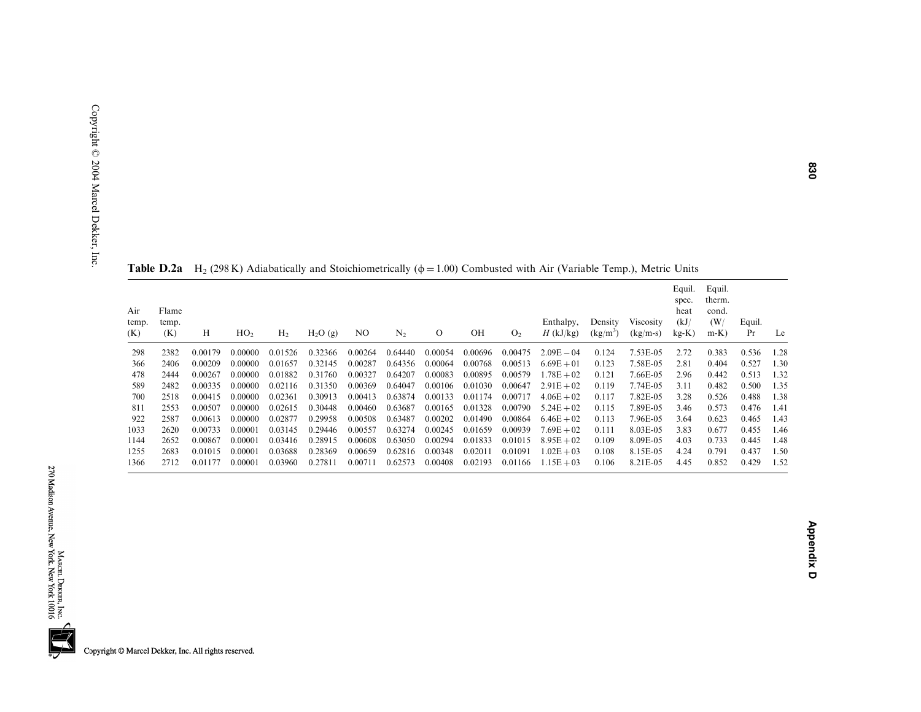| Air<br>temp.<br>(K) | Flame<br>temp.<br>(K) | Н       | HO <sub>2</sub> | H <sub>2</sub> | $H_2O(g)$ | NO.     | $N_{2}$ | О       | OН      | O <sub>2</sub> | Enthalpy,<br>$H$ (kJ/kg) | Density<br>$(kg/m^3)$ | <b>Viscosity</b><br>$(kg/m-s)$ | Equil.<br>spec.<br>heat<br>(kJ)<br>$kg-K$ ) | Equil.<br>therm.<br>cond.<br>(W/<br>$m-K$ ) | Equil.<br>Pr | Le   |
|---------------------|-----------------------|---------|-----------------|----------------|-----------|---------|---------|---------|---------|----------------|--------------------------|-----------------------|--------------------------------|---------------------------------------------|---------------------------------------------|--------------|------|
| 298                 | 2382                  | 0.00179 | 0.00000         | 0.01526        | 0.32366   | 0.00264 | 0.64440 | 0.00054 | 0.00696 | 0.00475        | $2.09E - 04$             | 0.124                 | 7.53E-05                       | 2.72                                        | 0.383                                       | 0.536        | 1.28 |
| 366                 | 2406                  | 0.00209 | 0.00000         | 0.01657        | 0.32145   | 0.00287 | 0.64356 | 0.00064 | 0.00768 | 0.00513        | $6.69E + 01$             | 0.123                 | 7.58E-05                       | 2.81                                        | 0.404                                       | 0.527        | 1.30 |
| 478                 | 2444                  | 0.00267 | 0.00000         | 0.01882        | 0.31760   | 0.00327 | 0.64207 | 0.00083 | 0.00895 | 0.00579        | $1.78E + 02$             | 0.121                 | 7.66E-05                       | 2.96                                        | 0.442                                       | 0.513        | 1.32 |
| 589                 | 2482                  | 0.00335 | 0.00000         | 0.02116        | 0.31350   | 0.00369 | 0.64047 | 0.00106 | 0.01030 | 0.00647        | $2.91E + 02$             | 0.119                 | 7.74E-05                       | 3.11                                        | 0.482                                       | 0.500        | 1.35 |
| 700                 | 2518                  | 0.00415 | 0.00000         | 0.02361        | 0.30913   | 0.00413 | 0.63874 | 0.00133 | 0.01174 | 0.00717        | $4.06E + 02$             | 0.117                 | 7.82E-05                       | 3.28                                        | 0.526                                       | 0.488        | 1.38 |
| 811                 | 2553                  | 0.00507 | 0.00000         | 0.02615        | 0.30448   | 0.00460 | 0.63687 | 0.00165 | 0.01328 | 0.00790        | $5.24E + 02$             | 0.115                 | 7.89E-05                       | 3.46                                        | 0.573                                       | 0.476        | 1.41 |
| 922                 | 2587                  | 0.00613 | 0.00000         | 0.02877        | 0.29958   | 0.00508 | 0.63487 | 0.00202 | 0.01490 | 0.00864        | $6.46E + 02$             | 0.113                 | 7.96E-05                       | 3.64                                        | 0.623                                       | 0.465        | 1.43 |
| 1033                | 2620                  | 0.00733 | 0.00001         | 0.03145        | 0.29446   | 0.00557 | 0.63274 | 0.00245 | 0.01659 | 0.00939        | $7.69E + 02$             | 0.111                 | 8.03E-05                       | 3.83                                        | 0.677                                       | 0.455        | 1.46 |
| 1144                | 2652                  | 0.00867 | 0.00001         | 0.03416        | 0.28915   | 0.00608 | 0.63050 | 0.00294 | 0.01833 | 0.01015        | $8.95E + 02$             | 0.109                 | 8.09E-05                       | 4.03                                        | 0.733                                       | 0.445        | 1.48 |
| 1255                | 2683                  | 0.01015 | 0.00001         | 0.03688        | 0.28369   | 0.00659 | 0.62816 | 0.00348 | 0.02011 | 0.01091        | $1.02E + 03$             | 0.108                 | 8.15E-05                       | 4.24                                        | 0.791                                       | 0.437        | 1.50 |
| 1366                | 2712                  | 0.01177 | 0.00001         | 0.03960        | 0.27811   | 0.00711 | 0.62573 | 0.00408 | 0.02193 | 0.01166        | $1.15E + 03$             | 0.106                 | 8.21E-05                       | 4.45                                        | 0.852                                       | 0.429        | 1.52 |
|                     |                       |         |                 |                |           |         |         |         |         |                |                          |                       |                                |                                             |                                             |              |      |

**Table D.2a** H<sub>2</sub> (298 K) Adiabatically and Stoichiometrically ( $\phi$  = 1.00) Combusted with Air (Variable Temp.), Metric Units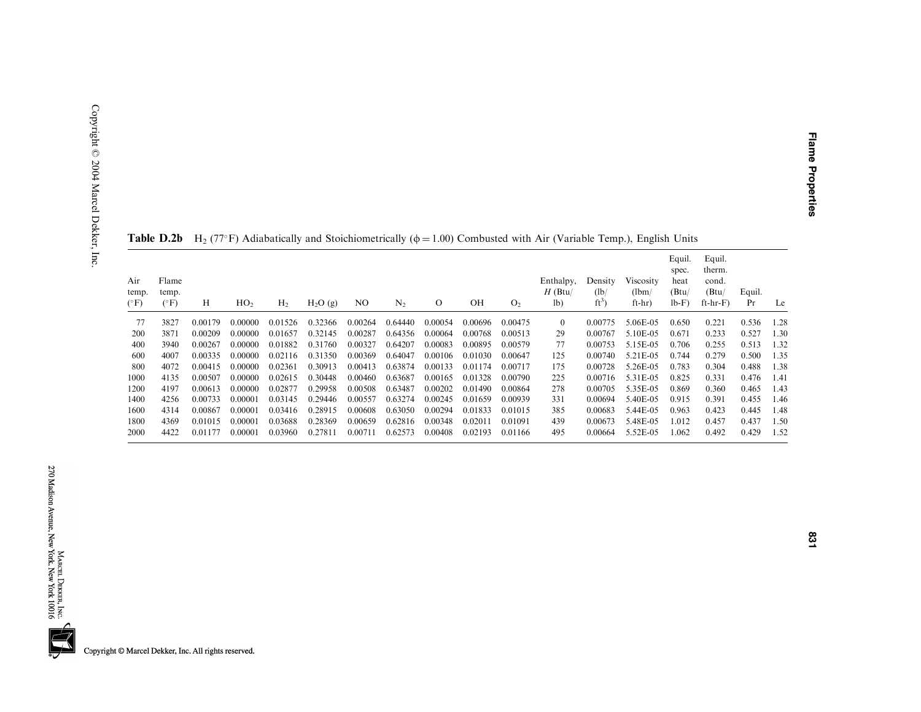| Air<br>temp.<br>$(^{\circ}F)$ | Flame<br>temp.<br>$(^{\circ}F)$ | Н       | HO <sub>2</sub> | H <sub>2</sub> | $H_2O(g)$ | NO.     | N <sub>2</sub> | $\circ$ | OН      | O <sub>2</sub> | Enthalpy,<br>$H$ (Btu/<br>1 <sub>b</sub> | Density<br>(lb)<br>$ft^3$ | <b>Viscosity</b><br>(lbm)<br>$ft-hr)$ | Equil.<br>spec.<br>heat<br>(Btu)<br>$lb-F)$ | Equil.<br>therm.<br>cond.<br>(Btu/<br>$ft-hr-F)$ | Equil.<br>Pr | Le    |
|-------------------------------|---------------------------------|---------|-----------------|----------------|-----------|---------|----------------|---------|---------|----------------|------------------------------------------|---------------------------|---------------------------------------|---------------------------------------------|--------------------------------------------------|--------------|-------|
| 77                            | 3827                            | 0.00179 | 0.00000         | 0.01526        | 0.32366   | 0.00264 | 0.64440        | 0.00054 | 0.00696 | 0.00475        | $\theta$                                 | 0.00775                   | 5.06E-05                              | 0.650                                       | 0.221                                            | 0.536        | .28   |
| 200                           | 3871                            | 0.00209 | 0.00000         | 0.01657        | 0.32145   | 0.00287 | 0.64356        | 0.00064 | 0.00768 | 0.00513        | 29                                       | 0.00767                   | 5.10E-05                              | 0.671                                       | 0.233                                            | 0.527        | 1.30  |
| 400                           | 3940                            | 0.00267 | 0.00000         | 0.01882        | 0.31760   | 0.00327 | 0.64207        | 0.00083 | 0.00895 | 0.00579        | 77                                       | 0.00753                   | 5.15E-05                              | 0.706                                       | 0.255                                            | 0.513        | 1.32  |
| 600                           | 4007                            | 0.00335 | 0.00000         | 0.02116        | 0.31350   | 0.00369 | 0.64047        | 0.00106 | 0.01030 | 0.00647        | 125                                      | 0.00740                   | 5.21E-05                              | 0.744                                       | 0.279                                            | 0.500        | 1.35  |
| 800                           | 4072                            | 0.00415 | 0.00000         | 0.02361        | 0.30913   | 0.00413 | 0.63874        | 0.00133 | 0.01174 | 0.00717        | 175                                      | 0.00728                   | 5.26E-05                              | 0.783                                       | 0.304                                            | 0.488        | l .38 |
| 1000                          | 4135                            | 0.00507 | 0.00000         | 0.02615        | 0.30448   | 0.00460 | 0.63687        | 0.00165 | 0.01328 | 0.00790        | 225                                      | 0.00716                   | 5.31E-05                              | 0.825                                       | 0.331                                            | 0.476        | 1.41  |
| 1200                          | 4197                            | 0.00613 | 0.00000         | 0.02877        | 0.29958   | 0.00508 | 0.63487        | 0.00202 | 0.01490 | 0.00864        | 278                                      | 0.00705                   | 5.35E-05                              | 0.869                                       | 0.360                                            | 0.465        | 1.43  |
| 1400                          | 4256                            | 0.00733 | 0.00001         | 0.03145        | 0.29446   | 0.00557 | 0.63274        | 0.00245 | 0.01659 | 0.00939        | 331                                      | 0.00694                   | 5.40E-05                              | 0.915                                       | 0.391                                            | 0.455        | .46   |
| 1600                          | 4314                            | 0.00867 | 0.00001         | 0.03416        | 0.28915   | 0.00608 | 0.63050        | 0.00294 | 0.01833 | 0.01015        | 385                                      | 0.00683                   | 5.44E-05                              | 0.963                                       | 0.423                                            | 0.445        | 1.48  |
| 1800                          | 4369                            | 0.01015 | 0.00001         | 0.03688        | 0.28369   | 0.00659 | 0.62816        | 0.00348 | 0.02011 | 0.01091        | 439                                      | 0.00673                   | 5.48E-05                              | 1.012                                       | 0.457                                            | 0.437        | 1.50  |
| 2000                          | 4422                            | 0.01177 | 0.00001         | 0.03960        | 0.27811   | 0.00711 | 0.62573        | 0.00408 | 0.02193 | 0.01166        | 495                                      | 0.00664                   | 5.52E-05                              | 1.062                                       | 0.492                                            | 0.429        | 1.52  |

| <b>Table D.2b</b> H <sub>2</sub> (77°F) Adiabatically and Stoichiometrically ( $\phi$ = 1.00) Combusted with Air (Variable Temp.), English Units |
|--------------------------------------------------------------------------------------------------------------------------------------------------|
|--------------------------------------------------------------------------------------------------------------------------------------------------|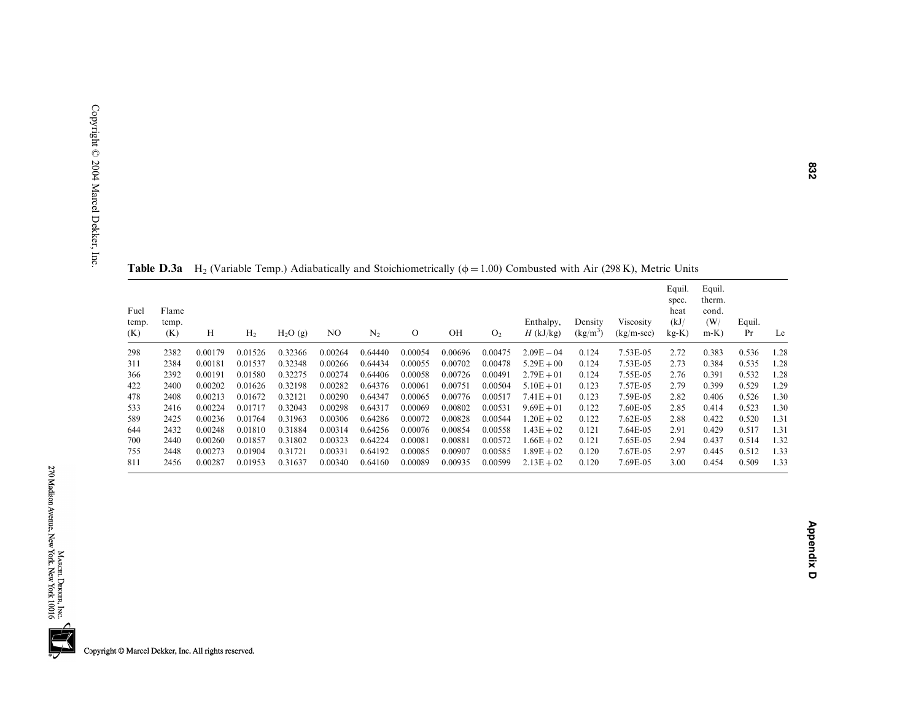| Table D.3a    | $H2$ (Variable Temp.) Adiabatically |  |
|---------------|-------------------------------------|--|
| Fuel<br>Flame |                                     |  |

ly and Stoichiometrically ( $\phi = 1.00$ ) Combusted with Air (298 K), Metric Units

| Fuel<br>temp.<br>(K) | Flame<br>temp.<br>(K) | Н       | H <sub>2</sub> | H <sub>2</sub> O(g) | N <sub>O</sub> | $\rm N_2$ | O       | OH      | O <sub>2</sub> | Enthalpy,<br>$H$ (kJ/kg) | Density<br>$(kg/m^3)$ | Viscosity<br>$(kg/m-sec)$ | Equil.<br>spec.<br>heat<br>(kJ)<br>$kg-K)$ | Equil.<br>therm.<br>cond.<br>(W/<br>$m-K$ ) | Equil.<br>Pr | Le   |
|----------------------|-----------------------|---------|----------------|---------------------|----------------|-----------|---------|---------|----------------|--------------------------|-----------------------|---------------------------|--------------------------------------------|---------------------------------------------|--------------|------|
| 298                  | 2382                  | 0.00179 | 0.01526        | 0.32366             | 0.00264        | 0.64440   | 0.00054 | 0.00696 | 0.00475        | $2.09E - 04$             | 0.124                 | 7.53E-05                  | 2.72                                       | 0.383                                       | 0.536        | 1.28 |
| 311                  | 2384                  | 0.00181 | 0.01537        | 0.32348             | 0.00266        | 0.64434   | 0.00055 | 0.00702 | 0.00478        | $5.29E + 00$             | 0.124                 | 7.53E-05                  | 2.73                                       | 0.384                                       | 0.535        | 1.28 |
| 366                  | 2392                  | 0.00191 | 0.01580        | 0.32275             | 0.00274        | 0.64406   | 0.00058 | 0.00726 | 0.00491        | $2.79E + 01$             | 0.124                 | 7.55E-05                  | 2.76                                       | 0.391                                       | 0.532        | 1.28 |
| 422                  | 2400                  | 0.00202 | 0.01626        | 0.32198             | 0.00282        | 0.64376   | 0.00061 | 0.00751 | 0.00504        | $5.10E + 01$             | 0.123                 | 7.57E-05                  | 2.79                                       | 0.399                                       | 0.529        | 1.29 |
| 478                  | 2408                  | 0.00213 | 0.01672        | 0.32121             | 0.00290        | 0.64347   | 0.00065 | 0.00776 | 0.00517        | $7.41E + 01$             | 0.123                 | 7.59E-05                  | 2.82                                       | 0.406                                       | 0.526        | 1.30 |
| 533                  | 2416                  | 0.00224 | 0.01717        | 0.32043             | 0.00298        | 0.64317   | 0.00069 | 0.00802 | 0.00531        | $9.69E + 01$             | 0.122                 | 7.60E-05                  | 2.85                                       | 0.414                                       | 0.523        | 1.30 |
| 589                  | 2425                  | 0.00236 | 0.01764        | 0.31963             | 0.00306        | 0.64286   | 0.00072 | 0.00828 | 0.00544        | $1.20E + 02$             | 0.122                 | $7.62E-05$                | 2.88                                       | 0.422                                       | 0.520        | 1.31 |
| 644                  | 2432                  | 0.00248 | 0.01810        | 0.31884             | 0.00314        | 0.64256   | 0.00076 | 0.00854 | 0.00558        | $1.43E + 02$             | 0.121                 | 7.64E-05                  | 2.91                                       | 0.429                                       | 0.517        | 1.31 |
| 700                  | 2440                  | 0.00260 | 0.01857        | 0.31802             | 0.00323        | 0.64224   | 0.00081 | 0.00881 | 0.00572        | $1.66E + 02$             | 0.121                 | 7.65E-05                  | 2.94                                       | 0.437                                       | 0.514        | 1.32 |
| 755                  | 2448                  | 0.00273 | 0.01904        | 0.31721             | 0.00331        | 0.64192   | 0.00085 | 0.00907 | 0.00585        | $1.89E + 02$             | 0.120                 | 7.67E-05                  | 2.97                                       | 0.445                                       | 0.512        | 1.33 |
| 811                  | 2456                  | 0.00287 | 0.01953        | 0.31637             | 0.00340        | 0.64160   | 0.00089 | 0.00935 | 0.00599        | $2.13E + 02$             | 0.120                 | 7.69E-05                  | 3.00                                       | 0.454                                       | 0.509        | 1.33 |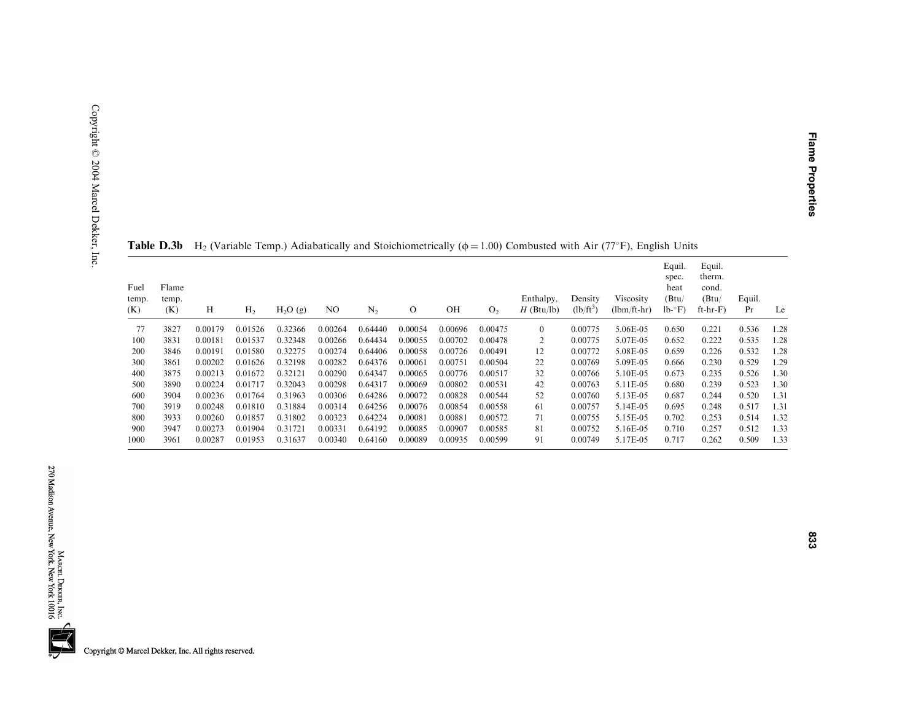| Fuel<br>temp.<br>(K) | Flame<br>temp.<br>(K) | Н       | H <sub>2</sub> | $H_2O(g)$ | NO.     | $N_2$   | $\Omega$ | OH      | O <sub>2</sub> | Enthalpy,<br>$H$ (Btu/lb) | Density<br>$(lb/ft^3)$ | Viscosity<br>$(lbm/ft-hr)$ | Equil.<br>spec.<br>heat<br>(Btu/<br>$lb - F$ | Equil.<br>therm.<br>cond.<br>(Btu)<br>$ft-hr-F)$ | Equil.<br>Pr | Le   |
|----------------------|-----------------------|---------|----------------|-----------|---------|---------|----------|---------|----------------|---------------------------|------------------------|----------------------------|----------------------------------------------|--------------------------------------------------|--------------|------|
| 77                   | 3827                  | 0.00179 | 0.01526        | 0.32366   | 0.00264 | 0.64440 | 0.00054  | 0.00696 | 0.00475        | $\mathbf{0}$              | 0.00775                | 5.06E-05                   | 0.650                                        | 0.221                                            | 0.536        | 1.28 |
| 100                  | 3831                  | 0.00181 | 0.01537        | 0.32348   | 0.00266 | 0.64434 | 0.00055  | 0.00702 | 0.00478        | 2                         | 0.00775                | 5.07E-05                   | 0.652                                        | 0.222                                            | 0.535        | 1.28 |
| 200                  | 3846                  | 0.00191 | 0.01580        | 0.32275   | 0.00274 | 0.64406 | 0.00058  | 0.00726 | 0.00491        | 12                        | 0.00772                | 5.08E-05                   | 0.659                                        | 0.226                                            | 0.532        | 1.28 |
| 300                  | 3861                  | 0.00202 | 0.01626        | 0.32198   | 0.00282 | 0.64376 | 0.00061  | 0.00751 | 0.00504        | 22                        | 0.00769                | 5.09E-05                   | 0.666                                        | 0.230                                            | 0.529        | 1.29 |
| 400                  | 3875                  | 0.00213 | 0.01672        | 0.32121   | 0.00290 | 0.64347 | 0.00065  | 0.00776 | 0.00517        | 32                        | 0.00766                | 5.10E-05                   | 0.673                                        | 0.235                                            | 0.526        | 1.30 |
| 500                  | 3890                  | 0.00224 | 0.01717        | 0.32043   | 0.00298 | 0.64317 | 0.00069  | 0.00802 | 0.00531        | 42                        | 0.00763                | 5.11E-05                   | 0.680                                        | 0.239                                            | 0.523        | 1.30 |
| 600                  | 3904                  | 0.00236 | 0.01764        | 0.31963   | 0.00306 | 0.64286 | 0.00072  | 0.00828 | 0.00544        | 52                        | 0.00760                | 5.13E-05                   | 0.687                                        | 0.244                                            | 0.520        | 1.31 |
| 700                  | 3919                  | 0.00248 | 0.01810        | 0.31884   | 0.00314 | 0.64256 | 0.00076  | 0.00854 | 0.00558        | 61                        | 0.00757                | 5.14E-05                   | 0.695                                        | 0.248                                            | 0.517        | 1.31 |
| 800                  | 3933                  | 0.00260 | 0.01857        | 0.31802   | 0.00323 | 0.64224 | 0.00081  | 0.00881 | 0.00572        | 71                        | 0.00755                | 5.15E-05                   | 0.702                                        | 0.253                                            | 0.514        | 1.32 |
| 900                  | 3947                  | 0.00273 | 0.01904        | 0.31721   | 0.00331 | 0.64192 | 0.00085  | 0.00907 | 0.00585        | 81                        | 0.00752                | 5.16E-05                   | 0.710                                        | 0.257                                            | 0.512        | 1.33 |
| 1000                 | 3961                  | 0.00287 | 0.01953        | 0.31637   | 0.00340 | 0.64160 | 0.00089  | 0.00935 | 0.00599        | 91                        | 0.00749                | 5.17E-05                   | 0.717                                        | 0.262                                            | 0.509        | 1.33 |

**Table D.3b** H<sub>2</sub> (Variable Temp.) Adiabatically and Stoichiometrically ( $\phi$  = 1.00) Combusted with Air (77°F), English Units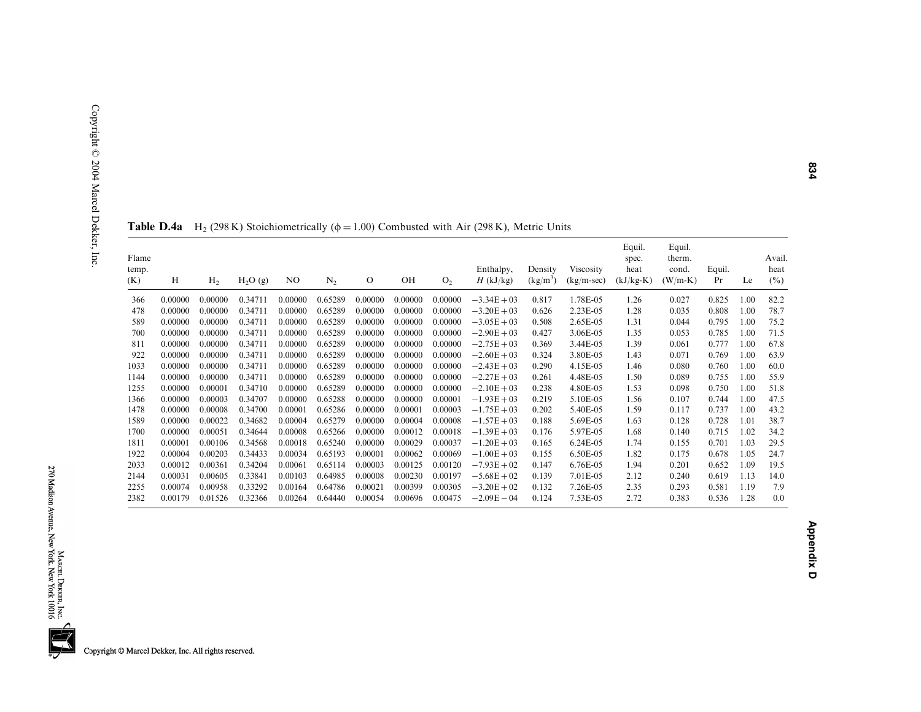| Flame<br>temp.<br>(K) | Н       | H <sub>2</sub> | H <sub>2</sub> O(g) | N <sub>O</sub> | N <sub>2</sub> | $\circ$ | OH      | O <sub>2</sub> | Enthalpy,<br>$H$ (kJ/kg) | Density<br>$(kg/m^3)$ | Viscosity<br>$(kg/m\text{-}sec)$ | Equil.<br>spec.<br>heat<br>$(kJ/kg-K)$ | Equil.<br>therm.<br>cond.<br>$(W/m-K)$ | Equil.<br>Pr | Le   | Avail.<br>heat<br>$(\%)$ |
|-----------------------|---------|----------------|---------------------|----------------|----------------|---------|---------|----------------|--------------------------|-----------------------|----------------------------------|----------------------------------------|----------------------------------------|--------------|------|--------------------------|
| 366                   | 0.00000 | 0.00000        | 0.34711             | 0.00000        | 0.65289        | 0.00000 | 0.00000 | 0.00000        | $-3.34E + 03$            | 0.817                 | 1.78E-05                         | 1.26                                   | 0.027                                  | 0.825        | 1.00 | 82.2                     |
| 478                   | 0.00000 | 0.00000        | 0.34711             | 0.00000        | 0.65289        | 0.00000 | 0.00000 | 0.00000        | $-3.20E + 03$            | 0.626                 | 2.23E-05                         | 1.28                                   | 0.035                                  | 0.808        | 1.00 | 78.7                     |
| 589                   | 0.00000 | 0.00000        | 0.34711             | 0.00000        | 0.65289        | 0.00000 | 0.00000 | 0.00000        | $-3.05E + 03$            | 0.508                 | 2.65E-05                         | 1.31                                   | 0.044                                  | 0.795        | 1.00 | 75.2                     |
| 700                   | 0.00000 | 0.00000        | 0.34711             | 0.00000        | 0.65289        | 0.00000 | 0.00000 | 0.00000        | $-2.90E + 03$            | 0.427                 | 3.06E-05                         | 1.35                                   | 0.053                                  | 0.785        | 1.00 | 71.5                     |
| 811                   | 0.00000 | 0.00000        | 0.34711             | 0.00000        | 0.65289        | 0.00000 | 0.00000 | 0.00000        | $-2.75E + 03$            | 0.369                 | 3.44E-05                         | 1.39                                   | 0.061                                  | 0.777        | 1.00 | 67.8                     |
| 922                   | 0.00000 | 0.00000        | 0.34711             | 0.00000        | 0.65289        | 0.00000 | 0.00000 | 0.00000        | $-2.60E + 03$            | 0.324                 | 3.80E-05                         | 1.43                                   | 0.071                                  | 0.769        | 1.00 | 63.9                     |
| 1033                  | 0.00000 | 0.00000        | 0.34711             | 0.00000        | 0.65289        | 0.00000 | 0.00000 | 0.00000        | $-2.43E + 03$            | 0.290                 | 4.15E-05                         | 1.46                                   | 0.080                                  | 0.760        | 1.00 | 60.0                     |
| 1144                  | 0.00000 | 0.00000        | 0.34711             | 0.00000        | 0.65289        | 0.00000 | 0.00000 | 0.00000        | $-2.27E + 03$            | 0.261                 | 4.48E-05                         | 1.50                                   | 0.089                                  | 0.755        | 1.00 | 55.9                     |
| 1255                  | 0.00000 | 0.00001        | 0.34710             | 0.00000        | 0.65289        | 0.00000 | 0.00000 | 0.00000        | $-2.10E + 03$            | 0.238                 | 4.80E-05                         | 1.53                                   | 0.098                                  | 0.750        | 1.00 | 51.8                     |
| 1366                  | 0.00000 | 0.00003        | 0.34707             | 0.00000        | 0.65288        | 0.00000 | 0.00000 | 0.00001        | $-1.93E + 03$            | 0.219                 | 5.10E-05                         | 1.56                                   | 0.107                                  | 0.744        | 1.00 | 47.5                     |
| 1478                  | 0.00000 | 0.00008        | 0.34700             | 0.00001        | 0.65286        | 0.00000 | 0.00001 | 0.00003        | $-1.75E + 03$            | 0.202                 | 5.40E-05                         | 1.59                                   | 0.117                                  | 0.737        | 1.00 | 43.2                     |
| 1589                  | 0.00000 | 0.00022        | 0.34682             | 0.00004        | 0.65279        | 0.00000 | 0.00004 | 0.00008        | $-1.57E + 03$            | 0.188                 | 5.69E-05                         | 1.63                                   | 0.128                                  | 0.728        | 1.01 | 38.7                     |
| 1700                  | 0.00000 | 0.00051        | 0.34644             | 0.00008        | 0.65266        | 0.00000 | 0.00012 | 0.00018        | $-1.39E + 03$            | 0.176                 | 5.97E-05                         | 1.68                                   | 0.140                                  | 0.715        | 1.02 | 34.2                     |
| 1811                  | 0.00001 | 0.00106        | 0.34568             | 0.00018        | 0.65240        | 0.00000 | 0.00029 | 0.00037        | $-1.20E + 03$            | 0.165                 | 6.24E-05                         | 1.74                                   | 0.155                                  | 0.701        | 1.03 | 29.5                     |
| 1922                  | 0.00004 | 0.00203        | 0.34433             | 0.00034        | 0.65193        | 0.00001 | 0.00062 | 0.00069        | $-1.00E + 03$            | 0.155                 | 6.50E-05                         | 1.82                                   | 0.175                                  | 0.678        | 1.05 | 24.7                     |
| 2033                  | 0.00012 | 0.00361        | 0.34204             | 0.00061        | 0.65114        | 0.00003 | 0.00125 | 0.00120        | $-7.93E + 02$            | 0.147                 | 6.76E-05                         | 1.94                                   | 0.201                                  | 0.652        | 1.09 | 19.5                     |
| 2144                  | 0.00031 | 0.00605        | 0.33841             | 0.00103        | 0.64985        | 0.00008 | 0.00230 | 0.00197        | $-5.68E + 02$            | 0.139                 | 7.01E-05                         | 2.12                                   | 0.240                                  | 0.619        | 1.13 | 14.0                     |
| 2255                  | 0.00074 | 0.00958        | 0.33292             | 0.00164        | 0.64786        | 0.00021 | 0.00399 | 0.00305        | $-3.20E + 02$            | 0.132                 | 7.26E-05                         | 2.35                                   | 0.293                                  | 0.581        | 1.19 | 7.9                      |
| 2382                  | 0.00179 | 0.01526        | 0.32366             | 0.00264        | 0.64440        | 0.00054 | 0.00696 | 0.00475        | $-2.09E - 04$            | 0.124                 | 7.53E-05                         | 2.72                                   | 0.383                                  | 0.536        | 1.28 | 0.0                      |

**Table D.4a** H<sub>2</sub> (298 K) Stoichiometrically ( $\phi$  = 1.00) Combusted with Air (298 K), Metric Units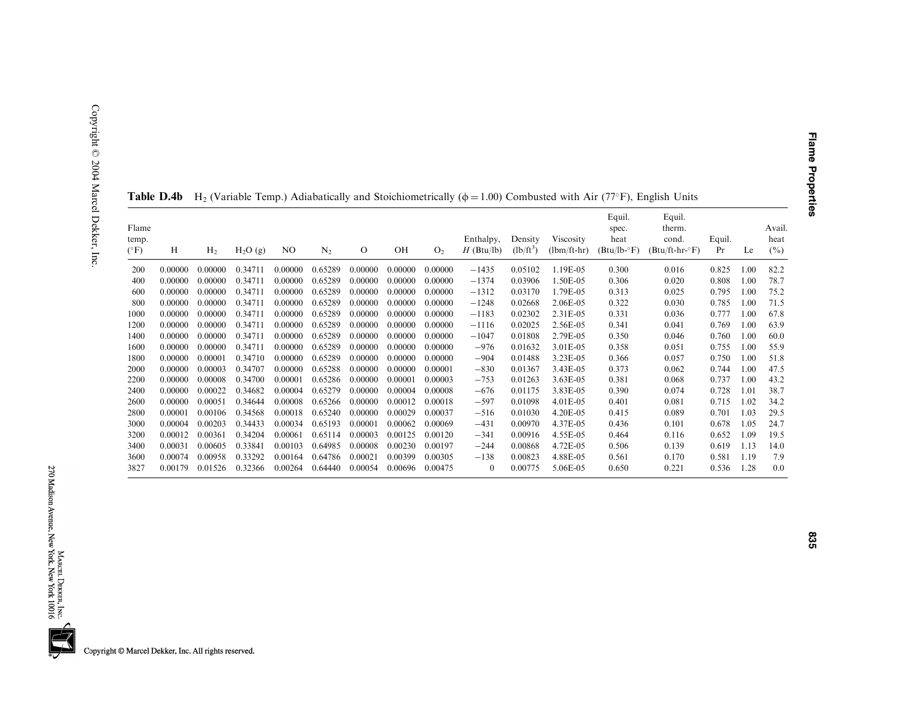|                                 |         |                |                     |         |                |          |         |                | .                         |                        |                            |                                           |                                               |              |      |                          |
|---------------------------------|---------|----------------|---------------------|---------|----------------|----------|---------|----------------|---------------------------|------------------------|----------------------------|-------------------------------------------|-----------------------------------------------|--------------|------|--------------------------|
| Flame<br>temp.<br>$(^{\circ}F)$ | H       | H <sub>2</sub> | H <sub>2</sub> O(g) | NO      | N <sub>2</sub> | $\Omega$ | OH      | O <sub>2</sub> | Enthalpy,<br>$H$ (Btu/lb) | Density<br>$(lb/ft^3)$ | Viscosity<br>$(lbm/ft-hr)$ | Equil.<br>spec.<br>heat<br>$(Btu/lb - F)$ | Equil.<br>therm.<br>cond.<br>$(Btu/ft-hr-oF)$ | Equil.<br>Pr | Le   | Avail.<br>heat<br>$(\%)$ |
| 200                             | 0.00000 | 0.00000        | 0.34711             | 0.00000 | 0.65289        | 0.00000  | 0.00000 | 0.00000        | $-1435$                   | 0.05102                | 1.19E-05                   | 0.300                                     | 0.016                                         | 0.825        | 1.00 | 82.2                     |
| 400                             | 0.00000 | 0.00000        | 0.34711             | 0.00000 | 0.65289        | 0.00000  | 0.00000 | 0.00000        | $-1374$                   | 0.03906                | 1.50E-05                   | 0.306                                     | 0.020                                         | 0.808        | 1.00 | 78.7                     |
| 600                             | 0.00000 | 0.00000        | 0.34711             | 0.00000 | 0.65289        | 0.00000  | 0.00000 | 0.00000        | $-1312$                   | 0.03170                | 1.79E-05                   | 0.313                                     | 0.025                                         | 0.795        | 1.00 | 75.2                     |
| 800                             | 0.00000 | 0.00000        | 0.34711             | 0.00000 | 0.65289        | 0.00000  | 0.00000 | 0.00000        | $-1248$                   | 0.02668                | 2.06E-05                   | 0.322                                     | 0.030                                         | 0.785        | 1.00 | 71.5                     |
| 1000                            | 0.00000 | 0.00000        | 0.34711             | 0.00000 | 0.65289        | 0.00000  | 0.00000 | 0.00000        | $-1183$                   | 0.02302                | 2.31E-05                   | 0.331                                     | 0.036                                         | 0.777        | 1.00 | 67.8                     |
| 1200                            | 0.00000 | 0.00000        | 0.34711             | 0.00000 | 0.65289        | 0.00000  | 0.00000 | 0.00000        | $-1116$                   | 0.02025                | 2.56E-05                   | 0.341                                     | 0.041                                         | 0.769        | 1.00 | 63.9                     |
| 1400                            | 0.00000 | 0.00000        | 0.34711             | 0.00000 | 0.65289        | 0.00000  | 0.00000 | 0.00000        | $-1047$                   | 0.01808                | 2.79E-05                   | 0.350                                     | 0.046                                         | 0.760        | 1.00 | 60.0                     |
| 1600                            | 0.00000 | 0.00000        | 0.34711             | 0.00000 | 0.65289        | 0.00000  | 0.00000 | 0.00000        | $-976$                    | 0.01632                | 3.01E-05                   | 0.358                                     | 0.051                                         | 0.755        | 1.00 | 55.9                     |
| 1800                            | 0.00000 | 0.00001        | 0.34710             | 0.00000 | 0.65289        | 0.00000  | 0.00000 | 0.00000        | $-904$                    | 0.01488                | 3.23E-05                   | 0.366                                     | 0.057                                         | 0.750        | 1.00 | 51.8                     |
| 2000                            | 0.00000 | 0.00003        | 0.34707             | 0.00000 | 0.65288        | 0.00000  | 0.00000 | 0.00001        | $-830$                    | 0.01367                | 3.43E-05                   | 0.373                                     | 0.062                                         | 0.744        | 1.00 | 47.5                     |
| 2200                            | 0.00000 | 0.00008        | 0.34700             | 0.00001 | 0.65286        | 0.00000  | 0.00001 | 0.00003        | $-753$                    | 0.01263                | 3.63E-05                   | 0.381                                     | 0.068                                         | 0.737        | 1.00 | 43.2                     |
| 2400                            | 0.00000 | 0.00022        | 0.34682             | 0.00004 | 0.65279        | 0.00000  | 0.00004 | 0.00008        | $-676$                    | 0.01175                | 3.83E-05                   | 0.390                                     | 0.074                                         | 0.728        | 1.01 | 38.7                     |
| 2600                            | 0.00000 | 0.00051        | 0.34644             | 0.00008 | 0.65266        | 0.00000  | 0.00012 | 0.00018        | $-597$                    | 0.01098                | 4.01E-05                   | 0.401                                     | 0.081                                         | 0.715        | 1.02 | 34.2                     |
| 2800                            | 0.00001 | 0.00106        | 0.34568             | 0.00018 | 0.65240        | 0.00000  | 0.00029 | 0.00037        | $-516$                    | 0.01030                | 4.20E-05                   | 0.415                                     | 0.089                                         | 0.701        | 1.03 | 29.5                     |
| 3000                            | 0.00004 | 0.00203        | 0.34433             | 0.00034 | 0.65193        | 0.00001  | 0.00062 | 0.00069        | $-431$                    | 0.00970                | 4.37E-05                   | 0.436                                     | 0.101                                         | 0.678        | 1.05 | 24.7                     |
| 3200                            | 0.00012 | 0.00361        | 0.34204             | 0.00061 | 0.65114        | 0.00003  | 0.00125 | 0.00120        | $-341$                    | 0.00916                | 4.55E-05                   | 0.464                                     | 0.116                                         | 0.652        | 1.09 | 19.5                     |
| 3400                            | 0.00031 | 0.00605        | 0.33841             | 0.00103 | 0.64985        | 0.00008  | 0.00230 | 0.00197        | $-244$                    | 0.00868                | 4.72E-05                   | 0.506                                     | 0.139                                         | 0.619        | 1.13 | 14.0                     |
| 3600                            | 0.00074 | 0.00958        | 0.33292             | 0.00164 | 0.64786        | 0.00021  | 0.00399 | 0.00305        | $-138$                    | 0.00823                | 4.88E-05                   | 0.561                                     | 0.170                                         | 0.581        | 1.19 | 7.9                      |
| 3827                            | 0.00179 | 0.01526        | 0.32366             | 0.00264 | 0.64440        | 0.00054  | 0.00696 | 0.00475        | $\theta$                  | 0.00775                | 5.06E-05                   | 0.650                                     | 0.221                                         | 0.536        | 1.28 | 0.0                      |

**Table D.4b** H<sub>2</sub> (Variable Temp.) Adiabatically and Stoichiometrically ( $\phi$  = 1.00) Combusted with Air (77°F), English Units

**Flame Properties**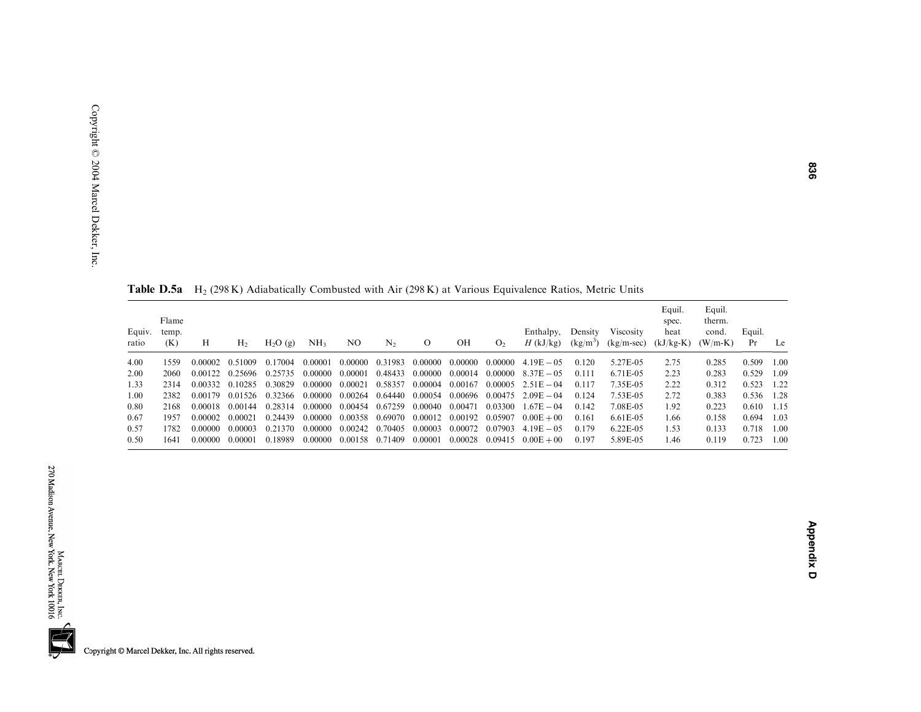| Equiv.<br>ratio | Flame<br>temp.<br>(K) | Н       | Н,      | $H2O$ (g) | NH <sub>3</sub> | NO      | $N_{2}$ | $\circ$ | OН      | O <sub>2</sub> | Enthalpy,<br>$H$ (kJ/kg) | Density<br>$(kg/m^3)$ | <b>Viscosity</b><br>$(kg/m-sec)$ | Equil.<br>spec.<br>heat<br>$(kJ/kg-K)$ | Equil.<br>therm.<br>cond.<br>$(W/m-K)$ | Equil.<br>Pr | Le    |
|-----------------|-----------------------|---------|---------|-----------|-----------------|---------|---------|---------|---------|----------------|--------------------------|-----------------------|----------------------------------|----------------------------------------|----------------------------------------|--------------|-------|
| 4.00            | 1559                  | 0.00002 | 0.51009 | 0.17004   | 0.00001         | 0.00000 | 0.31983 | 0.00000 | 0.00000 | 0.00000        | $4.19E - 0.5$            | 0.120                 | 5.27E-05                         | 2.75                                   | 0.285                                  | 0.509        | 1.00  |
| 2.00            | 2060                  | 0.00122 | 0.25696 | 0.25735   | 0.00000         | 0.00001 | 0.48433 | 0.00000 | 0.00014 | 0.00000        | $8.37E - 0.5$            | 0.111                 | 6.71E-05                         | 2.23                                   | 0.283                                  | 0.529        | 1.09  |
| 1.33            | 2314                  | 0.00332 | 0.10285 | 0.30829   | 0.00000         | 0.00021 | 0.58357 | 0.00004 | 0.00167 | 0.00005        | $2.51E - 04$             | 0.117                 | 7.35E-05                         | 2.22                                   | 0.312                                  | 0.523        | 1.22  |
| 1.00            | 2382                  | 0.00179 | 0.01526 | 0.32366   | 0.00000         | 0.00264 | 0.64440 | 0.00054 | 0.00696 | 0.00475        | $2.09E - 04$             | 0.124                 | 7.53E-05                         | 2.72                                   | 0.383                                  | 0.536        | 1.28  |
| 0.80            | 2168                  | 0.00018 | 0.00144 | 0.28314   | 0.00000         | 0.00454 | 0.67259 | 0.00040 | 0.00471 | 0.03300        | $1.67E - 04$             | 0.142                 | 7.08E-05                         | 1.92                                   | 0.223                                  | 0.610        | -1.15 |
| 0.67            | 1957                  | 0.00002 | 0.00021 | 0.24439   | 0.00000         | 0.00358 | 0.69070 | 0.00012 | 0.00192 | 0.05907        | $0.00E + 00$             | 0.161                 | 6.61E-05                         | 1.66                                   | 0.158                                  | 0.694        | 1.03  |
| 0.57            | 1782                  | 0.00000 | 0.00003 | 0.21370   | 0.00000         | 0.00242 | 0.70405 | 0.00003 | 0.00072 | 0.07903        | $4.19E - 0.5$            | 0.179                 | $6.22E-0.5$                      | 1.53                                   | 0.133                                  | 0.718        | 1.00  |
| 0.50            | 1641                  | 0.00000 | 0.00001 | 0.18989   | 0.00000         | 0.00158 | 0.71409 | 0.00001 | 0.00028 | 0.09415        | $0.00E + 00$             | 0.197                 | 5.89E-05                         | 1.46                                   | 0.119                                  | 0.723        | 1.00  |

**Table D.5a** H<sub>2</sub> (298 K) Adiabatically Combusted with Air (298 K) at Various Equivalence Ratios, Metric Units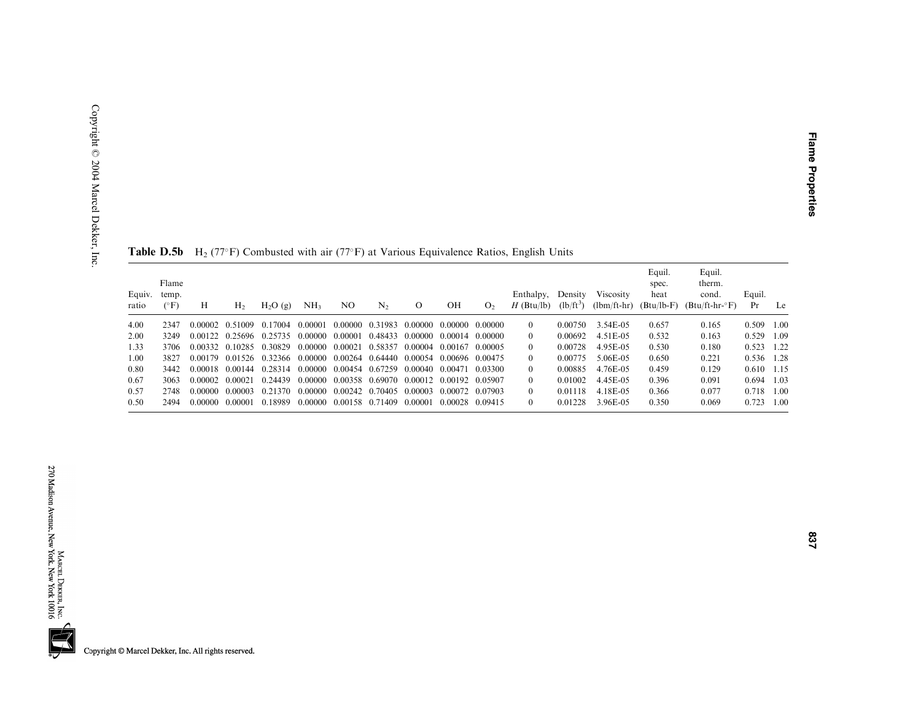| Equiv.<br>ratio | Flame<br>temp.<br>$(^{\circ}F)$ | H               | H <sub>2</sub> | H <sub>2</sub> O(g) | NH <sub>3</sub>                                                                           | NO | N <sub>2</sub> | $\Omega$ | OН              | O <sub>2</sub> | Enthalpy,<br>$H$ (Btu/lb) | Density<br>$(lb/ft^3)$ | Viscosity<br>$(lbm/ft-hr)$ | Equil.<br>spec.<br>heat<br>$(Btu/lb-F)$ | Equil.<br>therm.<br>cond.<br>$(Btu/ft-hr-°F)$ | Equil.<br>Pr | Le    |
|-----------------|---------------------------------|-----------------|----------------|---------------------|-------------------------------------------------------------------------------------------|----|----------------|----------|-----------------|----------------|---------------------------|------------------------|----------------------------|-----------------------------------------|-----------------------------------------------|--------------|-------|
| 4.00            | 2347                            |                 |                |                     | $0.00002$ $0.51009$ $0.17004$ $0.00001$ $0.00000$ $0.31983$ $0.00000$ $0.00000$ $0.00000$ |    |                |          |                 |                | $\Omega$                  | 0.00750                | 3.54E-05                   | 0.657                                   | 0.165                                         | 0.509        | 1.00  |
| 2.00            | 3249                            |                 |                |                     | $0.00122$ $0.25696$ $0.25735$ $0.00000$ $0.00001$ $0.48433$ $0.00000$ $0.00014$ $0.00000$ |    |                |          |                 |                | $\Omega$                  | 0.00692                | 4.51 E-05                  | 0.532                                   | 0.163                                         | 0.529        | 1.09  |
| 1.33            | 3706                            |                 |                |                     | 0.00332 0.10285 0.30829 0.00000 0.00021 0.58357 0.00004 0.00167 0.00005                   |    |                |          |                 |                | $\theta$                  | 0.00728                | 4.95E-05                   | 0.530                                   | 0.180                                         | $0.523$ 1.22 |       |
| 1.00            | 3827                            |                 |                |                     | $0.00179$ $0.01526$ $0.32366$ $0.00000$ $0.00264$ $0.64440$ $0.00054$ $0.00696$ $0.00475$ |    |                |          |                 |                | $\Omega$                  | 0.00775                | 5.06E-05                   | 0.650                                   | 0.221                                         | 0.536        | 1.28  |
| 0.80            | 3442                            |                 |                |                     | 0.00018 0.00144 0.28314 0.00000 0.00454 0.67259 0.00040 0.00471 0.03300                   |    |                |          |                 |                | $\Omega$                  | 0.00885                | 4.76E-05                   | 0.459                                   | 0.129                                         | 0.610        | -1.15 |
| 0.67            | 3063                            | 0.00002 0.00021 |                |                     | 0.24439 0.00000 0.00358 0.69070 0.00012 0.00192 0.05907                                   |    |                |          |                 |                | $\theta$                  | 0.01002                | 4.45E-05                   | 0.396                                   | 0.091                                         | 0.694        | 1.03  |
| 0.57            | 2748                            | 0.00000         | - 0.00003      | 0.21370             | 0.00000 0.00242 0.70405 0.00003 0.00072 0.07903                                           |    |                |          |                 |                | $\Omega$                  | 0.01118                | 4.18E-05                   | 0.366                                   | 0.077                                         | 0.718        | 1.00  |
| 0.50            | 2494                            | 0.00000         | - 0.00001      | 0.18989             | 0.00000 0.00158 0.71409 0.00001                                                           |    |                |          | 0.00028 0.09415 |                | $\Omega$                  | 0.01228                | 3.96E-05                   | 0.350                                   | 0.069                                         | 0.723        | 1.00  |

**Table D.5b** H<sub>2</sub> (77°F) Combusted with air (77°F) at Various Equivalence Ratios, English Units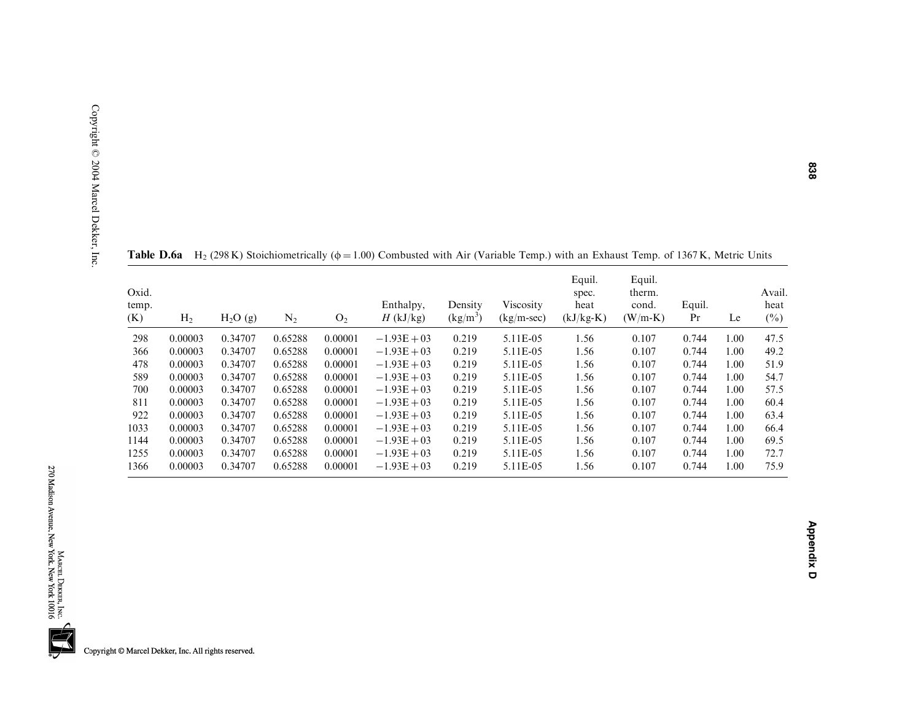| Oxid.<br>temp.<br>(K) | H <sub>2</sub> | H <sub>2</sub> O(g) | $\rm N_2$ | O <sub>2</sub> | Enthalpy,<br>$H$ (kJ/kg) | Density<br>$(kg/m^3)$ | Viscosity<br>$(kg/m-sec)$ | Equil.<br>spec.<br>heat<br>$(kJ/kg-K)$ | Equil.<br>therm.<br>cond.<br>$(W/m-K)$ | Equil.<br>Pr | Le   | Avail.<br>heat<br>$(\%)$ |
|-----------------------|----------------|---------------------|-----------|----------------|--------------------------|-----------------------|---------------------------|----------------------------------------|----------------------------------------|--------------|------|--------------------------|
| 298                   | 0.00003        | 0.34707             | 0.65288   | 0.00001        | $-1.93E + 03$            | 0.219                 | 5.11E-05                  | 1.56                                   | 0.107                                  | 0.744        | 1.00 | 47.5                     |
| 366                   | 0.00003        | 0.34707             | 0.65288   | 0.00001        | $-1.93E + 03$            | 0.219                 | 5.11E-05                  | 1.56                                   | 0.107                                  | 0.744        | 1.00 | 49.2                     |
| 478                   | 0.00003        | 0.34707             | 0.65288   | 0.00001        | $-1.93E + 03$            | 0.219                 | 5.11E-05                  | 1.56                                   | 0.107                                  | 0.744        | 1.00 | 51.9                     |
| 589                   | 0.00003        | 0.34707             | 0.65288   | 0.00001        | $-1.93E + 03$            | 0.219                 | 5.11E-05                  | 1.56                                   | 0.107                                  | 0.744        | 1.00 | 54.7                     |
| 700                   | 0.00003        | 0.34707             | 0.65288   | 0.00001        | $-1.93E + 03$            | 0.219                 | 5.11E-05                  | 1.56                                   | 0.107                                  | 0.744        | 1.00 | 57.5                     |
| 811                   | 0.00003        | 0.34707             | 0.65288   | 0.00001        | $-1.93E + 03$            | 0.219                 | 5.11E-05                  | 1.56                                   | 0.107                                  | 0.744        | 1.00 | 60.4                     |
| 922                   | 0.00003        | 0.34707             | 0.65288   | 0.00001        | $-1.93E + 03$            | 0.219                 | 5.11E-05                  | 1.56                                   | 0.107                                  | 0.744        | 1.00 | 63.4                     |
| 1033                  | 0.00003        | 0.34707             | 0.65288   | 0.00001        | $-1.93E + 03$            | 0.219                 | 5.11E-05                  | 1.56                                   | 0.107                                  | 0.744        | 1.00 | 66.4                     |
| 1144                  | 0.00003        | 0.34707             | 0.65288   | 0.00001        | $-1.93E + 03$            | 0.219                 | 5.11E-05                  | 1.56                                   | 0.107                                  | 0.744        | 1.00 | 69.5                     |
| 1255                  | 0.00003        | 0.34707             | 0.65288   | 0.00001        | $-1.93E + 03$            | 0.219                 | 5.11E-05                  | 1.56                                   | 0.107                                  | 0.744        | 1.00 | 72.7                     |
| 1366                  | 0.00003        | 0.34707             | 0.65288   | 0.00001        | $-1.93E + 03$            | 0.219                 | 5.11E-05                  | 1.56                                   | 0.107                                  | 0.744        | 1.00 | 75.9                     |

**Table D.6a** H<sub>2</sub> (298 K) Stoichiometrically ( $\phi$  = 1.00) Combusted with Air (Variable Temp.) with an Exhaust Temp. of 1367 K, Metric Units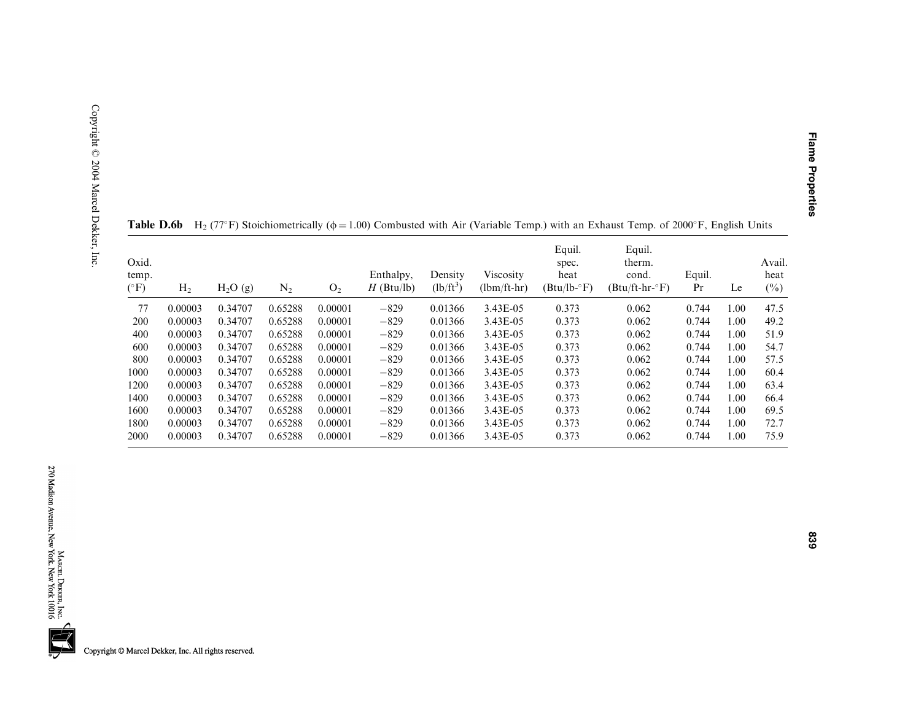| Oxid.<br>temp.<br>$(^\circ F)$ | H <sub>2</sub> | H <sub>2</sub> O(g) | $\mathrm{N}_2$ | O <sub>2</sub> | Enthalpy,<br>$H$ (Btu/lb) | Density<br>$(lb/ft^3)$ | Viscosity<br>$(lbm/ft-hr)$ | Equil.<br>spec.<br>heat<br>$(Btu/lb - F)$ | Equil.<br>therm.<br>cond.<br>$(Btu/ft-hr-oF)$ | Equil.<br>Pr | Le   | Avail.<br>heat<br>$(\%)$ |
|--------------------------------|----------------|---------------------|----------------|----------------|---------------------------|------------------------|----------------------------|-------------------------------------------|-----------------------------------------------|--------------|------|--------------------------|
| 77                             | 0.00003        | 0.34707             | 0.65288        | 0.00001        | $-829$                    | 0.01366                | 3.43E-05                   | 0.373                                     | 0.062                                         | 0.744        | 1.00 | 47.5                     |
| 200                            | 0.00003        | 0.34707             | 0.65288        | 0.00001        | $-829$                    | 0.01366                | 3.43E-05                   | 0.373                                     | 0.062                                         | 0.744        | 1.00 | 49.2                     |
| 400                            | 0.00003        | 0.34707             | 0.65288        | 0.00001        | $-829$                    | 0.01366                | 3.43E-05                   | 0.373                                     | 0.062                                         | 0.744        | 1.00 | 51.9                     |
| 600                            | 0.00003        | 0.34707             | 0.65288        | 0.00001        | $-829$                    | 0.01366                | 3.43E-05                   | 0.373                                     | 0.062                                         | 0.744        | 1.00 | 54.7                     |
| 800                            | 0.00003        | 0.34707             | 0.65288        | 0.00001        | $-829$                    | 0.01366                | 3.43E-05                   | 0.373                                     | 0.062                                         | 0.744        | 1.00 | 57.5                     |
| 1000                           | 0.00003        | 0.34707             | 0.65288        | 0.00001        | $-829$                    | 0.01366                | 3.43E-05                   | 0.373                                     | 0.062                                         | 0.744        | 1.00 | 60.4                     |
| 1200                           | 0.00003        | 0.34707             | 0.65288        | 0.00001        | $-829$                    | 0.01366                | 3.43E-05                   | 0.373                                     | 0.062                                         | 0.744        | 1.00 | 63.4                     |
| 1400                           | 0.00003        | 0.34707             | 0.65288        | 0.00001        | $-829$                    | 0.01366                | 3.43E-05                   | 0.373                                     | 0.062                                         | 0.744        | 1.00 | 66.4                     |
| 1600                           | 0.00003        | 0.34707             | 0.65288        | 0.00001        | $-829$                    | 0.01366                | 3.43E-05                   | 0.373                                     | 0.062                                         | 0.744        | 1.00 | 69.5                     |
| 1800                           | 0.00003        | 0.34707             | 0.65288        | 0.00001        | $-829$                    | 0.01366                | 3.43E-05                   | 0.373                                     | 0.062                                         | 0.744        | 1.00 | 72.7                     |
| 2000                           | 0.00003        | 0.34707             | 0.65288        | 0.00001        | $-829$                    | 0.01366                | 3.43E-05                   | 0.373                                     | 0.062                                         | 0.744        | 1.00 | 75.9                     |

**Table D.6b** H<sub>2</sub> (77°F) Stoichiometrically ( $\phi$  = 1.00) Combusted with Air (Variable Temp.) with an Exhaust Temp. of 2000°F, English Units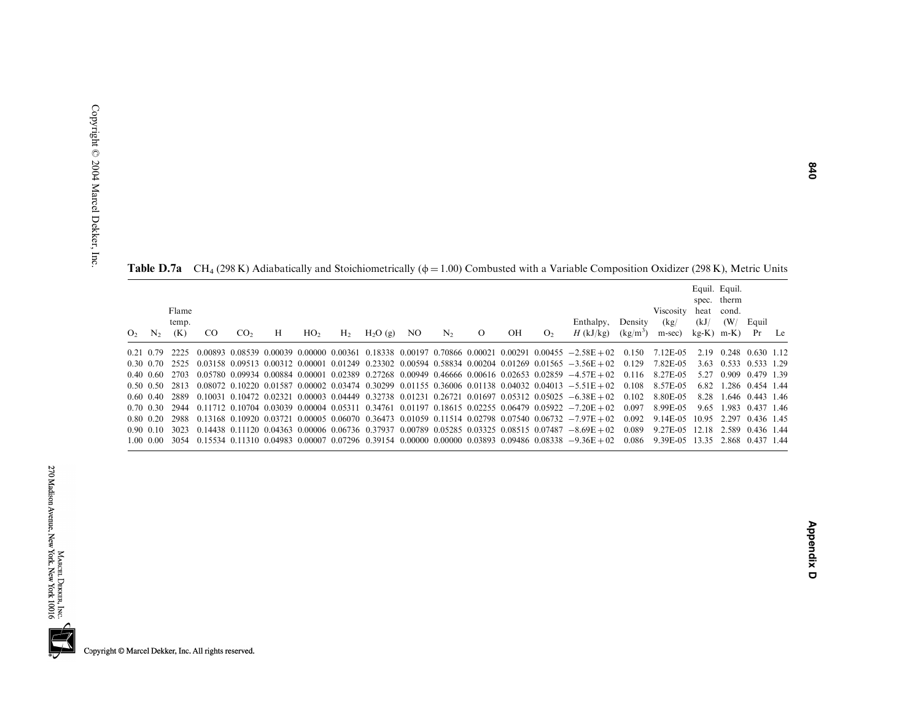**Table D.7a** CH<sub>4</sub> (298 K) Adiabatically and Stoichiometrically ( $\phi$  = 1.00) Combusted with a Variable Composition Oxidizer (298 K), Metric Units

| O <sub>2</sub> | $N_{2}$           | Flame<br>temp.<br>(K) | <sub>CO</sub> | CO <sub>2</sub> | Н | HO <sub>2</sub> | H <sub>2</sub> | H <sub>2</sub> O(g) | NO. | N <sub>2</sub> | $\Omega$ | OН | O <sub>2</sub> | Enthalpy,<br>$H$ (kJ/kg)                                                                                                  | Density<br>$(kg/m^3)$ | Viscosity<br>(kg)<br>m-sec) | heat<br>(kJ)<br>$kg-K$ | Equil. Equil.<br>spec. therm<br>cond.<br>(W/<br>$m-K$ | Equil<br>Pr      | Le |
|----------------|-------------------|-----------------------|---------------|-----------------|---|-----------------|----------------|---------------------|-----|----------------|----------|----|----------------|---------------------------------------------------------------------------------------------------------------------------|-----------------------|-----------------------------|------------------------|-------------------------------------------------------|------------------|----|
|                | 0.21 0.79         |                       |               |                 |   |                 |                |                     |     |                |          |    |                | $0.00893$ $0.08539$ $0.00039$ $0.00000$ $0.00361$ $0.18338$ $0.00197$ $0.70866$ $0.00021$ $0.00291$ $0.00455$ $-2.58E+02$ | 0.150                 | 7.12E-05                    | 2.19                   | 0.248                                                 | 0.630 1.12       |    |
|                | 0.30 0.70         | 2525                  |               |                 |   |                 |                |                     |     |                |          |    |                | $0.03158$ $0.09513$ $0.00312$ $0.00001$ $0.01249$ $0.23302$ $0.00594$ $0.58834$ $0.00204$ $0.01269$ $0.01565$ $-3.56E+02$ | 0.129                 | 7.82E-05                    | 3.63                   | 0.533                                                 | 0.533 1.29       |    |
|                | $0.40 \quad 0.60$ | 2703                  |               |                 |   |                 |                |                     |     |                |          |    |                | $0.05780$ $0.09934$ $0.00884$ $0.00001$ $0.02389$ $0.27268$ $0.00949$ $0.46666$ $0.00616$ $0.02653$ $0.02859$ $-4.57E+02$ | 0.116                 | 8.27E-05                    | 5 27                   | 0.909                                                 | 0.479 1.39       |    |
|                | 0.50 0.50         | 2813                  |               |                 |   |                 |                |                     |     |                |          |    |                | $0.08072$ $0.10220$ $0.01587$ $0.00002$ $0.03474$ $0.30299$ $0.01155$ $0.36006$ $0.01138$ $0.04032$ $0.04013$ $-5.51E+02$ | 0.108                 | 8.57E-05                    | 6.82                   |                                                       | 1.286 0.454 1.44 |    |
|                | 0.60 0.40         | 2889                  |               |                 |   |                 |                |                     |     |                |          |    |                | $0.10031$ $0.10472$ $0.02321$ $0.00003$ $0.04449$ $0.32738$ $0.01231$ $0.26721$ $0.01697$ $0.05312$ $0.05025$ $-6.38E+02$ | 0.102                 | 8.80E-05                    | 828                    |                                                       | 1.646 0.443 1.46 |    |
|                | 0.70 0.30         | 2944                  |               |                 |   |                 |                |                     |     |                |          |    |                | $0.11712$ $0.10704$ $0.03039$ $0.00004$ $0.05311$ $0.34761$ $0.01197$ $0.18615$ $0.02255$ $0.06479$ $0.05922$ $-7.20E+02$ | 0.097                 | 8.99E-05                    | 9.65                   | 1.983                                                 | 0.437 1.46       |    |
|                | 0.80 0.20         | 2988                  |               |                 |   |                 |                |                     |     |                |          |    |                | $0.13168$ 0.10920 0.03721 0.00005 0.06070 0.36473 0.01059 0.11514 0.02798 0.07540 0.06732 -7.97E + 02                     | 0.092                 | 9.14E-05                    |                        | 10.95 2.297 0.436 1.45                                |                  |    |
|                | $0.90 \ 0.10$     | 3023                  |               |                 |   |                 |                |                     |     |                |          |    |                | $0.14438$ $0.11120$ $0.04363$ $0.00006$ $0.06736$ $0.37937$ $0.00789$ $0.05285$ $0.03325$ $0.08515$ $0.07487$ $-8.69E+02$ | 0.089                 | 9.27E-05 12.18              |                        | 2.589 0.436 1.44                                      |                  |    |
|                | 1.00 0.00         | 3054                  |               |                 |   |                 |                |                     |     |                |          |    |                | $0.15534$ $0.11310$ $0.04983$ $0.00007$ $0.07296$ $0.39154$ $0.00000$ $0.00000$ $0.03893$ $0.09486$ $0.08338$ $-9.36E+02$ | 0.086                 | 9.39E-05                    | 13.35                  | 2.868 0.437 1.44                                      |                  |    |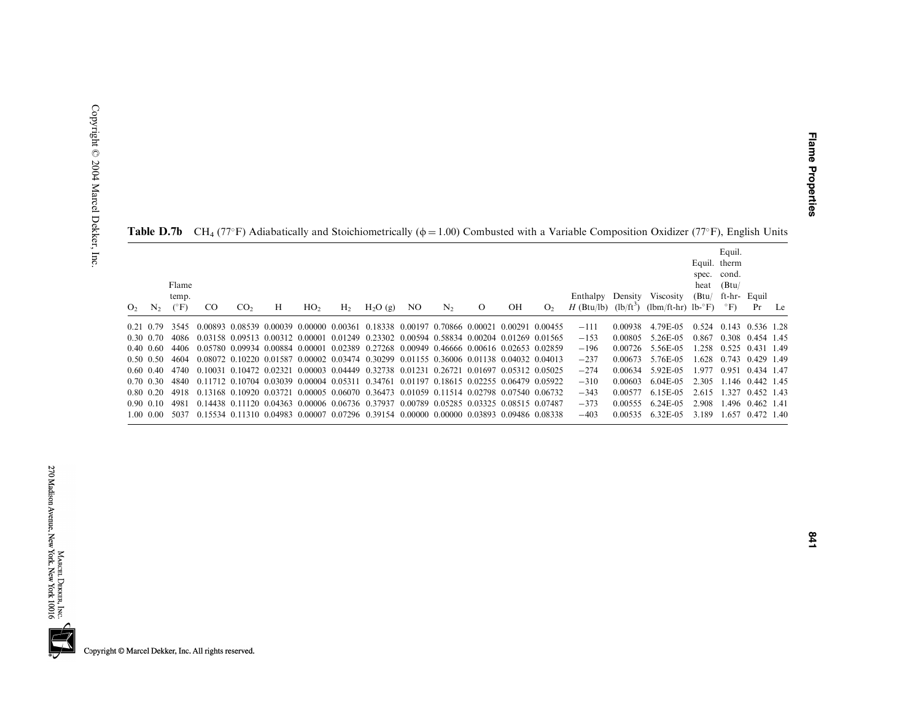**Flame Properties** 

|                |                   |                                 |               |                 |   |                 |                |                                                                                                               |     |                |          |    |                | <b>Table D.</b> 10 CH4 (77 T) Adiabatically and Stolemonicitically ( $\psi$ = 1.00) Combusted with a variable Composition Oxfulzer (77 T), English Units |         |                                                                                                |       |                                                |                   |    |
|----------------|-------------------|---------------------------------|---------------|-----------------|---|-----------------|----------------|---------------------------------------------------------------------------------------------------------------|-----|----------------|----------|----|----------------|----------------------------------------------------------------------------------------------------------------------------------------------------------|---------|------------------------------------------------------------------------------------------------|-------|------------------------------------------------|-------------------|----|
| O <sub>2</sub> | $N_{2}$           | Flame<br>temp.<br>$(^{\circ}F)$ | <sub>CO</sub> | CO <sub>2</sub> | Н | HO <sub>2</sub> | H <sub>2</sub> | $H_2O(g)$                                                                                                     | NO. | N <sub>2</sub> | $\Omega$ | OН | O <sub>2</sub> |                                                                                                                                                          |         | Enthalpy Density Viscosity (Btu/ ft-hr- Equil<br>H (Btu/lb) $(lb/ft^3)$ (lbm/ft-hr) lb-°F) °F) | heat  | Equil.<br>Equil. therm<br>spec. cond.<br>(Btu) | Pr                | Le |
|                | 0.21 0.79         | 3545                            |               |                 |   |                 |                | $0.00893$ $0.08539$ $0.00039$ $0.00000$ $0.00361$ $0.18338$ $0.00197$ $0.70866$ $0.00021$ $0.00291$ $0.00455$ |     |                |          |    |                | $-111$                                                                                                                                                   | 0.00938 | 4.79E-05                                                                                       | 0.524 | 0.143 0.536 1.28                               |                   |    |
|                | $0.30 \quad 0.70$ | 4086                            |               |                 |   |                 |                | 0.03158 0.09513 0.00312 0.00001 0.01249 0.23302 0.00594 0.58834 0.00204 0.01269 0.01565                       |     |                |          |    |                | $-153$                                                                                                                                                   | 0.00805 | 5.26E-05                                                                                       | 0.867 |                                                | 0.308 0.454 1.45  |    |
|                | $0.40 \ \ 0.60$   | 4406                            |               |                 |   |                 |                | 0.05780 0.09934 0.00884 0.00001 0.02389 0.27268 0.00949 0.46666 0.00616 0.02653 0.02859                       |     |                |          |    |                | $-196$                                                                                                                                                   | 0.00726 | 5.56E-05                                                                                       | 258   | 0.525                                          | 0.431 1.49        |    |
|                | $0.50 \ \ 0.50$   | 4604                            |               |                 |   |                 |                | 0.08072 0.10220 0.01587 0.00002 0.03474 0.30299 0.01155 0.36006 0.01138 0.04032 0.04013                       |     |                |          |    |                | $-237$                                                                                                                                                   | 0.00673 | 5.76E-05                                                                                       | .628  |                                                | 0.743 0.429 1.49  |    |
|                | $0.60 \ \ 0.40$   | 4740                            |               |                 |   |                 |                | 0.10031 0.10472 0.02321 0.00003 0.04449 0.32738 0.01231 0.26721 0.01697 0.05312 0.05025                       |     |                |          |    |                | $-274$                                                                                                                                                   | 0.00634 | 5.92E-05                                                                                       | .977  | 0.951                                          | 0.434 1.47        |    |
|                | $0.70 \quad 0.30$ | 4840                            |               |                 |   |                 |                | $0.11712$ $0.10704$ $0.03039$ $0.00004$ $0.05311$ $0.34761$ $0.01197$ $0.18615$ $0.02255$ $0.06479$ $0.05922$ |     |                |          |    |                | $-310$                                                                                                                                                   | 0.00603 | $6.04E-0.5$                                                                                    | 2.305 | 1.146 0.442 1.45                               |                   |    |
|                | $0.80 \quad 0.20$ | 4918                            |               |                 |   |                 |                | 0.13168 0.10920 0.03721 0.00005 0.06070 0.36473 0.01059 0.11514 0.02798 0.07540 0.06732                       |     |                |          |    |                | $-343$                                                                                                                                                   | 0.00577 | 6.15E-05                                                                                       | 2.615 | .327                                           | 0.452 1.43        |    |
|                | 0.90 0.10         | 4981                            |               |                 |   |                 |                | 0.14438 0.11120 0.04363 0.00006 0.06736 0.37937 0.00789 0.05285 0.03325 0.08515 0.07487                       |     |                |          |    |                | $-373$                                                                                                                                                   | 0.00555 | 6.24E-05                                                                                       | 2.908 |                                                | $.496$ 0.462 1.41 |    |
|                | $1.00 \quad 0.00$ | 5037                            |               |                 |   |                 |                | 0.15534 0.11310 0.04983 0.00007 0.07296 0.39154 0.00000 0.00000 0.03893 0.09486 0.08338                       |     |                |          |    |                | $-403$                                                                                                                                                   | 0.00535 | 6.32E-05                                                                                       | 3.189 | .657                                           | $0.472$ 1.40      |    |

|  |  |  | <b>Table D.7b</b> CH <sub>4</sub> (77°F) Adiabatically and Stoichiometrically ( $\phi = 1.00$ ) Combusted with a Variable Composition Oxidizer (77°F), English Units |  |  |  |  |  |  |  |
|--|--|--|----------------------------------------------------------------------------------------------------------------------------------------------------------------------|--|--|--|--|--|--|--|
|--|--|--|----------------------------------------------------------------------------------------------------------------------------------------------------------------------|--|--|--|--|--|--|--|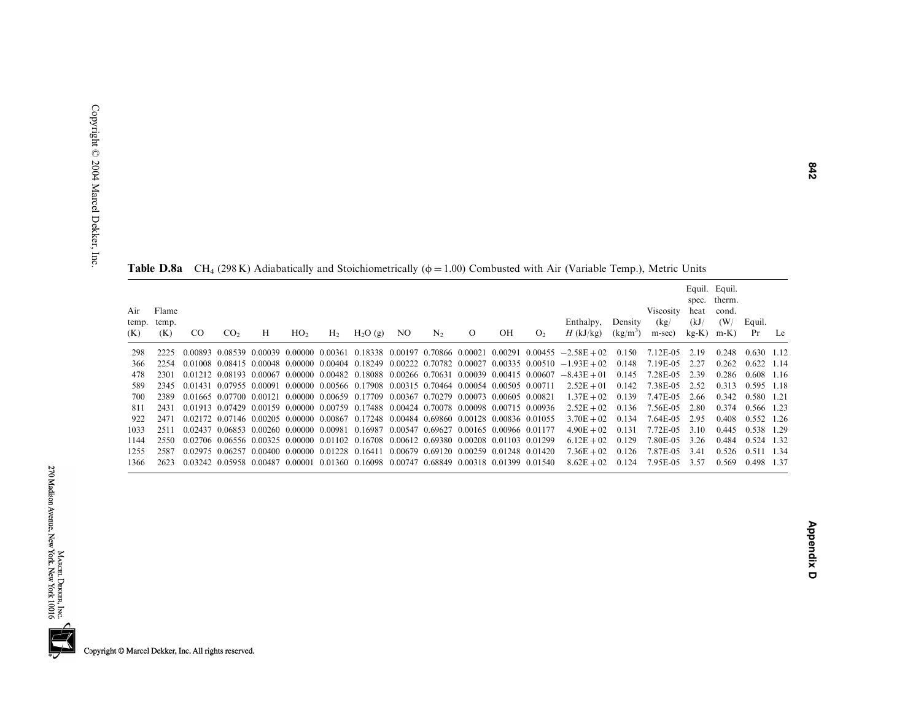|                     |                       |     |                 |                         |                 |                |                                                                                         |                                         |                |          |    |                | <b>Table D.0a</b> CH <sub>4</sub> (270 K) Adiabatically and Stolemonicallearly ( $\psi$ = 1.00) Combusted with All (variable Temp.), initially Omis |                       |                             |                                   |                                                    |              |    |
|---------------------|-----------------------|-----|-----------------|-------------------------|-----------------|----------------|-----------------------------------------------------------------------------------------|-----------------------------------------|----------------|----------|----|----------------|-----------------------------------------------------------------------------------------------------------------------------------------------------|-----------------------|-----------------------------|-----------------------------------|----------------------------------------------------|--------------|----|
| Air<br>temp.<br>(K) | Flame<br>temp.<br>(K) | CO. | CO <sub>2</sub> | Н                       | HO <sub>2</sub> | H <sub>2</sub> | H <sub>2</sub> O(g)                                                                     | NO.                                     | N <sub>2</sub> | $\Omega$ | OH | O <sub>2</sub> | Enthalpy,<br>$H$ (kJ/kg)                                                                                                                            | Density<br>$(kg/m^3)$ | Viscosity<br>(kg)<br>m-sec) | spec.<br>heat<br>(kJ/<br>$kg-K$ ) | Equil. Equil.<br>therm.<br>cond.<br>(W/<br>$m-K$ ) | Equil.<br>Pr | Le |
| 298                 | 2225                  |     |                 |                         |                 |                |                                                                                         |                                         |                |          |    |                | $0.00893$ $0.08539$ $0.00039$ $0.00000$ $0.00361$ $0.18338$ $0.00197$ $0.70866$ $0.00021$ $0.00291$ $0.00455$ $-2.58E+02$                           | 0.150                 | 7.12E-05                    | 2.19                              | 0.248                                              | $0.630$ 1.12 |    |
| 366                 | 2254                  |     |                 |                         |                 |                |                                                                                         |                                         |                |          |    |                | $0.01008$ $0.08415$ $0.00048$ $0.00000$ $0.00404$ $0.18249$ $0.00222$ $0.70782$ $0.00027$ $0.00335$ $0.00510$ $-1.93E+02$                           | 0.148                 | 7.19E-05                    | 2.27                              | 0.262                                              | $0.622$ 1.14 |    |
| 478                 | 2301                  |     |                 |                         |                 |                |                                                                                         |                                         |                |          |    |                | $0.01212$ $0.08193$ $0.00067$ $0.00000$ $0.00482$ $0.18088$ $0.00266$ $0.70631$ $0.00039$ $0.00415$ $0.00607$ $-8.43E+01$                           | 0.145                 | 7.28E-05                    | 2.39                              | 0.286                                              | $0.608$ 1.16 |    |
| 589                 | 2345                  |     |                 |                         |                 |                | 0.01431 0.07955 0.00091 0.00000 0.00566 0.17908 0.00315 0.70464 0.00054 0.00505 0.00711 |                                         |                |          |    |                | $2.52E + 01$                                                                                                                                        | 0.142                 | 7.38E-05                    | 2.52                              | 0.313                                              | 0.595 1.18   |    |
| 700                 | 2389                  |     |                 |                         |                 |                | 0.01665 0.07700 0.00121 0.00000 0.00659 0.17709 0.00367 0.70279 0.00073 0.00605 0.00821 |                                         |                |          |    |                | $1.37E + 02$                                                                                                                                        | 0.139                 | 7.47E-05                    | 2.66                              | 0.342                                              | 0.580 1.21   |    |
| 811                 | 2431                  |     |                 |                         |                 |                | 0.01913 0.07429 0.00159 0.00000 0.00759 0.17488 0.00424 0.70078 0.00098 0.00715 0.00936 |                                         |                |          |    |                | $2.52E + 02$                                                                                                                                        | 0.136                 | 7.56E-05                    | 2.80                              | 0.374                                              | 0.566 1.23   |    |
| 922                 | 2471                  |     |                 |                         |                 |                | 0.02172 0.07146 0.00205 0.00000 0.00867 0.17248 0.00484 0.69860 0.00128 0.00836 0.01055 |                                         |                |          |    |                | $3.70E + 02$                                                                                                                                        | 0.134                 | 7.64E-05                    | 2.95                              | 0.408                                              | 0.552 1.26   |    |
| 1033                | 2511                  |     |                 |                         |                 |                | 0.02437 0.06853 0.00260 0.00000 0.00981 0.16987 0.00547 0.69627 0.00165 0.00966 0.01177 |                                         |                |          |    |                | $4.90E + 02$                                                                                                                                        | 0.131                 | 7.72E-05                    | 3.10                              | 0.445                                              | 0.538 1.29   |    |
| 1144                | 2550                  |     |                 |                         |                 |                | 0.02706 0.06556 0.00325 0.00000 0.01102 0.16708 0.00612 0.69380 0.00208 0.01103 0.01299 |                                         |                |          |    |                | $6.12E + 02$                                                                                                                                        | 0.129                 | 7.80E-05                    | 3.26                              | 0.484                                              | 0.524 1.32   |    |
| 1255                | 2587                  |     |                 |                         |                 |                | 0.02975 0.06257 0.00400 0.00000 0.01228 0.16411                                         | 0.00679 0.69120 0.00259 0.01248 0.01420 |                |          |    |                | $7.36E + 02$                                                                                                                                        | 0.126                 | 7.87E-05                    | 3.41                              | 0.526                                              | 0.511 1.34   |    |
| 1366                | 2623                  |     |                 | 0.03242 0.05958 0.00487 |                 |                | 0.00001 0.01360 0.16098 0.00747 0.68849 0.00318 0.01399 0.01540                         |                                         |                |          |    |                | $8.62E + 02$                                                                                                                                        | 0.124                 | 7.95E-05                    | 3.57                              | 0.569                                              | 0.498 1.37   |    |

**Table D.8a** CH<sub>4</sub> (298 K) Adiabatically and Stoichiometrically ( $\phi = 1.00$ ) Combusted with Air (Variable Temp.), Metric Units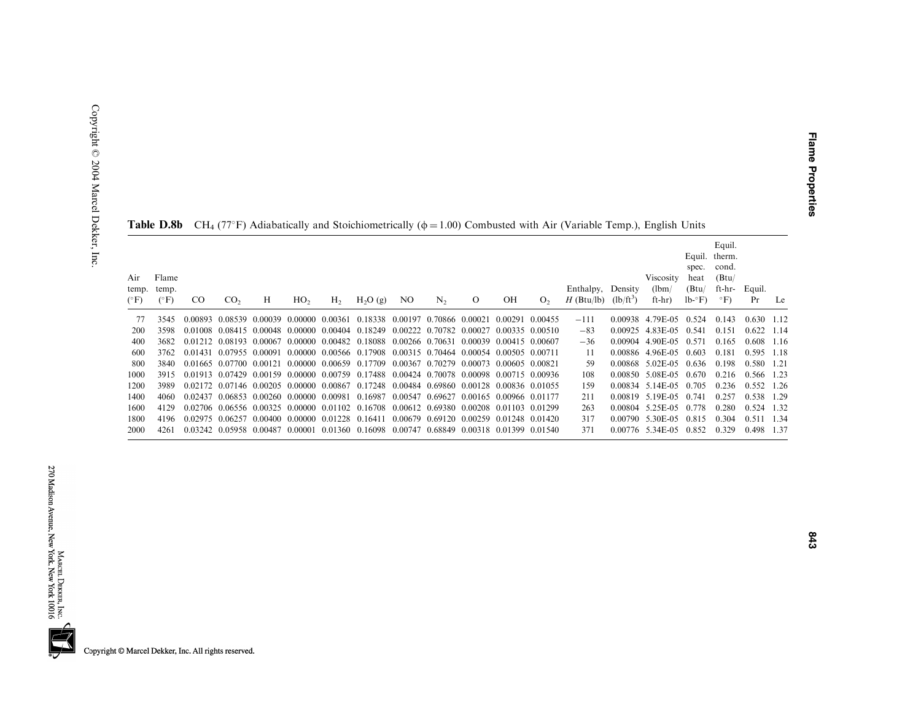| Air<br>temp.<br>$(^{\circ}F)$ | Flame<br>temp.<br>$(^{\circ}F)$ | <sub>CO</sub> | CO <sub>2</sub>         | Н                                       | HO <sub>2</sub> | H <sub>2</sub> | H <sub>2</sub> O(g)                                                                     | NO.                                     | N <sub>2</sub>                          | $\Omega$                | OН              | O <sub>2</sub> | Enthalpy, Density<br>$H$ (Btu/lb) | $(lb/ft^3)$ | Viscosity<br>(lbm)<br>$ft-hr)$ | Equil.<br>spec.<br>heat<br>(Btu)<br>$lb - F$ | Equil.<br>therm.<br>cond.<br>(Btu)<br>ft-hr-<br>$\circ$ F) | Equil.<br>Pr | Le    |
|-------------------------------|---------------------------------|---------------|-------------------------|-----------------------------------------|-----------------|----------------|-----------------------------------------------------------------------------------------|-----------------------------------------|-----------------------------------------|-------------------------|-----------------|----------------|-----------------------------------|-------------|--------------------------------|----------------------------------------------|------------------------------------------------------------|--------------|-------|
|                               | 3545                            | 0.00893       | 0.08539                 |                                         |                 |                | 0.00039 0.00000 0.00361 0.18338 0.00197 0.70866 0.00021                                 |                                         |                                         |                         | 0.00291 0.00455 |                | $-111$                            |             | 0.00938 4.79E-05               | 0.524                                        | 0.143                                                      | $0.630$ 1.12 |       |
| 200                           | 3598                            | 0.01008       |                         |                                         |                 |                | 0.08415 0.00048 0.00000 0.00404 0.18249                                                 | 0.00222 0.70782 0.00027                 |                                         |                         | 0.00335 0.00510 |                | $-83$                             |             | 0.00925 4.83E-05 0.541         |                                              | 0.151                                                      | 0.622        | 1 1 4 |
| 400                           | 3682                            | 0.01212       | 0.08193                 | 0.00067                                 |                 |                | 0.00000 0.00482 0.18088 0.00266 0.70631                                                 |                                         |                                         | 0.00039                 | 0.00415 0.00607 |                | $-36$                             | 0.00904     | 4.90E-05                       | 0.571                                        | 0.165                                                      | 0.608        | 1.16  |
| 600                           | 3762                            | 0.01431       | 0.07955 0.00091         |                                         |                 |                | 0.00000 0.00566 0.17908 0.00315 0.70464 0.00054 0.00505 0.00711                         |                                         |                                         |                         |                 |                | 11                                | 0.00886     | 4.96E-05                       | 0.603                                        | 0.181                                                      | 0.595        | -118  |
| 800                           | 3840                            |               | 0.01665 0.07700 0.00121 |                                         |                 |                | 0.00000 0.00659 0.17709 0.00367 0.70279                                                 |                                         |                                         | 0.00073 0.00605 0.00821 |                 |                | 59                                |             | 0.00868 5.02E-05               | 0.636                                        | 0.198                                                      | 0.580 1.21   |       |
| 1000                          | 3915                            |               |                         |                                         |                 |                | 0.01913 0.07429 0.00159 0.00000 0.00759 0.17488 0.00424 0.70078 0.00098 0.00715 0.00936 |                                         |                                         |                         |                 |                | 108                               | 0.00850     | 5.08E-05                       | 0.670                                        | 0.216                                                      | 0.566 1.23   |       |
| 1200                          | 3989                            |               |                         | 0.02172 0.07146 0.00205 0.00000 0.00867 |                 |                | 0.17248                                                                                 | 0.00484 0.69860 0.00128 0.00836 0.01055 |                                         |                         |                 |                | 159                               |             | 0.00834 5.14E-05               | 0.705                                        | 0.236                                                      | $0.552$ 1.26 |       |
| 1400                          | 4060                            | 0.02437       |                         | 0.06853 0.00260 0.00000 0.00981         |                 |                | 0.16987                                                                                 |                                         | 0.00547 0.69627                         | 0.00165 0.00966 0.01177 |                 |                | 211                               |             | 0.00819 5.19 E-05              | 0.741                                        | 0.257                                                      | 0.538        | 1.29  |
| 1600                          | 4129                            |               |                         |                                         |                 |                | 0.02706 0.06556 0.00325 0.00000 0.01102 0.16708 0.00612 0.69380 0.00208 0.01103 0.01299 |                                         |                                         |                         |                 |                | 263                               |             | $0.00804$ 5.25 E-05            | 0.778                                        | 0.280                                                      | 0.524        | 1.32  |
| 1800                          | 4196                            |               | 0.02975 0.06257         | 0.00400 0.00000 0.01228 0.16411         |                 |                |                                                                                         |                                         | 0.00679 0.69120 0.00259 0.01248 0.01420 |                         |                 |                | 317                               | 0.00790     | 5.30E-05                       | 0.815                                        | 0.304                                                      | 0.511        | 1.34  |
| 2000                          | 4261                            | 0.03242       | 0.05958                 | 0.00487                                 | 0.00001         |                | 0.01360 0.16098 0.00747                                                                 |                                         | 0.68849 0.00318 0.01399 0.01540         |                         |                 |                | 371                               |             | 0.00776 5.34E-05               | 0.852                                        | 0.329                                                      | 0.498        | 1.37  |

| <b>Table D.8b</b> CH <sub>4</sub> (77°F) Adiabatically and Stoichiometrically ( $\phi$ = 1.00) Combusted with Air (Variable Temp.), English Units |
|---------------------------------------------------------------------------------------------------------------------------------------------------|
|---------------------------------------------------------------------------------------------------------------------------------------------------|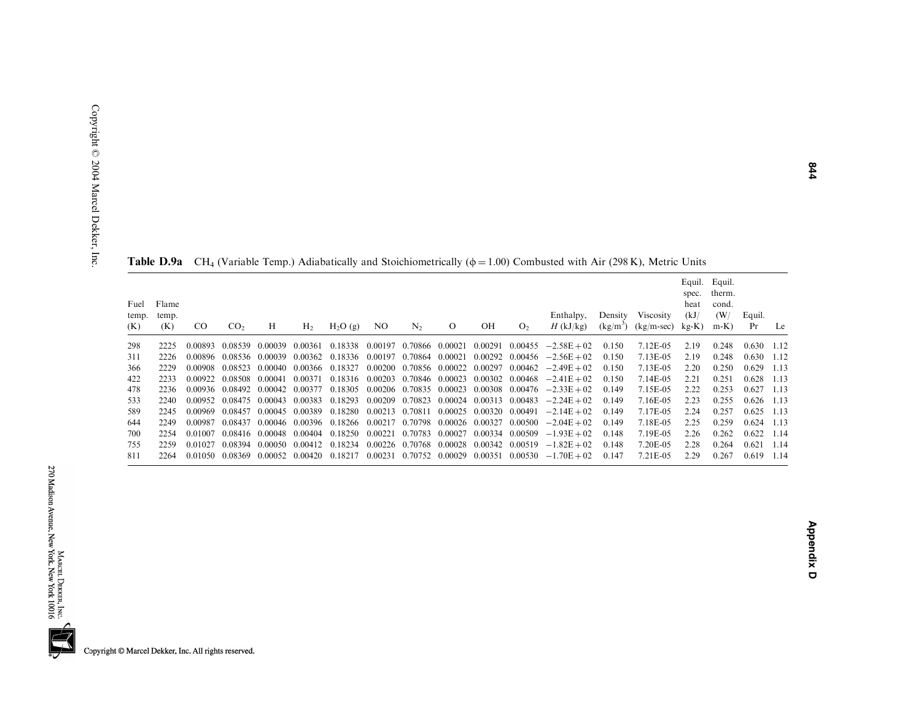| Fuel<br>temp.<br>(K) | Flame<br>temp.<br>(K) | $_{\rm CO}$ | CO <sub>2</sub> | Н       | H <sub>2</sub> | H <sub>2</sub> O(g)     | NO.                             | N <sub>2</sub>  | $\Omega$ | OН                      | O <sub>2</sub> | Enthalpy,<br>$H$ (kJ/kg)                                                | Density<br>$(kg/m^3)$ | <b>Viscosity</b><br>$(kg/m-sec)$ | spec.<br>heat<br>(kJ)<br>$kg-K$ ) | Equil. Equil.<br>therm.<br>cond.<br>(W/<br>$m-K$ ) | Equil.<br>Pr | Le   |
|----------------------|-----------------------|-------------|-----------------|---------|----------------|-------------------------|---------------------------------|-----------------|----------|-------------------------|----------------|-------------------------------------------------------------------------|-----------------------|----------------------------------|-----------------------------------|----------------------------------------------------|--------------|------|
| 298                  | 2225                  | 0.00893     | 0.08539         | 0.00039 | 0.00361        |                         | 0.18338 0.00197 0.70866 0.00021 |                 |          | 0.00291 0.00455         |                | $-2.58E + 02$                                                           | 0.150                 | 7.12E-05                         | 2.19                              | 0.248                                              | 0.630        | 1.12 |
| 311                  | 2226                  | 0.00896     | 0.08536         | 0.00039 | 0.00362        | 0.18336 0.00197 0.70864 |                                 |                 | 0.00021  |                         |                | $0.00292$ $0.00456$ $-2.56E+02$                                         | 0.150                 | 7.13E-05                         | 2.19                              | 0.248                                              | 0.630        | 1.12 |
| 366                  | 2229                  | 0.00908     | 0.08523         | 0.00040 | 0.00366        | 0.18327                 |                                 |                 |          |                         |                | $0.00200$ $0.70856$ $0.00022$ $0.00297$ $0.00462$ $-2.49E+02$           | 0.150                 | 7.13E-05                         | 2.20                              | 0.250                                              | 0.629        | 1.13 |
| 422                  | 2233                  | 0.00922     | 0.08508         | 0.00041 | 0.00371        |                         |                                 |                 |          |                         |                | $0.18316$ $0.00203$ $0.70846$ $0.00023$ $0.00302$ $0.00468$ $-2.41E+02$ | 0.150                 | 7.14E-05                         | 2.21                              | 0.251                                              | 0.628        | 1.13 |
| 478                  | 2236                  | 0.00936     | 0.08492         | 0.00042 | 0.00377        | 0.18305                 |                                 |                 |          |                         |                | $0.00206$ $0.70835$ $0.00023$ $0.00308$ $0.00476$ $-2.33E+02$           | 0.149                 | 7.15E-05                         | 2.22                              | 0.253                                              | 0.627        | 1.13 |
| 533                  | 2240                  | 0.00952     | 0.08475         | 0.00043 | 0.00383        | 0.18293 0.00209 0.70823 |                                 |                 |          | 0.00024 0.00313 0.00483 |                | $-2.24E + 02$                                                           | 0.149                 | 7.16E-05                         | 2.23                              | 0.255                                              | 0.626        | 1.13 |
| 589                  | 2245                  | 0.00969     | 0.08457         | 0.00045 | 0.00389        | 0.18280 0.00213 0.70811 |                                 |                 |          | 0.00025 0.00320 0.00491 |                | $-2.14E + 02$                                                           | 0.149                 | 7.17E-05                         | 2.24                              | 0.257                                              | 0.625        | 1.13 |
| 644                  | 2249                  | 0.00987     | 0.08437         | 0.00046 | 0.00396        |                         |                                 |                 |          |                         |                | $0.18266$ $0.00217$ $0.70798$ $0.00026$ $0.00327$ $0.00500$ $-2.04E+02$ | 0.149                 | 7.18E-05                         | 2.25                              | 0.259                                              | 0.624        | 1.13 |
| 700                  | 2254                  | 0.01007     | 0.08416         | 0.00048 | 0.00404        | 0.18250                 | 0.00221                         | 0.70783         |          | 0.00027 0.00334 0.00509 |                | $-1.93E + 02$                                                           | 0.148                 | 7.19E-05                         | 2.26                              | 0.262                                              | 0.622        | 1.14 |
| 755                  | 2259                  | 0.01027     | 0.08394         | 0.00050 | 0.00412        | 0.18234                 | 0.00226                         | 0.70768         |          | 0.00028 0.00342         | 0.00519        | $-1.82E + 02$                                                           | 0.148                 | 7.20E-05                         | 2.28                              | 0.264                                              | 0.621        | 1.14 |
| 811                  | 2264                  | 0.01050     | 0.08369         | 0.00052 | 0.00420        | 0.18217                 | 0.00231                         | 0.70752 0.00029 |          |                         |                | $0.00351$ $0.00530$ $-1.70E + 02$                                       | 0.147                 | 7.21E-05                         | 2.29                              | 0.267                                              | 0.619        | 1.14 |

**Table D.9a** CH<sub>4</sub> (Variable Temp.) Adiabatically and Stoichiometrically ( $\phi$  = 1.00) Combusted with Air (298 K), Metric Units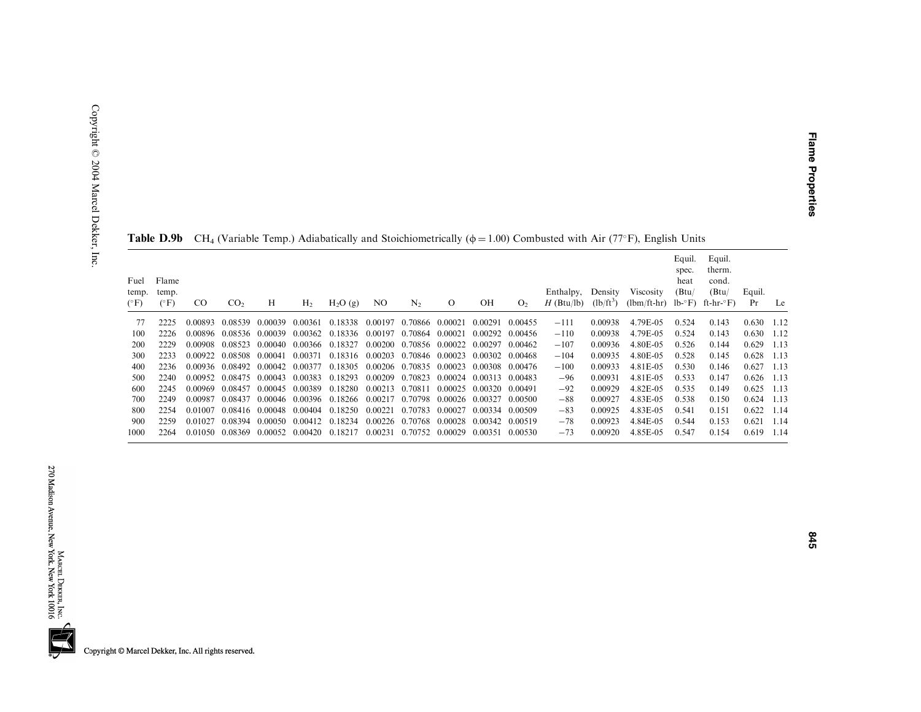| Fuel<br>temp.<br>$(^{\circ}F)$ | Flame<br>temp.<br>$(^{\circ}F)$ | CO.     | CO <sub>2</sub> | Н                               | H <sub>2</sub> | H <sub>2</sub> O(g)                             | NO.     | N <sub>2</sub>          | $\Omega$ | OН      | O <sub>2</sub> | Enthalpy,<br>$H$ (Btu/lb) | Density<br>$(lb/ft^3)$ | <b>Viscosity</b><br>$(lbm/ft-hr)$ lb- $\degree$ F) | Equil.<br>spec.<br>heat<br>(Btu) | Equil.<br>therm.<br>cond.<br>(Btu)<br>ft-hr-°F) | Equil.<br>Pr | Le    |
|--------------------------------|---------------------------------|---------|-----------------|---------------------------------|----------------|-------------------------------------------------|---------|-------------------------|----------|---------|----------------|---------------------------|------------------------|----------------------------------------------------|----------------------------------|-------------------------------------------------|--------------|-------|
| 77                             | 2225                            | 0.00893 | 0.08539         | - 0.00039                       | 0.00361        | 0.18338 0.00197                                 |         | 0.70866 0.00021         |          | 0.00291 | 0.00455        | $-111$                    | 0.00938                | 4.79E-05                                           | 0.524                            | 0.143                                           | 0.630        | -1.12 |
| 100                            | 2226                            |         |                 | 0.00896 0.08536 0.00039         |                | 0.00362 0.18336 0.00197 0.70864 0.00021         |         |                         |          | 0.00292 | 0.00456        | $-110$                    | 0.00938                | 4.79E-05                                           | 0.524                            | 0.143                                           | 0.630        | -1.12 |
| 200                            | 2229                            | 0.00908 | 0.08523         | 0.00040                         | 0.00366        | 0.18327                                         |         | 0.00200 0.70856 0.00022 |          | 0.00297 | 0.00462        | $-107$                    | 0.00936                | 4.80E-05                                           | 0.526                            | 0.144                                           | 0.629        | 1.13  |
| 300                            | 2233                            | 0.00922 | 0.08508         | 0.00041                         | 0.00371        | 0.18316 0.00203                                 |         | 0.70846 0.00023         |          | 0.00302 | 0.00468        | $-104$                    | 0.00935                | 4.80E-05                                           | 0.528                            | 0.145                                           | 0.628        | 1.13  |
| 400                            | 2236                            |         |                 | 0.00936 0.08492 0.00042 0.00377 |                | 0.18305                                         |         | 0.00206 0.70835 0.00023 |          | 0.00308 | 0.00476        | $-100$                    | 0.00933                | 4.81E-05                                           | 0.530                            | 0.146                                           | 0.627        | 1.13  |
| 500                            | 2240                            | 0.00952 | 0.08475         | 0.00043                         | 0.00383        | 0.18293                                         | 0.00209 | 0.70823                 | 0.00024  | 0.00313 | 0.00483        | $-96$                     | 0.00931                | 4.81E-05                                           | 0.533                            | 0.147                                           | 0.626        | 1.13  |
| 600                            | 2245                            | 0.00969 | 0.08457         | 0.00045                         | 0.00389        | 0.18280 0.00213 0.70811                         |         |                         | 0.00025  | 0.00320 | 0.00491        | $-92$                     | 0.00929                | 4.82E-05                                           | 0.535                            | 0.149                                           | 0.625        | 1.13  |
| 700                            | 2249                            | 0.00987 | 0.08437         |                                 |                | 0.00046 0.00396 0.18266 0.00217 0.70798 0.00026 |         |                         |          | 0.00327 | 0.00500        | $-88$                     | 0.00927                | 4.83E-05                                           | 0.538                            | 0.150                                           | 0.624        | 1.13  |
| 800                            | 2254                            | 0.01007 |                 | 0.08416 0.00048                 | 0.00404        | 0.18250 0.00221                                 |         | 0.70783 0.00027         |          | 0.00334 | 0.00509        | $-83$                     | 0.00925                | 4.83E-05                                           | 0.541                            | 0.151                                           | 0.622        | 1.14  |
| 900                            | 2259                            | 0.01027 | 0.08394         | 0.00050 0.00412                 |                | 0.18234                                         |         | 0.00226 0.70768 0.00028 |          | 0.00342 | 0.00519        | $-78$                     | 0.00923                | 4.84E-05                                           | 0.544                            | 0.153                                           | 0.621        | -1.14 |
| 1000                           | 2264                            |         | 0.01050 0.08369 | 0.00052 0.00420                 |                | 0.18217                                         | 0.00231 | 0.70752 0.00029         |          | 0.00351 | 0.00530        | $-73$                     | 0.00920                | 4.85E-05                                           | 0.547                            | 0.154                                           | 0.619        | -1.14 |

|  | <b>Table D.9b</b> CH <sub>4</sub> (Variable Temp.) Adiabatically and Stoichiometrically ( $\phi$ = 1.00) Combusted with Air (77°F), English Units |  |  |  |  |  |  |  |  |  |
|--|---------------------------------------------------------------------------------------------------------------------------------------------------|--|--|--|--|--|--|--|--|--|
|--|---------------------------------------------------------------------------------------------------------------------------------------------------|--|--|--|--|--|--|--|--|--|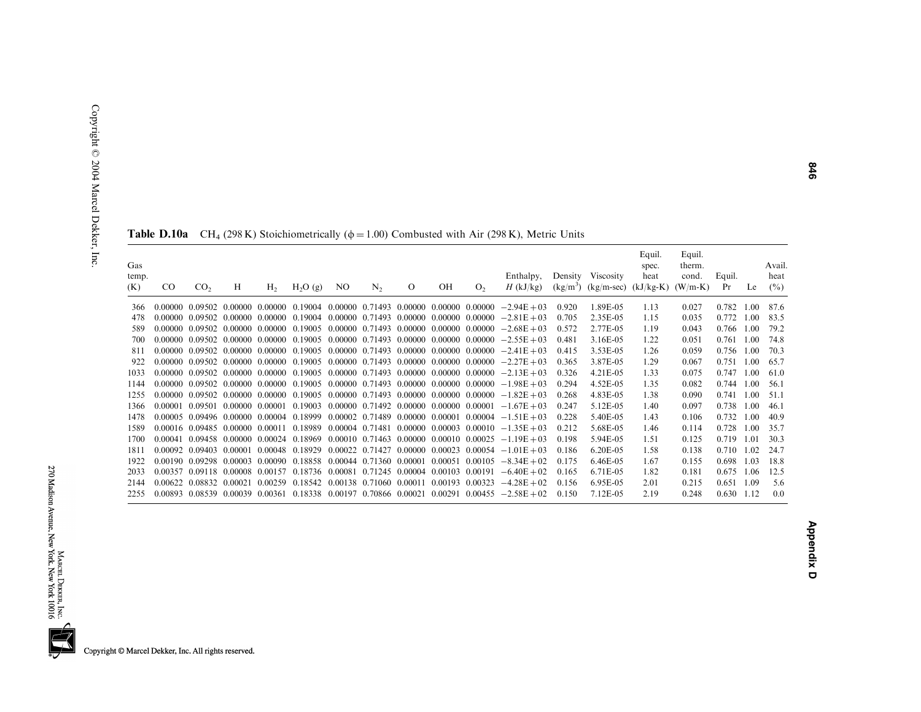| Gas<br>temp.<br>(K) | $_{\rm CO}$ | CO <sub>2</sub> | H                                       | H <sub>2</sub> | $H_2O(g)$                                       | NO.                                     | N <sub>2</sub>          | $\Omega$ | OH | O <sub>2</sub>                                    | Enthalpy,<br>$H$ (kJ/kg)                                                                                        |       | Density Viscosity<br>$(kg/m3)$ (kg/m-sec) (kJ/kg-K) | Equil.<br>spec.<br>heat | Equil.<br>therm.<br>cond.<br>$(W/m-K)$ | Equil.<br>Pr | Le   | Avail.<br>heat<br>$($ %) |
|---------------------|-------------|-----------------|-----------------------------------------|----------------|-------------------------------------------------|-----------------------------------------|-------------------------|----------|----|---------------------------------------------------|-----------------------------------------------------------------------------------------------------------------|-------|-----------------------------------------------------|-------------------------|----------------------------------------|--------------|------|--------------------------|
| 366                 |             | 0.00000 0.09502 | 0.00000 0.00000                         |                | 0.19004                                         |                                         |                         |          |    | $0.00000$ $0.71493$ $0.00000$ $0.00000$ $0.00000$ | $-2.94E + 03$                                                                                                   | 0.920 | 1.89E-05                                            | 1.13                    | 0.027                                  | 0.782        | 1.00 | 87.6                     |
| 478                 |             |                 | $0.00000$ $0.09502$ $0.00000$ $0.00000$ |                | 0.19004                                         |                                         |                         |          |    | $0.00000$ $0.71493$ $0.00000$ $0.00000$ $0.00000$ | $-2.81E + 03$                                                                                                   | 0.705 | 2.35E-05                                            | 1.15                    | 0.035                                  | 0.772        | 1.00 | 83.5                     |
| 589                 |             |                 | $0.00000$ $0.09502$ $0.00000$ $0.00000$ |                | 0.19005                                         |                                         |                         |          |    | $0.00000$ $0.71493$ $0.00000$ $0.00000$ $0.00000$ | $-2.68E + 03$                                                                                                   | 0.572 | 2.77E-05                                            | 1.19                    | 0.043                                  | 0.766        | 1.00 | 79.2                     |
| 700                 |             |                 | 0.00000 0.09502 0.00000                 | 0.00000        | 0.19005                                         |                                         |                         |          |    | 0.00000 0.71493 0.00000 0.00000 0.00000           | $-2.55E + 03$                                                                                                   | 0.481 | 3.16E-05                                            | 1.22                    | 0.051                                  | 0.761        | 1.00 | 74.8                     |
| 811                 | 0.00000     |                 | 0.09502 0.00000 0.00000                 |                | 0.19005                                         |                                         |                         |          |    | 0.00000 0.71493 0.00000 0.00000 0.00000           | $-2.41E + 03$                                                                                                   | 0.415 | 3.53E-05                                            | 1.26                    | 0.059                                  | 0.756        | 1.00 | 70.3                     |
| 922                 |             |                 | 0.00000 0.09502 0.00000 0.00000         |                | 0.19005                                         |                                         |                         |          |    | $0.00000$ $0.71493$ $0.00000$ $0.00000$ $0.00000$ | $-2.27E + 03$                                                                                                   | 0.365 | 3.87E-05                                            | 1.29                    | 0.067                                  | 0.751        | 1.00 | 65.7                     |
| 1033                |             |                 | 0.00000 0.09502 0.00000 0.00000         |                | 0.19005                                         |                                         |                         |          |    |                                                   | $0.00000$ $0.71493$ $0.00000$ $0.00000$ $0.00000$ $-2.13E+03$                                                   | 0.326 | 4.21E-05                                            | 1.33                    | 0.075                                  | 0.747        | 1.00 | 61.0                     |
| 1144                |             |                 | $0.00000$ $0.09502$ $0.00000$ $0.00000$ |                | 0.19005                                         |                                         |                         |          |    | 0.00000 0.71493 0.00000 0.00000 0.00000           | $-1.98E + 03$                                                                                                   | 0.294 | 4.52E-05                                            | 1.35                    | 0.082                                  | 0.744        | 1.00 | 56.1                     |
| 1255                |             |                 | 0.00000 0.09502 0.00000 0.00000         |                | 0.19005                                         | 0.00000 0.71493 0.00000 0.00000 0.00000 |                         |          |    |                                                   | $-1.82E + 03$                                                                                                   | 0.268 | 4.83E-05                                            | 1.38                    | 0.090                                  | 0.741        | 1.00 | 51.1                     |
| 1366                | 0.00001     |                 | 0.09501 0.00000 0.00001                 |                | 0.19003                                         |                                         |                         |          |    | $0.00000$ $0.71492$ $0.00000$ $0.00000$ $0.00001$ | $-1.67E + 03$                                                                                                   | 0.247 | 5.12E-05                                            | 1.40                    | 0.097                                  | 0.738        | 1.00 | 46.1                     |
| 1478                | 0.00005     |                 | 0.09496 0.00000 0.00004                 |                | 0.18999                                         | 0.00002 0.71489 0.00000 0.00001         |                         |          |    | 0.00004                                           | $-1.51E + 03$                                                                                                   | 0.228 | 5.40E-05                                            | 1.43                    | 0.106                                  | 0.732        | 1.00 | 40.9                     |
| 1589                |             |                 | 0.00016 0.09485 0.00000 0.00011         |                | 0.18989                                         |                                         |                         |          |    | 0.00004 0.71481 0.00000 0.00003 0.00010           | $-1.35E + 03$                                                                                                   | 0.212 | 5.68E-05                                            | 1.46                    | 0.114                                  | 0.728        | 1.00 | 35.7                     |
| 1700                | 0.00041     |                 | 0.09458 0.00000 0.00024 0.18969         |                |                                                 | 0.00010 0.71463 0.00000 0.00010 0.00025 |                         |          |    |                                                   | $-1.19E + 03$                                                                                                   | 0.198 | 5.94E-05                                            | 1.51                    | 0.125                                  | 0.719        | 1.01 | 30.3                     |
| 1811                |             | 0.00092 0.09403 | 0.00001                                 | 0.00048        | 0.18929                                         | $0.00022$ $0.71427$ $0.00000$ $0.00023$ |                         |          |    | 0.00054                                           | $-1.01E + 03$                                                                                                   | 0.186 | 6.20E-05                                            | 1.58                    | 0.138                                  | 0.710        | 1.02 | 24.7                     |
| 1922                |             | 0.00190 0.09298 | 0.00003                                 | 0.00090        | 0.18858 0.00044 0.71360 0.00001 0.00051         |                                         |                         |          |    | 0.00105                                           | $-8.34E + 02$                                                                                                   | 0.175 | 6.46E-05                                            | 1.67                    | 0.155                                  | 0.698        | 1.03 | 18.8                     |
| 2033                | 0.00357     | 0.09118 0.00008 |                                         | 0.00157        | 0.18736 0.00081                                 |                                         | 0.71245 0.00004 0.00103 |          |    | 0.00191                                           | $-6.40E + 02$                                                                                                   | 0.165 | 6.71E-05                                            | 1.82                    | 0.181                                  | 0.675        | 1.06 | 12.5                     |
| 2144                | 0.00622     | 0.08832         | 0.00021                                 | 0.00259        | 0.18542 0.00138 0.71060 0.00011 0.00193 0.00323 |                                         |                         |          |    |                                                   | $-4.28E + 02$                                                                                                   | 0.156 | 6.95E-05                                            | 2.01                    | 0.215                                  | 0.651        | 1.09 | 5.6                      |
| 2255                |             |                 |                                         |                |                                                 |                                         |                         |          |    |                                                   | $0.00893$ $0.08539$ $0.00039$ $0.00361$ $0.18338$ $0.00197$ $0.70866$ $0.00021$ $0.00291$ $0.00455$ $-2.58E+02$ | 0.150 | 7.12E-05                                            | 2.19                    | 0.248                                  | 0.630        | 1.12 | 0.0                      |

**Table D.10a** CH<sub>4</sub> (298 K) Stoichiometrically ( $\phi$  = 1.00) Combusted with Air (298 K), Metric Units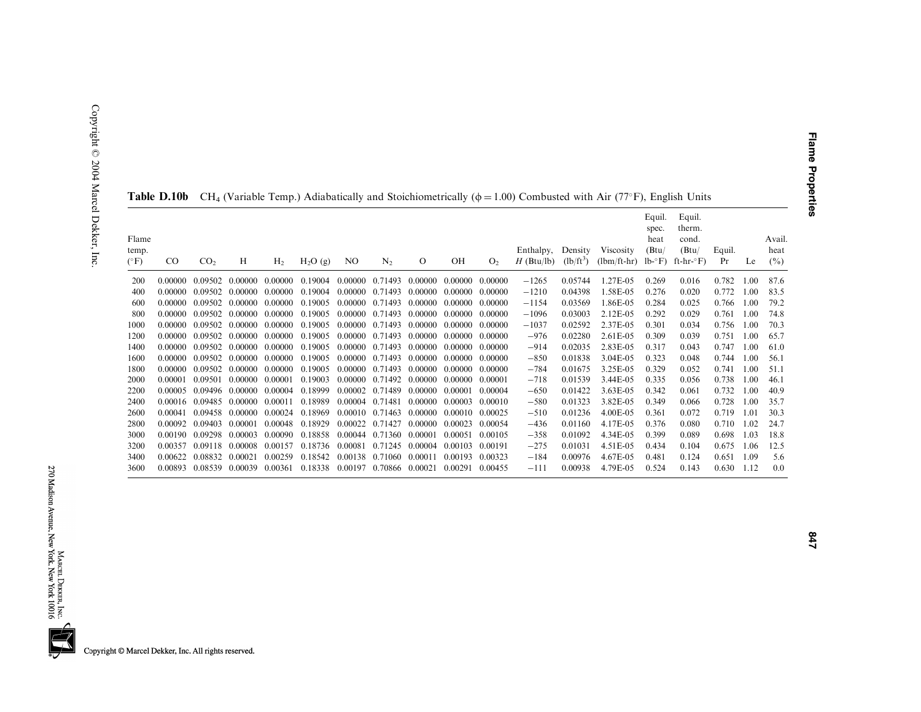| Flame<br>temp.<br>$(^{\circ}F)$ | CO.     | CO <sub>2</sub>                 | Н                       | H <sub>2</sub> | $H_2O(g)$ | NO.                     | N <sub>2</sub>  | $\Omega$                | OН              | O <sub>2</sub> | Enthalpy,<br>$H$ (Btu/lb) | Density<br>$(lb/ft^3)$ | Viscosity<br>$(lbm/ft-hr)$ lb- $\degree$ F) ft-hr- $\degree$ F) | Equil.<br>spec.<br>heat<br>(Btu) | Equil.<br>therm.<br>cond.<br>(Btu) | Equil.<br>Pr | Le   | Avail.<br>heat<br>$($ %) |
|---------------------------------|---------|---------------------------------|-------------------------|----------------|-----------|-------------------------|-----------------|-------------------------|-----------------|----------------|---------------------------|------------------------|-----------------------------------------------------------------|----------------------------------|------------------------------------|--------------|------|--------------------------|
| 200                             | 0.00000 | 0.09502                         | 0.00000                 | 0.00000        | 0.19004   |                         |                 | 0.00000 0.71493 0.00000 | 0.00000         | 0.00000        | $-1265$                   | 0.05744                | 1.27E-05                                                        | 0.269                            | 0.016                              | 0.782        | 1.00 | 87.6                     |
| 400                             | 0.00000 | 0.09502                         | 0.00000                 | 0.00000        | 0.19004   | 0.00000                 | 0.71493         | 0.00000                 | 0.00000         | 0.00000        | $-1210$                   | 0.04398                | 1.58E-05                                                        | 0.276                            | 0.020                              | 0.772        | 1.00 | 83.5                     |
| 600                             | 0.00000 |                                 | 0.09502 0.00000         | 0.00000        | 0.19005   | 0.00000                 | 0.71493         | 0.00000                 | 0.00000         | 0.00000        | $-1154$                   | 0.03569                | 1.86E-05                                                        | 0.284                            | 0.025                              | 0.766        | 1.00 | 79.2                     |
| 800                             | 0.00000 | 0.09502                         | 0.00000                 | 0.00000        | 0.19005   | 0.00000                 | 0.71493         | 0.00000                 | 0.00000         | 0.00000        | $-1096$                   | 0.03003                | 2.12E-05                                                        | 0.292                            | 0.029                              | 0.761        | 1.00 | 74.8                     |
| 1000                            | 0.00000 |                                 | 0.09502 0.00000         | 0.00000        | 0.19005   |                         | 0.00000 0.71493 | 0.00000                 | 0.00000         | 0.00000        | $-1037$                   | 0.02592                | 2.37E-05                                                        | 0.301                            | 0.034                              | 0.756        | 1.00 | 70.3                     |
| 1200                            | 0.00000 | 0.09502                         | 0.00000                 | 0.00000        | 0.19005   | 0.00000                 | 0.71493         | 0.00000                 | 0.00000         | 0.00000        | $-976$                    | 0.02280                | 2.61E-05                                                        | 0.309                            | 0.039                              | 0.751        | 1.00 | 65.7                     |
| 1400                            | 0.00000 |                                 | 0.09502 0.00000 0.00000 |                | 0.19005   | 0.00000                 | 0.71493 0.00000 |                         | 0.00000         | 0.00000        | $-914$                    | 0.02035                | 2.83E-05                                                        | 0.317                            | 0.043                              | 0.747        | 1.00 | 61.0                     |
| 1600                            | 0.00000 |                                 | 0.09502 0.00000         | 0.00000        | 0.19005   | 0.00000                 | 0.71493 0.00000 |                         | 0.00000         | 0.00000        | $-850$                    | 0.01838                | 3.04E-05                                                        | 0.323                            | 0.048                              | 0.744        | 1.00 | 56.1                     |
| 1800                            | 0.00000 | 0.09502                         | 0.00000                 | 0.00000        | 0.19005   | 0.00000                 | 0.71493 0.00000 |                         | 0.00000         | 0.00000        | $-784$                    | 0.01675                | 3.25E-05                                                        | 0.329                            | 0.052                              | 0.741        | 1.00 | 51.1                     |
| 2000                            | 0.00001 | 0.09501                         | 0.00000                 | 0.00001        | 0.19003   | 0.00000                 | 0.71492         | 0.00000                 | 0.00000         | 0.00001        | $-718$                    | 0.01539                | 3.44E-05                                                        | 0.335                            | 0.056                              | 0.738        | 1.00 | 46.1                     |
| 2200                            | 0.00005 | 0.09496 0.00000                 |                         | 0.00004        | 0.18999   | 0.00002                 | 0.71489         | 0.00000                 | 0.00001         | 0.00004        | $-650$                    | 0.01422                | 3.63E-05                                                        | 0.342                            | 0.061                              | 0.732        | 1.00 | 40.9                     |
| 2400                            |         | 0.00016 0.09485 0.00000         |                         | 0.00011        | 0.18989   | 0.00004 0.71481         |                 | 0.00000                 | 0.00003         | 0.00010        | $-580$                    | 0.01323                | 3.82E-05                                                        | 0.349                            | 0.066                              | 0.728        | 1.00 | 35.7                     |
| 2600                            | 0.00041 | 0.09458 0.00000                 |                         | 0.00024        | 0.18969   |                         | 0.00010 0.71463 | 0.00000                 | 0.00010         | 0.00025        | $-510$                    | 0.01236                | 4.00E-05                                                        | 0.361                            | 0.072                              | 0.719        | 1.01 | 30.3                     |
| 2800                            | 0.00092 | 0.09403                         | 0.00001                 | 0.00048        | 0.18929   | 0.00022                 | 0.71427         | 0.00000                 | 0.00023         | 0.00054        | $-436$                    | 0.01160                | 4.17E-05                                                        | 0.376                            | 0.080                              | 0.710        | 1.02 | 24.7                     |
| 3000                            | 0.00190 | 0.09298                         | 0.00003                 | 0.00090        | 0.18858   | 0.00044 0.71360         |                 | 0.00001                 | 0.00051         | 0.00105        | $-358$                    | 0.01092                | 4.34E-05                                                        | 0.399                            | 0.089                              | 0.698        | 1.03 | 18.8                     |
| 3200                            | 0.00357 | 0.09118                         | 0.00008                 | 0.00157        | 0.18736   | 0.00081                 | 0.71245         | 0.00004                 | 0.00103         | 0.00191        | $-275$                    | 0.01031                | 4.51E-05                                                        | 0.434                            | 0.104                              | 0.675        | 1.06 | 12.5                     |
| 3400                            | 0.00622 | 0.08832                         | 0.00021                 | 0.00259        | 0.18542   | 0.00138 0.71060         |                 | 0.00011                 | 0.00193         | 0.00323        | $-184$                    | 0.00976                | 4.67E-05                                                        | 0.481                            | 0.124                              | 0.651        | 1.09 | 5.6                      |
| 3600                            |         | 0.00893 0.08539 0.00039 0.00361 |                         |                | 0.18338   | 0.00197 0.70866 0.00021 |                 |                         | 0.00291 0.00455 |                | $-111$                    | 0.00938                | 4.79E-05                                                        | 0.524                            | 0.143                              | 0.630        | 1.12 | 0.0                      |

**Table D.10b** CH<sub>4</sub> (Variable Temp.) Adiabatically and Stoichiometrically ( $\phi$  = 1.00) Combusted with Air (77°F), English Units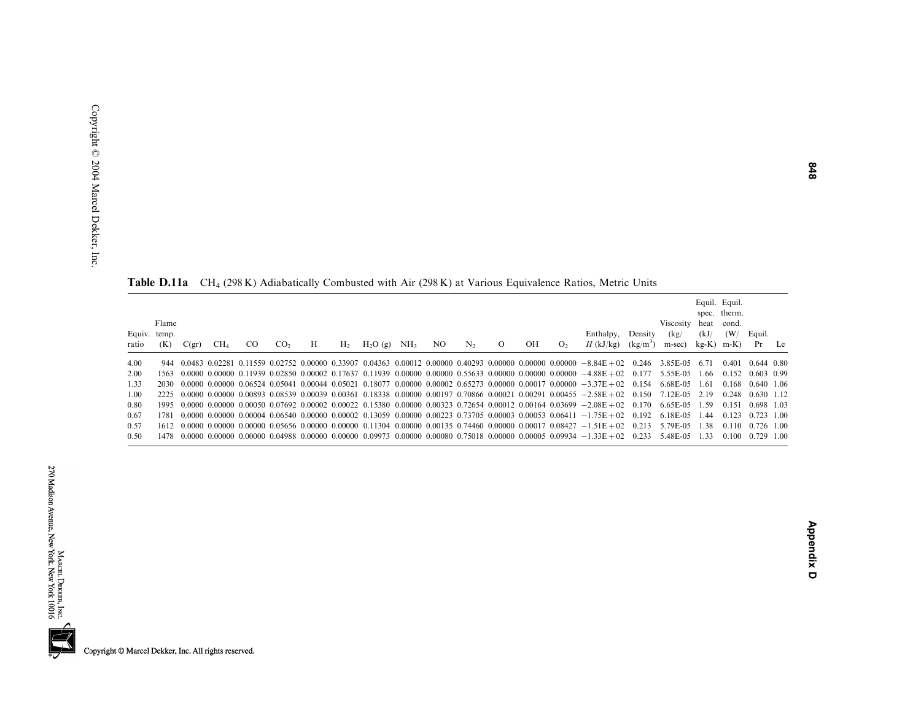|                       | <b>Table D.11a</b> CH <sub>4</sub> (296 N) Adiabatically Collibusted With All (296 N) at Various Equivalence Katios, Metric Units |       |                 |     |                 |   |                |           |                 |     |                |          |    |                |                                                                                                                                                                 |                       |                             |      |                                                                     |                                |    |
|-----------------------|-----------------------------------------------------------------------------------------------------------------------------------|-------|-----------------|-----|-----------------|---|----------------|-----------|-----------------|-----|----------------|----------|----|----------------|-----------------------------------------------------------------------------------------------------------------------------------------------------------------|-----------------------|-----------------------------|------|---------------------------------------------------------------------|--------------------------------|----|
| Equiv. temp.<br>ratio | Flame<br>(K)                                                                                                                      | C(gr) | CH <sub>4</sub> | CO. | CO <sub>2</sub> | H | H <sub>2</sub> | $H_2O(g)$ | NH <sub>3</sub> | NO. | N <sub>2</sub> | $\Omega$ | OН | O <sub>2</sub> | Enthalpy,<br>$H$ (kJ/kg)                                                                                                                                        | Density<br>$(kg/m^3)$ | Viscosity<br>(kg)<br>m-sec) | (kJ) | Equil. Equil.<br>spec. therm.<br>heat cond.<br>(W/<br>$kg-K$ ) m-K) | Equil.<br>Pr                   | Le |
| 4.00                  |                                                                                                                                   |       |                 |     |                 |   |                |           |                 |     |                |          |    |                | $944$ 0.0483 0.02281 0.11559 0.02752 0.00000 0.33907 0.04363 0.00012 0.00000 0.40293 0.00000 0.00000 0.00000 -8.84E +02 0.246                                   |                       | 3.85E-05                    | 6.71 | 0.401                                                               | 0.644 0.80                     |    |
| 2.00                  | 1563                                                                                                                              |       |                 |     |                 |   |                |           |                 |     |                |          |    |                | $0.0000$ $0.00000$ $0.11939$ $0.02850$ $0.00002$ $0.17637$ $0.11939$ $0.00000$ $0.00000$ $0.55633$ $0.00000$ $0.00000$ $0.00000$ $-4.88E+02$ $0.177$ $5.55E-05$ |                       |                             | 1.66 | 0.152                                                               | 0.603 0.99                     |    |
| 1.33                  | 2030                                                                                                                              |       |                 |     |                 |   |                |           |                 |     |                |          |    |                | $0.0000$ $0.00000$ $0.06524$ $0.05041$ $0.00044$ $0.05021$ $0.18077$ $0.00000$ $0.00002$ $0.65273$ $0.00000$ $0.00017$ $0.00000$ $-3.37E+02$ $0.154$            |                       | 6.68E-05                    | 1.61 | 0.168                                                               | $0.640$ 1.06                   |    |
| 1.00                  |                                                                                                                                   |       |                 |     |                 |   |                |           |                 |     |                |          |    |                | 2225 0.0000 0.00000 0.00893 0.08539 0.00039 0.00361 0.18338 0.00000 0.00197 0.70866 0.00021 0.00291 0.00455 -2.58E+02 0.150 7.12E-05 2.19                       |                       |                             |      | 0.248                                                               | $0.630$ 1.12                   |    |
| 0.80                  |                                                                                                                                   |       |                 |     |                 |   |                |           |                 |     |                |          |    |                | $1995$ 0.0000 0.00000 0.00050 0.07692 0.00002 0.00022 0.15380 0.00000 0.00323 0.72654 0.00012 0.00164 0.03699 $-2.08E+02$ 0.170                                 |                       | 6.65E-05                    | 1.59 | 0.151                                                               | 0.698 1.03                     |    |
| 0.67                  | 1781                                                                                                                              |       |                 |     |                 |   |                |           |                 |     |                |          |    |                | $0.0000$ $0.00000$ $0.00004$ $0.06540$ $0.00000$ $0.00002$ $0.13059$ $0.00000$ $0.00223$ $0.73705$ $0.00003$ $0.00053$ $0.06411$ $-1.75E+02$ $0.192$ 6.18E-05   |                       |                             | 1.44 |                                                                     | $0.123$ $0.723$ 1.00           |    |
| 0.57                  |                                                                                                                                   |       |                 |     |                 |   |                |           |                 |     |                |          |    |                | $1612$ 0.0000 0.00000 0.00000 0.05656 0.00000 0.00000 0.11304 0.00000 0.00135 0.74460 0.00000 0.00017 0.08427 $-1.51E+02$ 0.213                                 |                       | 5.79E-05                    | 1.38 | 0.110                                                               | $0.726$ 1.00                   |    |
| 0.50                  |                                                                                                                                   |       |                 |     |                 |   |                |           |                 |     |                |          |    |                | 1478 0.0000 0.00000 0.00000 0.04988 0.00000 0.00000 0.09973 0.00000 0.00080 0.75018 0.00000 0.00005 0.09934 -1.33E+02 0.233 5.48E-05 1.33                       |                       |                             |      |                                                                     | $0.100 \quad 0.729 \quad 1.00$ |    |

Table D.11a CH<sub>4</sub> (298 K) Adiabatically Combusted with Air (298 K) at Various Equivalence Ratios, Metric Units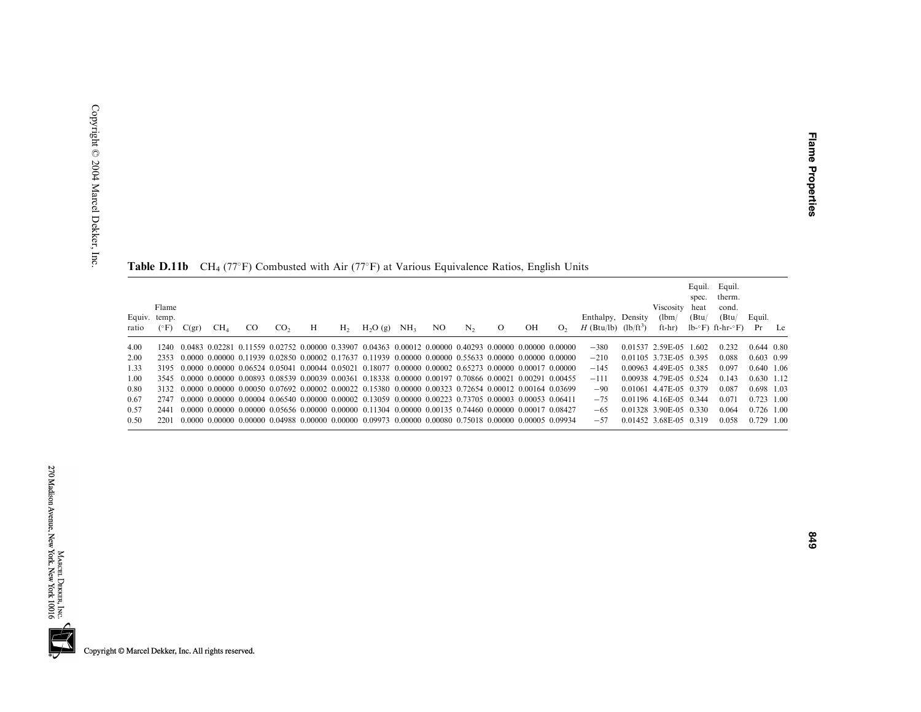|                       |               |       |                 |               |                 |   |                |                                                                                                                                               |                 |     |         |         |    |                |                                                         |                              | Equil.<br>spec. | Equil.<br>therm.                                     |                |    |
|-----------------------|---------------|-------|-----------------|---------------|-----------------|---|----------------|-----------------------------------------------------------------------------------------------------------------------------------------------|-----------------|-----|---------|---------|----|----------------|---------------------------------------------------------|------------------------------|-----------------|------------------------------------------------------|----------------|----|
| Equiv. temp.<br>ratio | Flame<br>(°F) | C(gr) | CH <sub>4</sub> | <sub>CO</sub> | CO <sub>2</sub> | Н | H <sub>2</sub> | H <sub>2</sub> O(g)                                                                                                                           | NH <sub>3</sub> | NO. | $N_{2}$ | $\circ$ | OН | O <sub>2</sub> | Enthalpy, Density<br>$H$ (Btu/lb) (lb/ft <sup>3</sup> ) | Viscosity<br>(lbm/<br>ft-hr) | heat<br>(Btu)   | cond.<br>(Btu/<br>$lb^{\circ}F$ ) ft-hr- $\circ F$ ) | Equil.<br>Pr   | Le |
| 4.00                  | 1240-         |       |                 |               |                 |   |                | $0.0483$ 0.02281 0.11559 0.02752 0.00000 0.33907 0.04363 0.00012 0.00000 0.40293 0.00000 0.00000 0.00000                                      |                 |     |         |         |    |                | $-380$                                                  | 0.01537 2.59E-05 1.602       |                 | 0.232                                                | $0.644$ $0.80$ |    |
| 2.00                  | 2353          |       |                 |               |                 |   |                | $-0.0000$ $-0.00000$ $-0.11939$ $-0.02850$ $-0.00002$ $-0.17637$ $-0.11939$ $-0.00000$ $-0.00000$ $-0.55633$ $-0.00000$ $-0.00000$ $-0.00000$ |                 |     |         |         |    |                | $-210$                                                  | 0.01105 3.73E-05 0.395       |                 | 0.088                                                | $0.603$ 0.99   |    |
| 1.33                  |               |       |                 |               |                 |   |                | 3195 0.0000 0.00000 0.06524 0.05041 0.00044 0.05021 0.18077 0.00000 0.00002 0.65273 0.00000 0.00017 0.00000                                   |                 |     |         |         |    |                | $-145$                                                  | 0.00963 4.49E-05 0.385       |                 | 0.097                                                | 0.640 1.06     |    |
| 1.00                  |               |       |                 |               |                 |   |                | 3545 0.0000 0.00000 0.00893 0.08539 0.00039 0.00361 0.18338 0.00000 0.00197 0.70866 0.00021 0.00291 0.00455                                   |                 |     |         |         |    |                | $-111$                                                  | 0.00938 4.79E-05 0.524       |                 | 0.143                                                | 0.630 1.12     |    |
| 0.80                  |               |       |                 |               |                 |   |                | 3132 0.0000 0.00000 0.00050 0.07692 0.00002 0.00022 0.15380 0.00000 0.00323 0.72654 0.00012 0.00164 0.03699                                   |                 |     |         |         |    |                | $-90^{\circ}$                                           | 0.01061 4.47E-05 0.379       |                 | 0.087                                                | 0.698 1.03     |    |
| 0.67                  | 2747          |       |                 |               |                 |   |                | $-0.0000$ $-0.00000$ $-0.00004$ $-0.06540$ $-0.00000$ $-0.00002$ $-0.13059$ $-0.00000$ $-0.00223$ $-0.73705$ $-0.00003$ $-0.00053$ $-0.06411$ |                 |     |         |         |    |                | $-75$                                                   | 0.01196 4.16E-05 0.344       |                 | 0.071                                                | $0.723$ 1.00   |    |
| 0.57                  | 2441          |       |                 |               |                 |   |                | $0.0000$ $0.00000$ $0.00000$ $0.05656$ $0.00000$ $0.00000$ $0.11304$ $0.00000$ $0.00135$ $0.74460$ $0.00000$ $0.00017$ $0.08427$              |                 |     |         |         |    |                | $-65$                                                   | 0.01328 3.90E-05 0.330       |                 | 0.064                                                | $0.726$ 1.00   |    |
| 0.50                  | 2201          |       |                 |               |                 |   |                | $0.0000$ $0.00000$ $0.00000$ $0.04988$ $0.00000$ $0.00000$ $0.09973$ $0.00000$ $0.00080$ $0.75018$ $0.00000$ $0.00005$ $0.09934$              |                 |     |         |         |    |                | $-57$                                                   | 0.01452 3.68E-05 0.319       |                 | 0.058                                                | 0.729 1.00     |    |

**Table D.11b** CH<sub>4</sub> (77°F) Combusted with Air (77°F) at Various Equivalence Ratios, English Units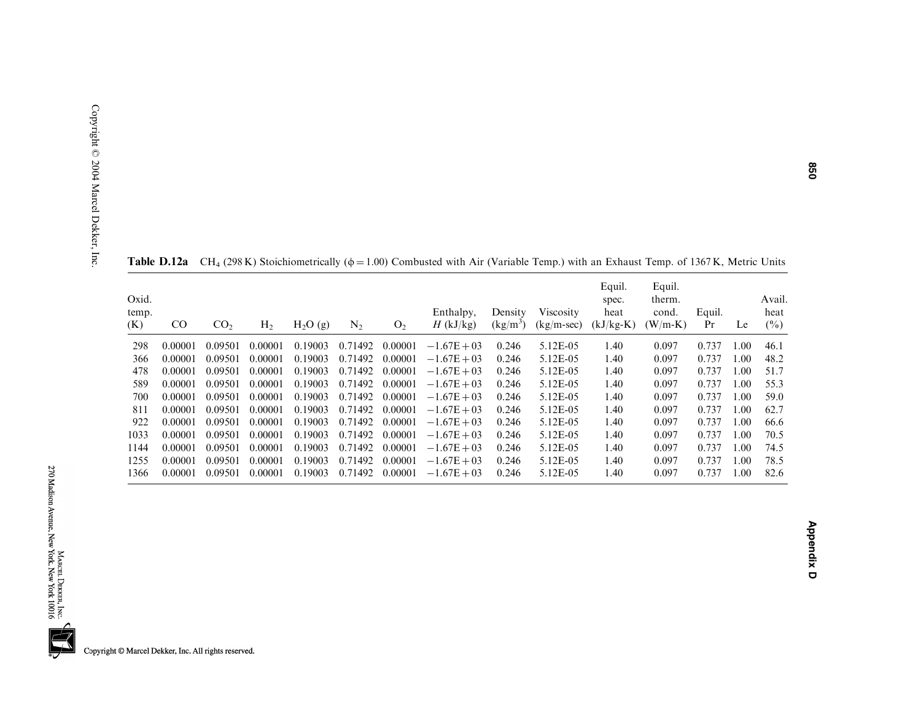| Oxid.<br>temp.<br>(K) | $_{\rm CO}$ | CO <sub>2</sub> | H <sub>2</sub> | $H_2O(g)$ | $N_2$   | O <sub>2</sub> | Enthalpy,<br>$H$ (kJ/kg) | Density<br>$(kg/m^3)$ | <b>Viscosity</b><br>$(kg/m-sec)$ | Equil.<br>spec.<br>heat<br>$(kJ/kg-K)$ | Equil.<br>therm.<br>cond.<br>$(W/m-K)$ | Equil.<br>Pr | Le   | Avail.<br>heat<br>$(\%)$ |
|-----------------------|-------------|-----------------|----------------|-----------|---------|----------------|--------------------------|-----------------------|----------------------------------|----------------------------------------|----------------------------------------|--------------|------|--------------------------|
| 298                   | 0.00001     | 0.09501         | 0.00001        | 0.19003   | 0.71492 | 0.00001        | $-1.67E + 03$            | 0.246                 | 5.12E-05                         | 1.40                                   | 0.097                                  | 0.737        | .00. | 46.1                     |
| 366                   | 0.00001     | 0.09501         | 0.00001        | 0.19003   | 0.71492 | 0.00001        | $-1.67E + 03$            | 0.246                 | 5.12E-05                         | 1.40                                   | 0.097                                  | 0.737        | 00.1 | 48.2                     |
| 478                   | 0.00001     | 0.09501         | 0.00001        | 0.19003   | 0.71492 | 0.00001        | $-1.67E + 03$            | 0.246                 | 5.12E-05                         | 1.40                                   | 0.097                                  | 0.737        | 0.00 | 51.7                     |
| 589                   | 0.00001     | 0.09501         | 0.00001        | 0.19003   | 0.71492 | 0.00001        | $-1.67E + 03$            | 0.246                 | 5.12E-05                         | 1.40                                   | 0.097                                  | 0.737        | 1.00 | 55.3                     |
| 700                   | 0.00001     | 0.09501         | 0.00001        | 0.19003   | 0.71492 | 0.00001        | $-1.67E + 03$            | 0.246                 | 5.12E-05                         | 1.40                                   | 0.097                                  | 0.737        | 0.00 | 59.0                     |
| 811                   | 0.00001     | 0.09501         | 0.00001        | 0.19003   | 0.71492 | 0.00001        | $-1.67E + 03$            | 0.246                 | 5.12E-05                         | 1.40                                   | 0.097                                  | 0.737        | 00.1 | 62.7                     |
| 922                   | 0.00001     | 0.09501         | 0.00001        | 0.19003   | 0.71492 | 0.00001        | $-1.67E + 03$            | 0.246                 | 5.12E-05                         | 1.40                                   | 0.097                                  | 0.737        | 0.00 | 66.6                     |
| 1033                  | 0.00001     | 0.09501         | 0.00001        | 0.19003   | 0.71492 | 0.00001        | $-1.67E + 03$            | 0.246                 | 5.12E-05                         | 1.40                                   | 0.097                                  | 0.737        | 1.00 | 70.5                     |
| 1144                  | 0.00001     | 0.09501         | 0.00001        | 0.19003   | 0.71492 | 0.00001        | $-1.67E + 03$            | 0.246                 | 5.12E-05                         | 1.40                                   | 0.097                                  | 0.737        | 00.1 | 74.5                     |
| 1255                  | 0.00001     | 0.09501         | 0.00001        | 0.19003   | 0.71492 | 0.00001        | $-1.67E + 03$            | 0.246                 | 5.12E-05                         | 1.40                                   | 0.097                                  | 0.737        | 00.1 | 78.5                     |
| 1366                  | 0.00001     | 0.09501         | 0.00001        | 0.19003   | 0.71492 | 0.00001        | $-1.67E + 03$            | 0.246                 | 5.12E-05                         | 1.40                                   | 0.097                                  | 0.737        | .00. | 82.6                     |

**Table D.12a** CH<sub>4</sub> (298 K) Stoichiometrically ( $\phi$  = 1.00) Combusted with Air (Variable Temp.) with an Exhaust Temp. of 1367 K, Metric Units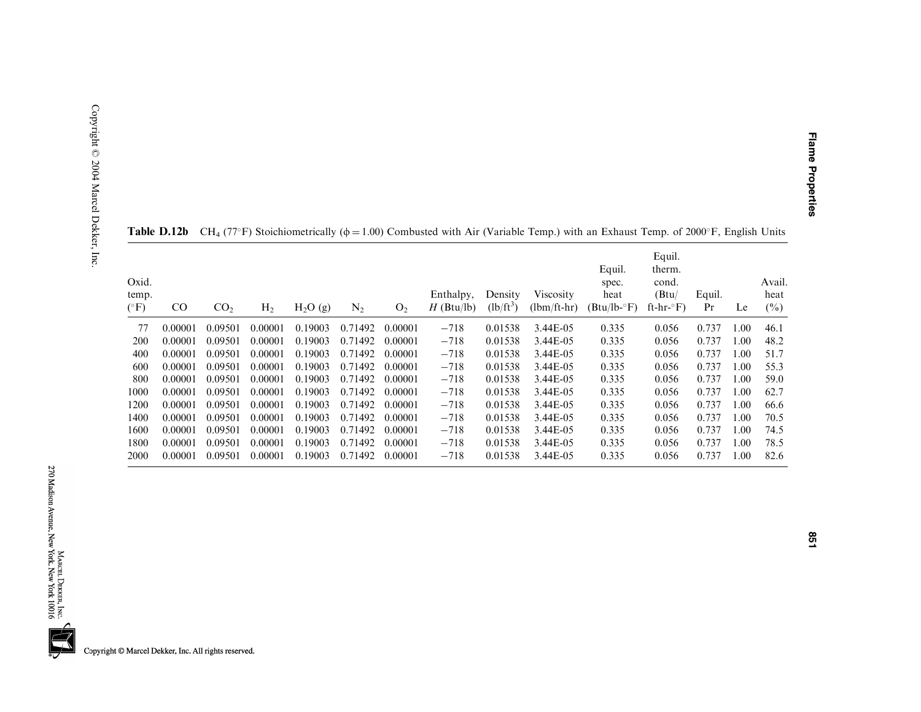| Oxid.<br>temp.<br>$(^{\circ}F)$ | $_{\rm CO}$ | CO <sub>2</sub> | H <sub>2</sub> | $H_2O(g)$ | $\rm N_2$ | O <sub>2</sub> | Enthalpy,<br>$H$ (Btu/lb) | Density<br>$(lb/ft^3)$ | Viscosity<br>$(lbm/ft-hr)$ | Equil.<br>spec.<br>heat<br>$(Btu/lb - F)$ | Equil.<br>therm.<br>cond.<br>(Btu)<br>ft-hr- $\mathrm{F}$ ) | Equil.<br>Pr | Le   | Avail.<br>heat<br>$(\%)$ |
|---------------------------------|-------------|-----------------|----------------|-----------|-----------|----------------|---------------------------|------------------------|----------------------------|-------------------------------------------|-------------------------------------------------------------|--------------|------|--------------------------|
| 77                              | 0.00001     | 0.09501         | 0.00001        | 0.19003   | 0.71492   | 0.00001        | $-718$                    | 0.01538                | 3.44E-05                   | 0.335                                     | 0.056                                                       | 0.737        | 1.00 | 46.1                     |
| 200                             | 0.00001     | 0.09501         | 0.00001        | 0.19003   | 0.71492   | 0.00001        | $-718$                    | 0.01538                | 3.44E-05                   | 0.335                                     | 0.056                                                       | 0.737        | 1.00 | 48.2                     |
| 400                             | 0.00001     | 0.09501         | 0.00001        | 0.19003   | 0.71492   | 0.00001        | $-718$                    | 0.01538                | 3.44E-05                   | 0.335                                     | 0.056                                                       | 0.737        | 1.00 | 51.7                     |
| 600                             | 0.00001     | 0.09501         | 0.00001        | 0.19003   | 0.71492   | 0.00001        | $-718$                    | 0.01538                | 3.44E-05                   | 0.335                                     | 0.056                                                       | 0.737        | 1.00 | 55.3                     |
| 800                             | 0.00001     | 0.09501         | 0.00001        | 0.19003   | 0.71492   | 0.00001        | $-718$                    | 0.01538                | 3.44E-05                   | 0.335                                     | 0.056                                                       | 0.737        | 1.00 | 59.0                     |
| 1000                            | 0.00001     | 0.09501         | 0.00001        | 0.19003   | 0.71492   | 0.00001        | $-718$                    | 0.01538                | 3.44E-05                   | 0.335                                     | 0.056                                                       | 0.737        | 1.00 | 62.7                     |
| 1200                            | 0.00001     | 0.09501         | 0.00001        | 0.19003   | 0.71492   | 0.00001        | $-718$                    | 0.01538                | 3.44E-05                   | 0.335                                     | 0.056                                                       | 0.737        | 00.1 | 66.6                     |
| 1400                            | 0.00001     | 0.09501         | 0.00001        | 0.19003   | 0.71492   | 0.00001        | $-718$                    | 0.01538                | 3.44E-05                   | 0.335                                     | 0.056                                                       | 0.737        | 1.00 | 70.5                     |
| 1600                            | 0.00001     | 0.09501         | 0.00001        | 0.19003   | 0.71492   | 0.00001        | $-718$                    | 0.01538                | 3.44E-05                   | 0.335                                     | 0.056                                                       | 0.737        | 1.00 | 74.5                     |
| 1800                            | 0.00001     | 0.09501         | 0.00001        | 0.19003   | 0.71492   | 0.00001        | $-718$                    | 0.01538                | 3.44E-05                   | 0.335                                     | 0.056                                                       | 0.737        | 1.00 | 78.5                     |
| 2000                            | 0.00001     | 0.09501         | 0.00001        | 0.19003   | 0.71492   | 0.00001        | $-718$                    | 0.01538                | 3.44E-05                   | 0.335                                     | 0.056                                                       | 0.737        | 00.1 | 82.6                     |

**Table D.12b** CH<sub>4</sub> (77°F) Stoichiometrically ( $\phi$  = 1.00) Combusted with Air (Variable Temp.) with an Exhaust Temp. of 2000°F, English Units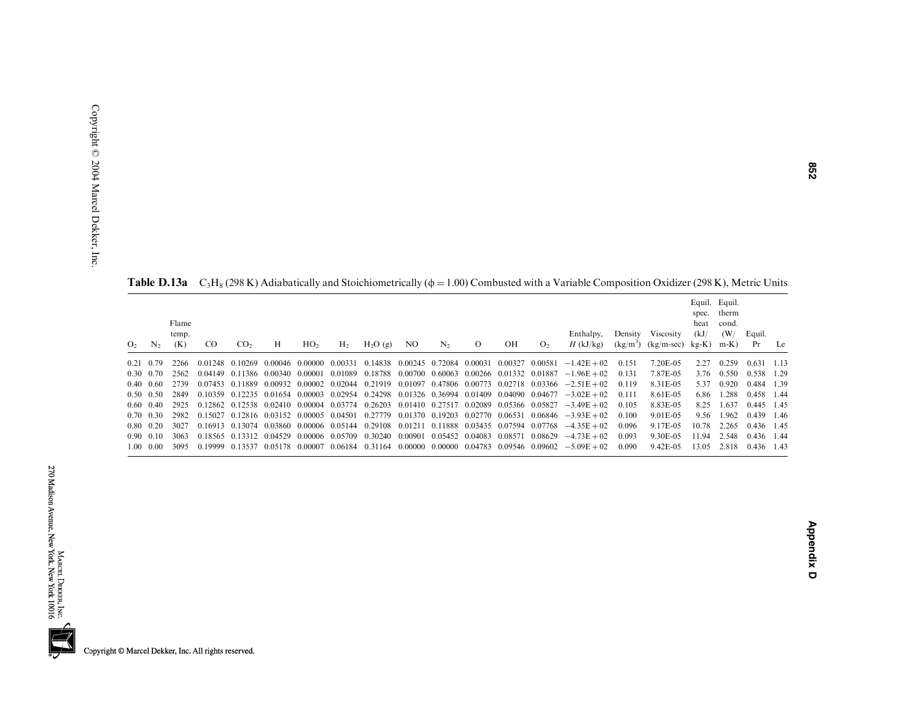| O <sub>2</sub> | $N_{2}$           | Flame<br>temp.<br>(K) | <sub>CO</sub> | CO <sub>2</sub> | H       | HO <sub>2</sub>         | H <sub>2</sub>                          | H <sub>2</sub> O(g)                             | NO              | $N_{2}$ | $\Omega$                                | OН      | O <sub>2</sub>                  | Enthalpy.<br>$H$ (kJ/kg)                                                                                                  | Density<br>$(kg/m^3)$ | Viscosity<br>$(kg/m\text{-}sec)$ kg-K) | spec.<br>heat<br>(kJ) | Equil. Equil.<br>therm<br>cond.<br>(W/<br>$m-K$ ) | Equil.<br>Pr | Le    |
|----------------|-------------------|-----------------------|---------------|-----------------|---------|-------------------------|-----------------------------------------|-------------------------------------------------|-----------------|---------|-----------------------------------------|---------|---------------------------------|---------------------------------------------------------------------------------------------------------------------------|-----------------------|----------------------------------------|-----------------------|---------------------------------------------------|--------------|-------|
|                | $0.21 \quad 0.79$ | 2266                  |               | 0.01248 0.10269 |         | 0.00046 0.00000 0.00331 |                                         | 0.14838                                         | 0.00245 0.72084 |         | 0.00031                                 | 0.00327 | 0.00581                         | $-1.42E + 02$                                                                                                             | 0.151                 | 7.20E-05                               | 2.27                  | 0.259                                             | 0.631        | -1.13 |
|                | $0.30 \quad 0.70$ | 2562                  |               | 0.04149 0.11386 |         | 0.00340 0.00001 0.01089 |                                         | 0.18788                                         |                 |         | 0.00700 0.60063 0.00266 0.01332 0.01887 |         |                                 | $-1.96E + 02$                                                                                                             | 0.131                 | 7.87E-05                               | 3.76                  | 0.550                                             | 0.538 1.29   |       |
|                | $0.40 \quad 0.60$ | 2739                  |               | 0.07453 0.11889 |         |                         |                                         | 0.00932 0.00002 0.02044 0.21919                 |                 |         |                                         |         |                                 | $0.01097$ $0.47806$ $0.00773$ $0.02718$ $0.03366$ $-2.51E+02$                                                             | 0.119                 | 8.31E-05                               | 5.37                  | 0.920                                             | 0.484        | 1.39  |
|                | $0.50 \quad 0.50$ | 2849                  |               |                 |         |                         |                                         |                                                 |                 |         |                                         |         |                                 | $0.10359$ $0.12235$ $0.01654$ $0.00003$ $0.02954$ $0.24298$ $0.01326$ $0.36994$ $0.01409$ $0.04090$ $0.04677$ $-3.02E+02$ | 0.111                 | 8.61E-05                               | 6.86                  | 1.288                                             | 0.458 1.44   |       |
|                | $0.60 \quad 0.40$ | 2925                  |               |                 |         |                         |                                         |                                                 |                 |         |                                         |         |                                 | $0.12862$ $0.12538$ $0.02410$ $0.00004$ $0.03774$ $0.26203$ $0.01410$ $0.27517$ $0.02089$ $0.05366$ $0.05827$ $-3.49E+02$ | 0.105                 | 8.83E-05                               | 8.25                  | .637                                              | 0.445 1.45   |       |
|                | $0.70 \quad 0.30$ | 2982                  |               |                 |         |                         |                                         | 0.15027 0.12816 0.03152 0.00005 0.04501 0.27779 |                 |         |                                         |         |                                 | $0.01370$ $0.19203$ $0.02770$ $0.06531$ $0.06846$ $-3.93E+02$                                                             | 0.100                 | 9.01E-05                               | 9.56                  | 1.962                                             | 0.439 1.46   |       |
|                | $0.80 \quad 0.20$ | 3027                  | 0.16913       | 0.13074         |         |                         | 0.03860 0.00006 0.05144                 | 0.29108                                         | 0.01211         |         |                                         |         | 0.11888 0.03435 0.07594 0.07768 | $-4.35E + 02$                                                                                                             | 0.096                 | 9.17E-05                               | 10.78                 | 2.265                                             | 0.436 1.45   |       |
|                | $0.90 \quad 0.10$ | 3063                  |               |                 |         |                         | 0.18565 0.13312 0.04529 0.00006 0.05709 | 0.30240                                         | 0.00901         |         |                                         |         | 0.05452 0.04083 0.08571 0.08629 | $-4.73E + 02$                                                                                                             | 0.093                 | 9.30E-05                               | 11.94                 | 2.548                                             | 0.436 1.44   |       |
|                | $1.00 \quad 0.00$ | 3095                  | 0.19999       | 0.13537         | 0.05178 | 0.00007                 | 0.06184                                 | 0.31164                                         | 0.00000         |         |                                         |         |                                 | $0.00000$ $0.04783$ $0.09546$ $0.09602$ $-5.09E+02$                                                                       | 0.090                 | 9.42E-05                               | 13.05                 | 2.818                                             | 0.436 1.43   |       |

**Table D.13a** C<sub>3</sub>H<sub>8</sub> (298 K) Adiabatically and Stoichiometrically ( $\phi$  = 1.00) Combusted with a Variable Composition Oxidizer (298 K), Metric Units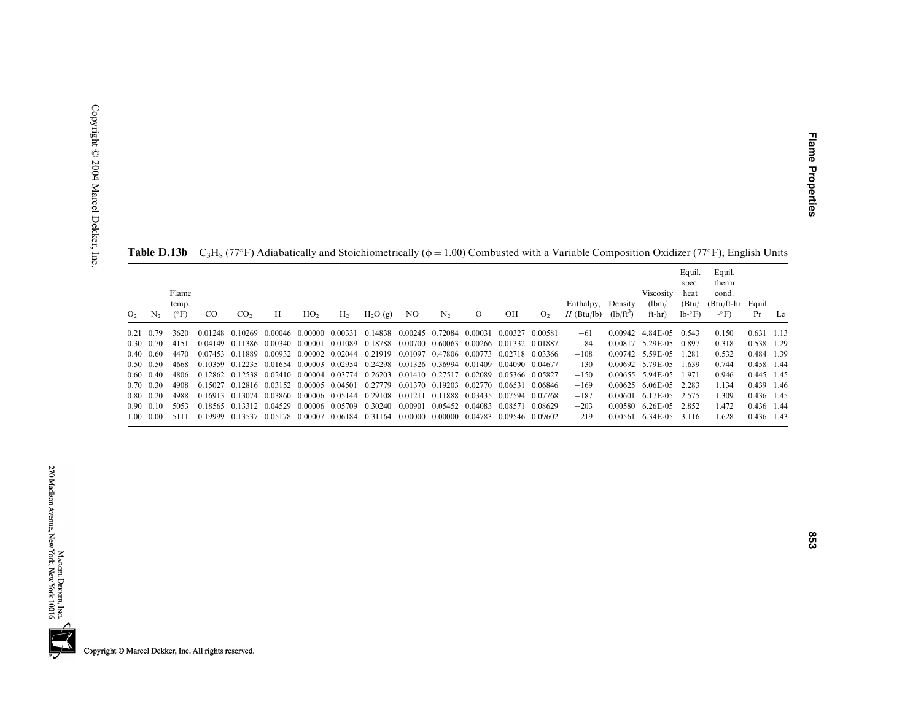| O <sub>2</sub> | N <sub>2</sub>    | Flame<br>temp.<br>$(^{\circ}F)$ | <sub>CO</sub> | CO <sub>2</sub> | H | HO <sub>2</sub>                         | H <sub>2</sub>                          | $H_2O(g)$                                                               | NO.                     | N <sub>2</sub>          | $\Omega$        | OН                              | O <sub>2</sub> | Enthalpy,<br>$H$ (Btu/lb) | Density<br>$(lb/ft^3)$ | <b>Viscosity</b><br>(lbm)<br>ft-hr) | Equil.<br>spec.<br>heat<br>(Btu)<br>$lb - F$ | Equil.<br>therm<br>cond.<br>(Btu/ft-hr Equil<br>$-\circ F$ ) | Pr           | Le |
|----------------|-------------------|---------------------------------|---------------|-----------------|---|-----------------------------------------|-----------------------------------------|-------------------------------------------------------------------------|-------------------------|-------------------------|-----------------|---------------------------------|----------------|---------------------------|------------------------|-------------------------------------|----------------------------------------------|--------------------------------------------------------------|--------------|----|
|                | $0.21 \quad 0.79$ | 3620                            |               | 0.01248 0.10269 |   | 0.00046 0.00000 0.00331                 |                                         | 0.14838                                                                 |                         | 0.00245 0.72084         | 0.00031         | 0.00327                         | 0.00581        | $-61$                     | 0.00942                | 4.84E-05                            | 0.543                                        | 0.150                                                        | $0.631$ 1.13 |    |
|                | $0.30 \quad 0.70$ | 4151                            |               |                 |   |                                         | 0.04149 0.11386 0.00340 0.00001 0.01089 | 0.18788                                                                 | 0.00700 0.60063 0.00266 |                         |                 | 0.01332 0.01887                 |                | $-84$                     |                        | 0.00817 5.29E-05                    | 0.897                                        | 0.318                                                        | 0.538 1.29   |    |
|                | $0.40 \quad 0.60$ | 4470                            |               |                 |   | 0.07453 0.11889 0.00932 0.00002 0.02044 |                                         | 0.21919 0.01097 0.47806 0.00773 0.02718 0.03366                         |                         |                         |                 |                                 |                | $-108$                    |                        | $0.00742 \quad 5.59E-0.5$           | 1.281                                        | 0.532                                                        | 0.484 1.39   |    |
|                | $0.50 \quad 0.50$ | 4668                            |               |                 |   |                                         |                                         | 0.10359 0.12235 0.01654 0.00003 0.02954 0.24298 0.01326 0.36994 0.01409 |                         |                         |                 | 0.04090 0.04677                 |                | $-130$                    |                        | 0.00692 5.79E-05                    | 1.639                                        | 0.744                                                        | 0.458 1.44   |    |
|                | $0.60 \quad 0.40$ | 4806                            |               |                 |   |                                         |                                         | 0.12862 0.12538 0.02410 0.00004 0.03774 0.26203 0.01410 0.27517 0.02089 |                         |                         |                 | 0.05366 0.05827                 |                | $-150$                    |                        | $0.00655$ 5.94E-05                  | 1.971                                        | 0.946                                                        | 0.445 1.45   |    |
|                | $0.70 \quad 0.30$ | 4908                            | 0.15027       |                 |   | 0.12816 0.03152 0.00005 0.04501         |                                         | 0.27779                                                                 |                         | 0.01370 0.19203 0.02770 |                 | 0.06531                         | 0.06846        | $-169$                    | 0.00625                | 6.06E-05                            | 2.283                                        | 1.134                                                        | 0.439 1.46   |    |
|                | $0.80 \quad 0.20$ | 4988                            |               |                 |   |                                         |                                         | 0.16913 0.13074 0.03860 0.00006 0.05144 0.29108 0.01211                 |                         |                         |                 | 0.11888 0.03435 0.07594 0.07768 |                | $-187$                    |                        | 0.00601 6.17E-05 2.575              |                                              | 1.309                                                        | 0.436 1.45   |    |
|                | $0.90 \quad 0.10$ | 5053                            |               |                 |   | 0.18565 0.13312 0.04529 0.00006 0.05709 |                                         | 0.30240                                                                 | 0.00901                 |                         | 0.05452 0.04083 | 0.08571                         | 0.08629        | $-203$                    | 0.00580                | 6.26E-05 2.852                      |                                              | .472                                                         | 0.436 1.44   |    |
|                | 1.00 0.00         | 5111                            | 0.19999       | 0.13537         |   |                                         |                                         | 0.05178 0.00007 0.06184 0.31164                                         | 0.00000                 |                         |                 | 0.00000 0.04783 0.09546 0.09602 |                | $-219$                    | 0.00561                | 6.34E-05                            | 3.116                                        | .628                                                         | 0.436 1.43   |    |

**Table D.13b**  $C_3H_8$  (77°F) Adiabatically and Stoichiometrically ( $\phi$  = 1.00) Combusted with a Variable Composition Oxidizer (77°F), English Units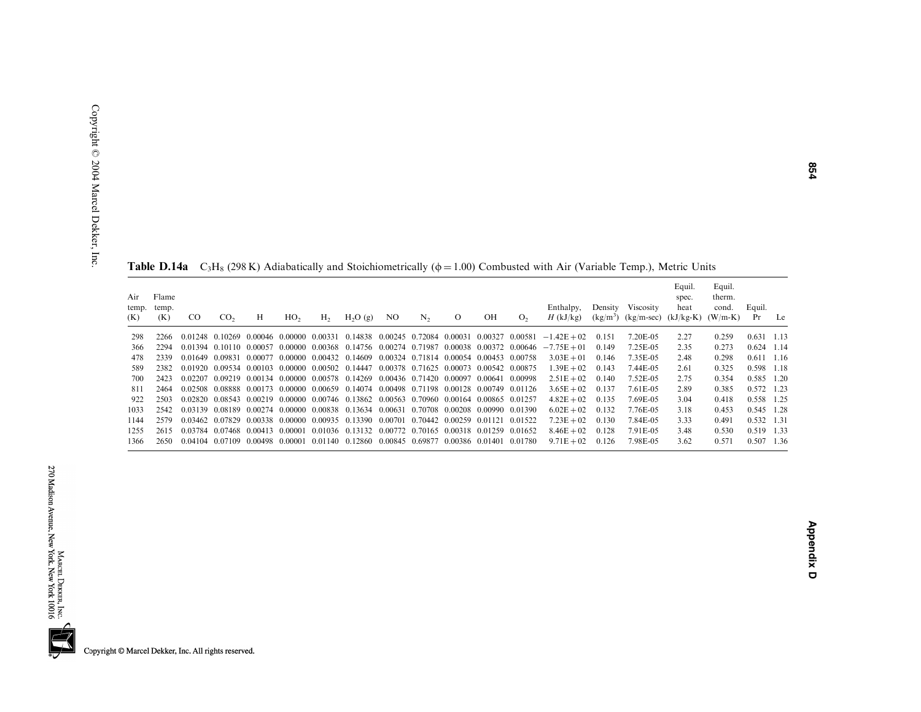| Air<br>(K) | Flame<br>temp. temp.<br>(K) | CO. | CO <sub>2</sub> | Н | HO <sub>2</sub> | $H_2$ | $H_2O(g)$                                                                                                     | NO. | N <sub>2</sub> | $\overline{O}$ | OH | O <sub>2</sub> | Enthalpy,<br>$H$ (kJ/kg)                                                                                                  | Density | Viscosity<br>$(kg/m3)$ (kg/m-sec) (kJ/kg-K) (W/m-K) | Equil.<br>spec.<br>heat | Equil.<br>therm.<br>cond. | Equil.<br>Pr | Le |
|------------|-----------------------------|-----|-----------------|---|-----------------|-------|---------------------------------------------------------------------------------------------------------------|-----|----------------|----------------|----|----------------|---------------------------------------------------------------------------------------------------------------------------|---------|-----------------------------------------------------|-------------------------|---------------------------|--------------|----|
| 298        | 2266                        |     |                 |   |                 |       |                                                                                                               |     |                |                |    |                | $0.01248$ $0.10269$ $0.00046$ $0.00000$ $0.00331$ $0.14838$ $0.00245$ $0.72084$ $0.00031$ $0.00327$ $0.00581$ $-1.42E+02$ | 0.151   | 7.20E-05                                            | 2.27                    | 0.259                     | $0.631$ 1.13 |    |
| 366        | 2294                        |     |                 |   |                 |       |                                                                                                               |     |                |                |    |                | $0.01394$ $0.10110$ $0.00057$ $0.00000$ $0.00368$ $0.14756$ $0.00274$ $0.71987$ $0.00038$ $0.00372$ $0.00646$ $-7.75E+01$ | 0.149   | 7.25E-05                                            | 2.35                    | 0.273                     | $0.624$ 1.14 |    |
| 478        | 2339                        |     |                 |   |                 |       | $0.01649$ $0.09831$ $0.00077$ $0.00000$ $0.00432$ $0.14609$ $0.00324$ $0.71814$ $0.00054$ $0.00453$ $0.00758$ |     |                |                |    |                | $3.03E + 01$                                                                                                              | 0.146   | 7.35E-05                                            | 2.48                    | 0.298                     | $0.611$ 1.16 |    |
| 589        | 2382                        |     |                 |   |                 |       | $0.01920$ $0.09534$ $0.00103$ $0.00000$ $0.00502$ $0.14447$ $0.00378$ $0.71625$ $0.00073$ $0.00542$ $0.00875$ |     |                |                |    |                | $1.39E + 02$                                                                                                              | 0.143   | 7.44E-05                                            | 2.61                    | 0.325                     | 0.598 1.18   |    |
| 700        | 2423                        |     |                 |   |                 |       | $0.02207$ $0.09219$ $0.00134$ $0.00000$ $0.00578$ $0.14269$ $0.00436$ $0.71420$ $0.00097$ $0.00641$ $0.00998$ |     |                |                |    |                | $2.51E + 02$                                                                                                              | 0.140   | 7.52E-05                                            | 2.75                    | 0.354                     | 0.585 1.20   |    |
| 811        | 2464                        |     |                 |   |                 |       | 0.02508 0.08888 0.00173 0.00000 0.00659 0.14074 0.00498 0.71198 0.00128 0.00749 0.01126                       |     |                |                |    |                | $3.65E + 02$                                                                                                              | 0.137   | 7.61E-05                                            | 2.89                    | 0.385                     | 0.572 1.23   |    |
| 922        | 2503                        |     |                 |   |                 |       | 0.02820 0.08543 0.00219 0.00000 0.00746 0.13862 0.00563 0.70960 0.00164 0.00865 0.01257                       |     |                |                |    |                | $4.82E + 02$                                                                                                              | 0.135   | 7.69E-05                                            | 3.04                    | 0.418                     | 0.558 1.25   |    |
| 1033       | 2542                        |     |                 |   |                 |       | $0.03139$ $0.08189$ $0.00274$ $0.00000$ $0.00838$ $0.13634$ $0.00631$ $0.70708$ $0.00208$ $0.00990$ $0.01390$ |     |                |                |    |                | $6.02E + 02$                                                                                                              | 0.132   | 7.76E-05                                            | 3.18                    | 0.453                     | 0.545 1.28   |    |
| 1144       | 2579                        |     |                 |   |                 |       | $0.03462$ $0.07829$ $0.00338$ $0.00000$ $0.00935$ $0.13390$ $0.00701$ $0.70442$ $0.00259$ $0.01121$ $0.01522$ |     |                |                |    |                | $7.23E + 02$                                                                                                              | 0.130   | 7.84E-05                                            | 3.33                    | 0.491                     | 0.532 1.31   |    |
| 1255       | 2615                        |     |                 |   |                 |       | 0.03784 0.07468 0.00413 0.00001 0.01036 0.13132 0.00772 0.70165 0.00318 0.01259 0.01652                       |     |                |                |    |                | $8.46E + 02$                                                                                                              | 0.128   | 7.91E-05                                            | 3.48                    | 0.530                     | 0.519 1.33   |    |
| 1366       | 2650                        |     |                 |   |                 |       | $0.04104$ $0.07109$ $0.00498$ $0.00001$ $0.01140$ $0.12860$ $0.00845$ $0.69877$ $0.00386$ $0.01401$ $0.01780$ |     |                |                |    |                | $9.71E + 02$                                                                                                              | 0.126   | 7.98E-05                                            | 3.62                    | 0.571                     | 0.507 1.36   |    |

**Table D.14a**  $C_3H_8$  (298 K) Adiabatically and Stoichiometrically ( $\phi = 1.00$ ) Combusted with Air (Variable Temp.), Metric Units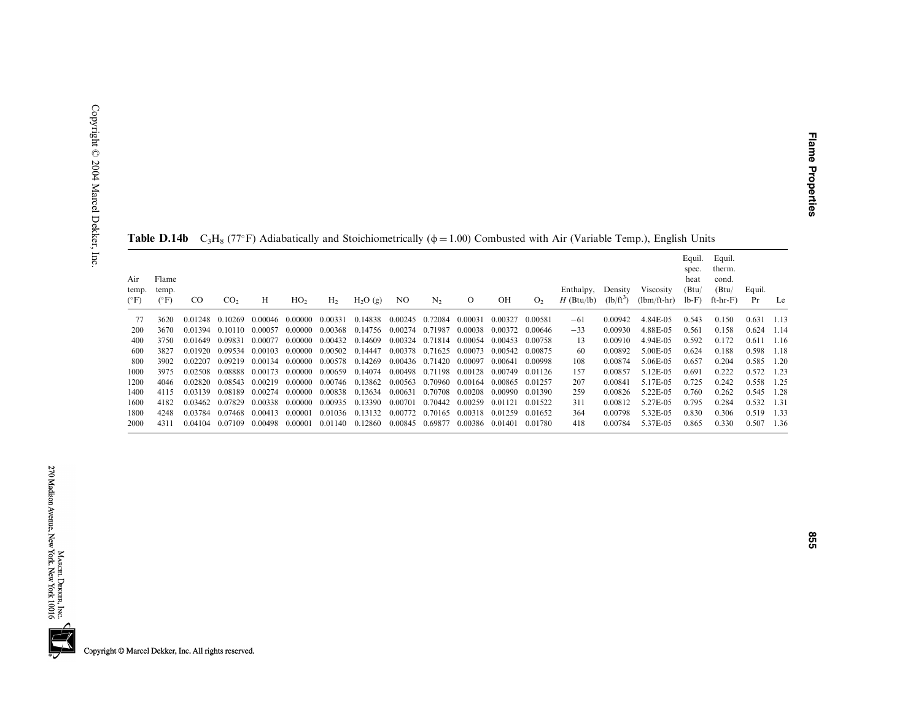|                               |                        |               |                         |         |                 |                |                     |     |                         |                                 |         |                |                           |                        | <b>Table D.140</b> C <sub>3</sub> H <sub>8</sub> (77 F) Adiabatically and Stoichlometrically ( $\phi$ = 1.00) Combusted with Alf (variable Temp.), English Units |                                             |                                                 |              |        |
|-------------------------------|------------------------|---------------|-------------------------|---------|-----------------|----------------|---------------------|-----|-------------------------|---------------------------------|---------|----------------|---------------------------|------------------------|------------------------------------------------------------------------------------------------------------------------------------------------------------------|---------------------------------------------|-------------------------------------------------|--------------|--------|
| Air<br>temp.<br>$(^{\circ}F)$ | Flame<br>temp.<br>(°F) | <sub>CO</sub> | CO <sub>2</sub>         | Н       | HO <sub>2</sub> | H <sub>2</sub> | H <sub>2</sub> O(g) | NO. | N <sub>2</sub>          | $\Omega$                        | OН      | O <sub>2</sub> | Enthalpy,<br>$H$ (Btu/lb) | Density<br>$(lb/ft^3)$ | Viscosity<br>$(lbm/ft-hr)$                                                                                                                                       | Equil.<br>spec.<br>heat<br>(Btu)<br>$lb-F)$ | Equil.<br>therm.<br>cond.<br>(Btu)<br>$ft-hr-F$ | Equil.<br>Pr | Le     |
| 77                            | 3620                   |               | 0.01248 0.10269         |         | 0.00046 0.00000 | 0.00331        | 0.14838             |     | 0.00245 0.72084         | 0.00031                         | 0.00327 | 0.00581        | $-61$                     | 0.00942                | 4.84E-05                                                                                                                                                         | 0.543                                       | 0.150                                           | 0.631        | -1.13  |
| 200                           | 3670                   |               | 0.01394 0.10110         | 0.00057 | 0.00000         |                | 0.00368 0.14756     |     | 0.00274 0.71987         | 0.00038                         | 0.00372 | 0.00646        | $-33$                     | 0.00930                | 4.88E-05                                                                                                                                                         | 0.561                                       | 0.158                                           | 0.624        | 1.14   |
| 400                           | 3750                   | 0.01649       | 0.09831                 | 0.00077 | 0.00000         |                | 0.00432 0.14609     |     |                         | 0.00324 0.71814 0.00054 0.00453 |         | 0.00758        | 13                        | 0.00910                | 4.94E-05                                                                                                                                                         | 0.592                                       | 0.172                                           | 0.611        | 1.16   |
| 600                           | 3827                   |               | 0.01920 0.09534 0.00103 |         | 0.00000         |                | 0.00502 0.14447     |     |                         | 0.00378 0.71625 0.00073         | 0.00542 | 0.00875        | 60                        | 0.00892                | 5.00E-05                                                                                                                                                         | 0.624                                       | 0.188                                           | 0.598        | - 1.18 |
| -800                          | 3902                   | 0.02207       | 0.09219                 | 0.00134 | 0.00000         |                | 0.00578 0.14269     |     |                         | 0.00436 0.71420 0.00097         | 0.00641 | 0.00998        | 108                       | 0.00874                | 5.06E-05                                                                                                                                                         | 0.657                                       | 0.204                                           | 0.585        | 1.20   |
| 1000                          | 3975                   | 0.02508       | 0.08888                 |         | 0.00173 0.00000 |                | 0.00659 0.14074     |     |                         | 0.00498 0.71198 0.00128 0.00749 |         | 0.01126        | 157                       | 0.00857                | 5.12E-05                                                                                                                                                         | 0.691                                       | 0.222                                           | 0.572        | 1.23   |
| 1200                          | 4046                   | 0.02820       | 0.08543                 | 0.00219 | 0.00000         |                | 0.00746 0.13862     |     |                         | 0.00563 0.70960 0.00164         | 0.00865 | 0.01257        | 207                       | 0.00841                | 5.17E-05                                                                                                                                                         | 0.725                                       | 0.242                                           | 0.558        | - 1.25 |
| 1400                          | 4115                   | 0.03139       | 0.08189                 | 0.00274 | 0.00000         | 0.00838        | 0.13634             |     | 0.00631 0.70708         | 0.00208                         | 0.00990 | 0.01390        | 259                       | 0.00826                | 5.22E-05                                                                                                                                                         | 0.760                                       | 0.262                                           | 0.545        | - 1.28 |
| 1600                          | 4182                   | 0.03462       | 0.07829                 | 0.00338 | 0.00000         | 0.00935        | 0.13390             |     | 0.00701 0.70442 0.00259 |                                 | 0.01121 | 0.01522        | 311                       | 0.00812                | 5.27E-05                                                                                                                                                         | 0.795                                       | 0.284                                           | 0.532        | 1.31   |
| 1800                          | 4248                   | 0.03784       | 0.07468                 | 0.00413 | 0.00001         | 0.01036        | 0.13132             |     |                         | 0.00772 0.70165 0.00318         | 0.01259 | 0.01652        | 364                       | 0.00798                | 5.32E-05                                                                                                                                                         | 0.830                                       | 0.306                                           | 0.519        | 1.33   |
| 2000                          | 4311                   | 0.04104       | 0.07109                 |         | 0.00498 0.00001 |                | 0.01140 0.12860     |     |                         | 0.00845 0.69877 0.00386 0.01401 |         | 0.01780        | 418                       | 0.00784                | 5.37E-05                                                                                                                                                         | 0.865                                       | 0.330                                           | 0.507        | 1.36   |

|  |  |  |  |  |  |  | <b>Table D.14b</b> $C_3H_8$ (77°F) Adiabatically and Stoichiometrically ( $\phi = 1.00$ ) Combusted with Air (Variable Temp.), English Units |  |
|--|--|--|--|--|--|--|----------------------------------------------------------------------------------------------------------------------------------------------|--|
|--|--|--|--|--|--|--|----------------------------------------------------------------------------------------------------------------------------------------------|--|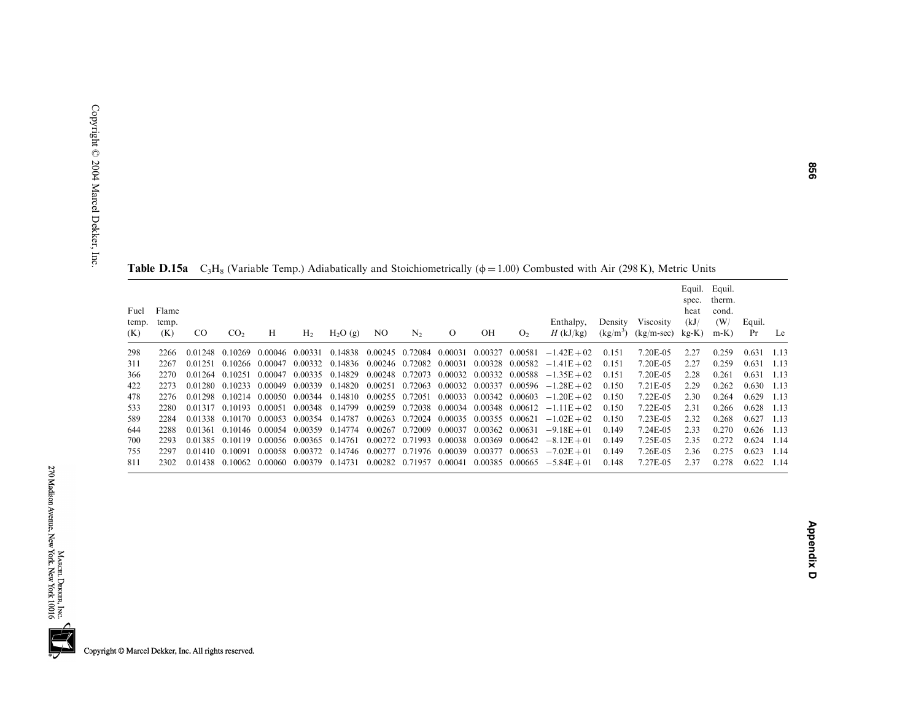**Table D.15a**  $C_3H_8$  (Variable Temp.) Adiabatically and Stoichiometrically ( $\phi$  = 1.00) Combusted with Air (298 K), Metric Units

| Fuel<br>temp.<br>(K) | Flame<br>temp.<br>(K) | <sub>CO</sub> | CO <sub>2</sub> | Н       | H <sub>2</sub>  | $H_2O(g)$                       | NO.     | $N_{2}$                 | $\Omega$ | OН                                      | O <sub>2</sub> | Enthalpy,<br>$H$ (kJ/kg)                                      | Density<br>$(kg/m^3)$ | <b>Viscosity</b><br>$(kg/m-sec)$ | spec.<br>heat<br>(kJ)<br>$kg-K$ ) | Equil. Equil.<br>therm.<br>cond.<br>(W/<br>$m-K$ ) | Equil.<br>Pr | Le   |
|----------------------|-----------------------|---------------|-----------------|---------|-----------------|---------------------------------|---------|-------------------------|----------|-----------------------------------------|----------------|---------------------------------------------------------------|-----------------------|----------------------------------|-----------------------------------|----------------------------------------------------|--------------|------|
| 298                  | 2266                  | 0.01248       | 0.10269         | 0.00046 | 0.00331         | 0.14838 0.00245 0.72084 0.00031 |         |                         |          | 0.00327                                 | 0.00581        | $-1.42E + 02$                                                 | 0.151                 | 7.20E-05                         | 2.27                              | 0.259                                              | 0.631        | 1.13 |
| 311                  | 2267                  | 0.01251       | 0.10266         | 0.00047 | 0.00332         | 0.14836                         |         | 0.00246 0.72082 0.00031 |          | 0.00328 0.00582                         |                | $-1.41E + 02$                                                 | 0.151                 | 7.20E-05                         | 2.27                              | 0.259                                              | 0.631        | 1.13 |
| 366                  | 2270                  | 0.01264       | 0.10251         | 0.00047 |                 | 0.00335 0.14829                 |         |                         |          |                                         |                | $0.00248$ 0.72073 0.00032 0.00332 0.00588 -1.35E + 02         | 0.151                 | 7.20E-05                         | 2.28                              | 0.261                                              | 0.631        | 1.13 |
| 422                  | 2273                  | 0.01280       | 0.10233         | 0.00049 |                 | 0.00339 0.14820                 |         |                         |          |                                         |                | $0.00251$ $0.72063$ $0.00032$ $0.00337$ $0.00596$ $-1.28E+02$ | 0.150                 | 7.21E-05                         | 2.29                              | 0.262                                              | 0.630        | 1.13 |
| 478                  | 2276                  | 0.01298       | 0.10214         | 0.00050 |                 | 0.00344 0.14810                 |         |                         |          |                                         |                | $0.00255$ 0.72051 0.00033 0.00342 0.00603 -1.20E + 02         | 0.150                 | 7.22E-05                         | 2.30                              | 0.264                                              | 0.629        | 1.13 |
| 533                  | 2280                  | 0.01317       | 0.10193         | 0.00051 |                 | 0.00348 0.14799                 |         |                         |          |                                         |                | $0.00259$ $0.72038$ $0.00034$ $0.00348$ $0.00612$ $-1.11E+02$ | 0.150                 | 7.22E-05                         | 2.31                              | 0.266                                              | 0.628        | 1.13 |
| 589                  | 2284                  | 0.01338       | 0.10170         | 0.00053 |                 | 0.00354 0.14787                 |         |                         |          | 0.00263 0.72024 0.00035 0.00355 0.00621 |                | $-1.02E + 02$                                                 | 0.150                 | 7.23E-05                         | 2.32                              | 0.268                                              | 0.627        | 1.13 |
| 644                  | 2288                  | 0.01361       | 0.10146         | 0.00054 | 0.00359         | 0.14774                         | 0.00267 | 0.72009                 | 0.00037  | 0.00362 0.00631                         |                | $-9.18E + 01$                                                 | 0.149                 | 7.24E-05                         | 2.33                              | 0.270                                              | 0.626        | 1.13 |
| 700                  | 2293                  | 0.01385       | 0.10119         | 0.00056 | 0.00365 0.14761 |                                 |         |                         |          | 0.00272 0.71993 0.00038 0.00369         | 0.00642        | $-8.12E + 01$                                                 | 0.149                 | 7.25E-05                         | 2.35                              | 0.272                                              | 0.624        | 1.14 |
| 755                  | 2297                  | 0.01410       | 0.10091         | 0.00058 | 0.00372         | 0.14746                         |         | 0.00277 0.71976 0.00039 |          | 0.00377                                 |                | $0.00653 -7.02E +01$                                          | 0.149                 | 7.26E-05                         | 2.36                              | 0.275                                              | 0.623        | 1.14 |
| 811                  | 2302                  | 0.01438       | 0.10062         | 0.00060 | 0.00379         | 0.14731                         |         | 0.00282 0.71957         | 0.00041  | 0.00385 0.00665                         |                | $-5.84E + 01$                                                 | 0.148                 | 7.27E-05                         | 2.37                              | 0.278                                              | 0.622        | 1.14 |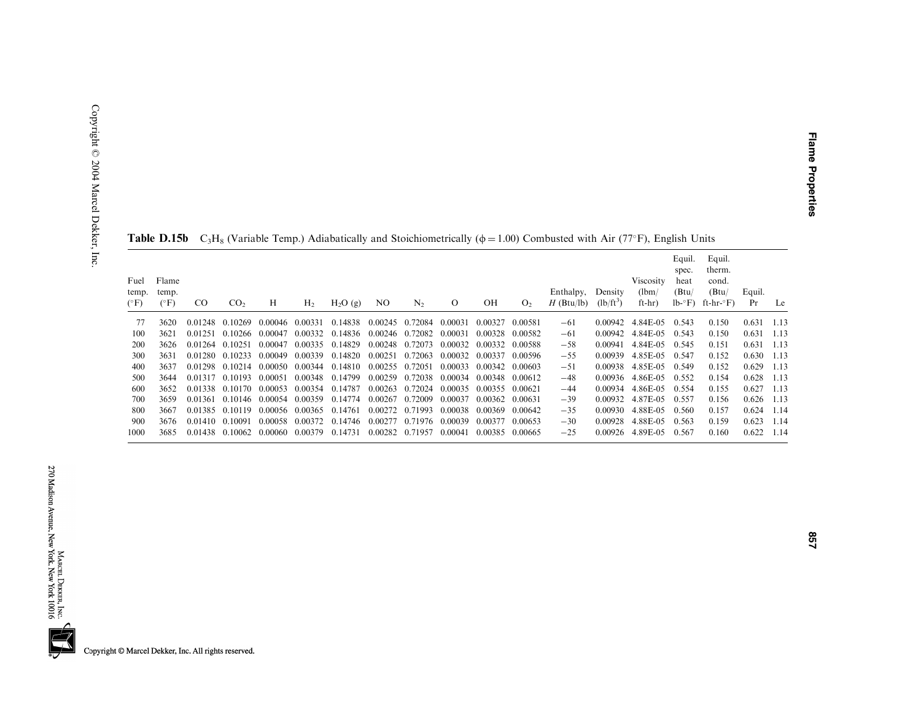|                                |                                |               | $\sim$          |                 |                         |                 |                 |                 |                 |         |                |                           |                        |                              |                                              |                                                             |              |        |
|--------------------------------|--------------------------------|---------------|-----------------|-----------------|-------------------------|-----------------|-----------------|-----------------|-----------------|---------|----------------|---------------------------|------------------------|------------------------------|----------------------------------------------|-------------------------------------------------------------|--------------|--------|
| Fuel<br>temp.<br>$(^{\circ}F)$ | Flame<br>temp.<br>$(^\circ F)$ | <sub>CO</sub> | CO <sub>2</sub> | Н               | H <sub>2</sub>          | $H_2O(g)$       | NO.             | $N_{2}$         | $\Omega$        | OН      | O <sub>2</sub> | Enthalpy,<br>$H$ (Btu/lb) | Density<br>$(lb/ft^3)$ | Viscosity<br>(lbm)<br>ft-hr) | Equil.<br>spec.<br>heat<br>(Btu)<br>$lb - F$ | Equil.<br>therm.<br>cond.<br>(Btu)<br>ft-hr- $\mathrm{F}$ ) | Equil.<br>Pr | Le     |
| 77                             | 3620                           | 0.01248       | 0.10269         | 0.00046 0.00331 |                         | 0.14838         | 0.00245 0.72084 |                 | 0.00031         | 0.00327 | 0.00581        | $-61$                     | 0.00942                | 4.84E-05                     | 0.543                                        | 0.150                                                       | 0.631        | 1.13   |
| 100                            | 3621                           | 0.01251       | 0.10266         | 0.00047         | 0.00332                 | 0.14836         | 0.00246 0.72082 |                 | 0.00031         | 0.00328 | 0.00582        | $-61$                     | 0.00942                | 4.84E-05                     | 0.543                                        | 0.150                                                       | 0.631        | - 1.13 |
| 200                            | 3626                           | 0.01264       | 0.10251         | 0.00047         | 0.00335                 | 0.14829         | 0.00248 0.72073 |                 | 0.00032         | 0.00332 | 0.00588        | $-58$                     | 0.00941                | 4.84E-05                     | 0.545                                        | 0.151                                                       | 0.631        | 1.13   |
| 300                            | 3631                           | 0.01280       | 0.10233         | 0.00049         | 0.00339                 | 0.14820         | 0.00251         | 0.72063         | 0.00032         | 0.00337 | 0.00596        | $-55$                     | 0.00939                | 4.85E-05                     | 0.547                                        | 0.152                                                       | 0.630        | 1.13   |
| 400                            | 3637                           | 0.01298       | 0.10214         | 0.00050         | 0.00344 0.14810         |                 | 0.00255 0.72051 |                 | 0.00033         | 0.00342 | 0.00603        | $-51$                     | 0.00938                | 4.85E-05                     | 0.549                                        | 0.152                                                       | 0.629        | 1.13   |
| 500                            | 3644                           | 0.01317       | 0.10193         | 0.00051         |                         | 0.00348 0.14799 | 0.00259         | 0.72038         | 0.00034 0.00348 |         | 0.00612        | $-48$                     | 0.00936                | 4.86E-05                     | 0.552                                        | 0.154                                                       | 0.628        | -1.13  |
| 600                            | 3652                           | 0.01338       | 0.10170         | 0.00053         | 0.00354                 | 0.14787         |                 | 0.00263 0.72024 | 0.00035         | 0.00355 | 0.00621        | $-44$                     | 0.00934                | 4.86E-05                     | 0.554                                        | 0.155                                                       | 0.627        | - 1.13 |
| 700                            | 3659                           | 0.01361       | 0.10146         | 0.00054 0.00359 |                         | 0.14774         | 0.00267 0.72009 |                 | 0.00037         | 0.00362 | 0.00631        | $-39$                     | 0.00932                | 4.87E-05                     | 0.557                                        | 0.156                                                       | 0.626        | 1.13   |
| 800                            | 3667                           | 0.01385       | 0.10119         |                 | 0.00056 0.00365 0.14761 |                 | 0.00272 0.71993 |                 | 0.00038         | 0.00369 | 0.00642        | $-35$                     | 0.00930                | 4.88E-05                     | 0.560                                        | 0.157                                                       | 0.624        | -1.14  |
| 900                            | 3676                           | 0.01410       | 0.10091         | 0.00058         | 0.00372                 | 0.14746         |                 | 0.00277 0.71976 | 0.00039         | 0.00377 | 0.00653        | $-30$                     | 0.00928                | 4.88E-05                     | 0.563                                        | 0.159                                                       | 0.623        | 1.14   |
| 1000                           | 3685                           | 0.01438       | 0.10062         | 0.00060         | 0.00379                 | 0.14731         | 0.00282 0.71957 |                 | 0.00041         | 0.00385 | 0.00665        | $-25$                     | 0.00926                | 4.89E-05                     | 0.567                                        | 0.160                                                       | 0.622        | 1.14   |

**Table D.15b** C<sub>3</sub>H<sub>8</sub> (Variable Temp.) Adiabatically and Stoichiometrically ( $\phi$  = 1.00) Combusted with Air (77°F), English Units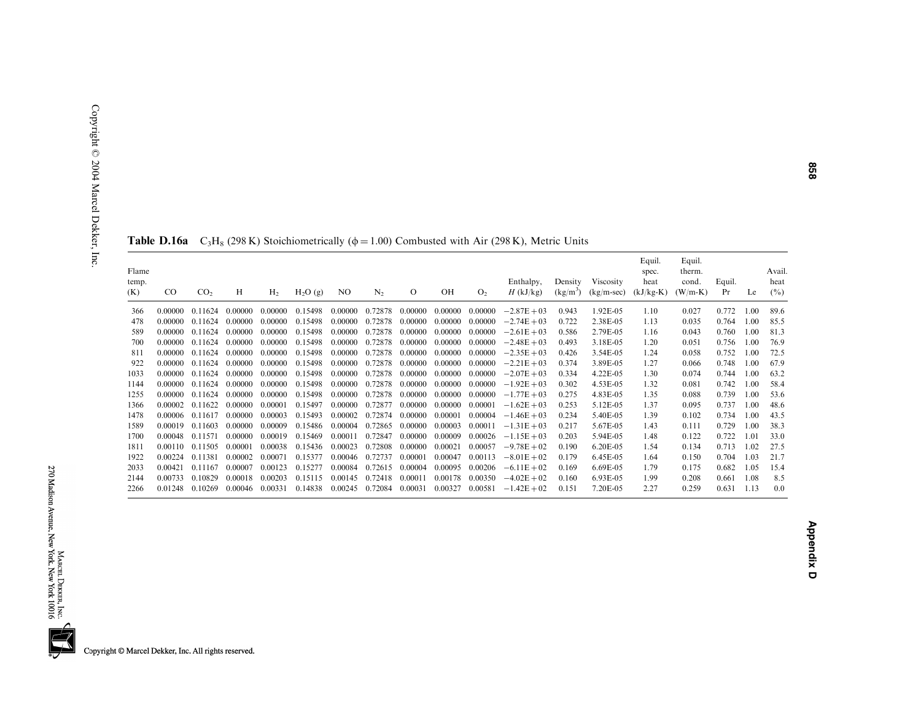| $_{\rm CO}$ | CO <sub>2</sub> | H       | H <sub>2</sub> | $H_2O(g)$ | NO.     | N <sub>2</sub> | $\Omega$ | OН      | O <sub>2</sub> | Enthalpy,<br>$H$ (kJ/kg) | Density<br>$(kg/m^3)$ | Viscosity<br>$(kg/m\text{-}sec)$ | Equil.<br>spec.<br>heat<br>$(kJ/kg-K)$ | Equil.<br>therm.<br>cond.<br>$(W/m-K)$ | Equil.<br>Pr | Le   | Avail.<br>heat<br>$(\%)$ |
|-------------|-----------------|---------|----------------|-----------|---------|----------------|----------|---------|----------------|--------------------------|-----------------------|----------------------------------|----------------------------------------|----------------------------------------|--------------|------|--------------------------|
| 0.00000     | 0.11624         | 0.00000 | 0.00000        | 0.15498   | 0.00000 | 0.72878        | 0.00000  | 0.00000 | 0.00000        | $-2.87E + 03$            | 0.943                 | 1.92E-05                         | 1.10                                   | 0.027                                  | 0.772        | 1.00 | 89.6                     |
| 0.00000     | 0.11624         | 0.00000 | 0.00000        | 0.15498   | 0.00000 | 0.72878        | 0.00000  | 0.00000 | 0.00000        | $-2.74E + 03$            | 0.722                 | 2.38E-05                         | 1.13                                   | 0.035                                  | 0.764        | 1.00 | 85.5                     |
| 0.00000     | 0.11624         | 0.00000 | 0.00000        | 0.15498   | 0.00000 | 0.72878        | 0.00000  | 0.00000 | 0.00000        | $-2.61E + 03$            | 0.586                 | 2.79E-05                         | 1.16                                   | 0.043                                  | 0.760        | 1.00 | 81.3                     |
| 0.00000     | 0.11624         | 0.00000 | 0.00000        | 0.15498   | 0.00000 | 0.72878        | 0.00000  | 0.00000 | 0.00000        | $-2.48E + 03$            | 0.493                 | 3.18E-05                         | 1.20                                   | 0.051                                  | 0.756        | 1.00 | 76.9                     |
| 0.00000     | 0.11624         | 0.00000 | 0.00000        | 0.15498   | 0.00000 | 0.72878        | 0.00000  | 0.00000 | 0.00000        | $-2.35E + 03$            | 0.426                 | 3.54E-05                         | 1.24                                   | 0.058                                  | 0.752        | 1.00 | 72.5                     |
| 0.00000     | 0.11624         | 0.00000 | 0.00000        | 0.15498   | 0.00000 | 0.72878        | 0.00000  | 0.00000 | 0.00000        | $-2.21E + 03$            | 0.374                 | 3.89E-05                         | 1.27                                   | 0.066                                  | 0.748        | 1.00 | 67.9                     |
| 0.00000     | 0.11624         | 0.00000 | 0.00000        | 0.15498   | 0.00000 | 0.72878        | 0.00000  | 0.00000 | 0.00000        | $-2.07E + 03$            | 0.334                 | 4.22E-05                         | 1.30                                   | 0.074                                  | 0.744        | 1.00 | 63.2                     |
| 0.00000     | 0.11624         | 0.00000 | 0.00000        | 0.15498   | 0.00000 | 0.72878        | 0.00000  | 0.00000 | 0.00000        | $-1.92E + 03$            | 0.302                 | 4.53E-05                         | 1.32                                   | 0.081                                  | 0.742        | 1.00 | 58.4                     |
| 0.00000     | 0.11624         | 0.00000 | 0.00000        | 0.15498   | 0,00000 | 0.72878        | 0.00000  | 0.00000 | 0.00000        | $-1.77E + 03$            | 0.275                 | 4.83E-05                         | 1.35                                   | 0.088                                  | 0.739        | 1.00 | 53.6                     |
| 0.00002     | 0.11622         | 0.00000 | 0.00001        | 0.15497   | 0.00000 | 0.72877        | 0.00000  | 0.00000 | 0.00001        | $-1.62E + 03$            | 0.253                 | 5.12E-05                         | 1.37                                   | 0.095                                  | 0.737        | 1.00 | 48.6                     |
| 0.00006     | 0.11617         | 0.00000 | 0.00003        | 0.15493   | 0.00002 | 0.72874        | 0.00000  | 0.00001 | 0.00004        | $-1.46E + 03$            | 0.234                 | 5.40E-05                         | 1.39                                   | 0.102                                  | 0.734        | 1.00 | 43.5                     |
| 0.00019     | 0.11603         | 0.00000 | 0.00009        | 0.15486   | 0.00004 | 0.72865        | 0.00000  | 0.00003 | 0.00011        | $-1.31E + 03$            | 0.217                 | 5.67E-05                         | 1.43                                   | 0.111                                  | 0.729        | 1.00 | 38.3                     |
| 0.00048     | 0.11571         | 0.00000 | 0.00019        | 0.15469   | 0.00011 | 0.72847        | 0.00000  | 0.00009 | 0.00026        | $-1.15E + 03$            | 0.203                 | 5.94E-05                         | 1.48                                   | 0.122                                  | 0.722        | 1.01 | 33.0                     |
| 0.00110     | 0.11505         | 0.00001 | 0.00038        | 0.15436   | 0.00023 | 0.72808        | 0.00000  | 0.00021 | 0.00057        | $-9.78E + 02$            | 0.190                 | 6.20E-05                         | 1.54                                   | 0.134                                  | 0.713        | 1.02 | 27.5                     |
| 0.00224     | 0.11381         | 0.00002 | 0.00071        | 0.15377   | 0.00046 | 0.72737        | 0.00001  | 0.00047 | 0.00113        | $-8.01E + 02$            | 0.179                 | 6.45E-05                         | 1.64                                   | 0.150                                  | 0.704        | 1.03 | 21.7                     |
| 0.00421     | 0.11167         | 0.00007 | 0.00123        | 0.15277   | 0.00084 | 0.72615        | 0.00004  | 0.00095 | 0.00206        | $-6.11E + 02$            | 0.169                 | 6.69E-05                         | 1.79                                   | 0.175                                  | 0.682        | 1.05 | 15.4                     |
| 0.00733     | 0.10829         | 0.00018 | 0.00203        | 0.15115   | 0.00145 | 0.72418        | 0.00011  | 0.00178 | 0.00350        | $-4.02E + 02$            | 0.160                 | 6.93E-05                         | 1.99                                   | 0.208                                  | 0.661        | 1.08 | 8.5                      |
| 0.01248     | 0.10269         | 0.00046 | 0.00331        | 0.14838   | 0.00245 | 0.72084        | 0.00031  | 0.00327 | 0.00581        | $-1.42E + 02$            | 0.151                 | 7.20E-05                         | 2.27                                   | 0.259                                  | 0.631        | 1.13 | 0.0                      |
|             |                 |         |                |           |         |                |          |         |                |                          |                       |                                  |                                        |                                        |              |      |                          |

## **Table D.16a** C<sub>3</sub>H<sub>8</sub> (298 K) Stoichiometrically ( $\phi$  = 1.00) Combusted with Air (298 K), Metric Units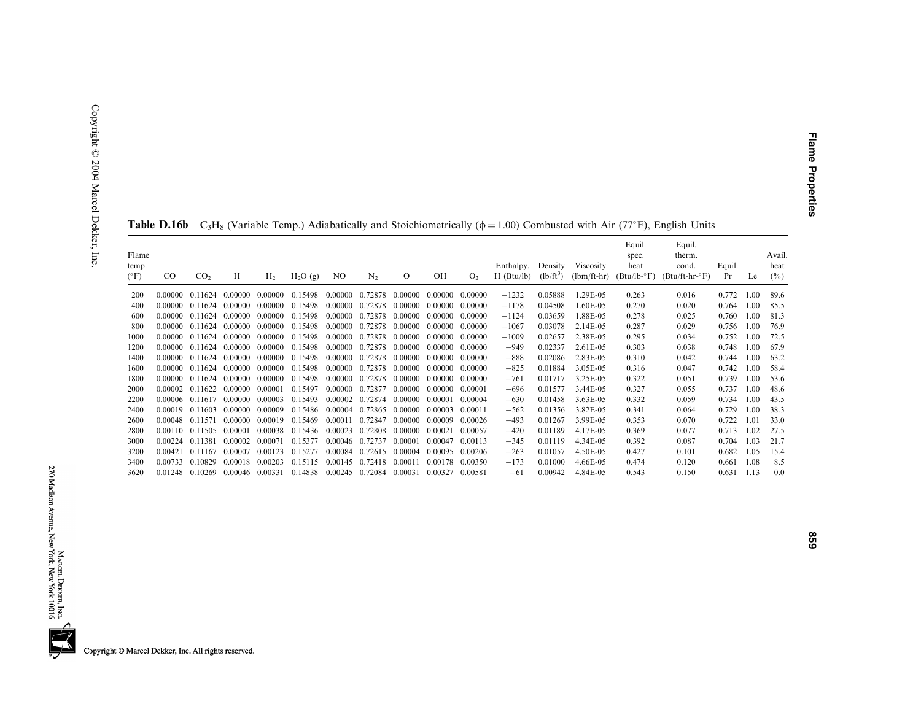| Flame<br>temp.<br>$(^{\circ}F)$ | $_{\rm CO}$ | CO <sub>2</sub> | H        | H <sub>2</sub> | $H_2O(g)$ | NO.     | N <sub>2</sub> | $\circ$ | OH       | O <sub>2</sub> | Enthalpy,<br>$H$ (Btu/lb) | Density<br>$(lb/ft^3)$ | Viscosity<br>$(lbm/ft-hr)$ | Equil.<br>spec.<br>heat<br>$(Btu/lb - F)$ | Equil.<br>therm.<br>cond.<br>$(Btu/ft-hr-oF)$ | Equil.<br>Pr | Le   | Avail<br>heat<br>(%) |
|---------------------------------|-------------|-----------------|----------|----------------|-----------|---------|----------------|---------|----------|----------------|---------------------------|------------------------|----------------------------|-------------------------------------------|-----------------------------------------------|--------------|------|----------------------|
|                                 |             |                 |          |                |           |         |                |         |          |                |                           |                        |                            |                                           |                                               |              |      |                      |
| 200                             | 0.00000     | 0.11624         | 0.00000  | 0.00000        | 0.15498   | 0.00000 | 0.72878        | 0.00000 | 0.00000  | 0.00000        | $-1232$                   | 0.05888                | .29E-05                    | 0.263                                     | 0.016                                         | 0.772        | 1.00 | 89.6                 |
| 400                             | 0.00000     | 0.11624         | 0.00000  | 0.00000        | 0.15498   | 0.00000 | 0.72878        | 0.00000 | 0.00000  | 0.00000        | $-1178$                   | 0.04508                | 1.60E-05                   | 0.270                                     | 0.020                                         | 0.764        | 1.00 | 85.5                 |
| 600                             | 0.00000     | 0.11624         | 0.00000  | 0.00000        | 0.15498   | 0.00000 | 0.72878        | 0.00000 | 0.00000  | 0.00000        | $-1124$                   | 0.03659                | 1.88E-05                   | 0.278                                     | 0.025                                         | 0.760        | 1.00 | 81.3                 |
| 800                             | 0.00000     | 0.11624         | 0.00000  | 0.00000        | 0.15498   | 0.00000 | 0.72878        | 0.00000 | 0.00000  | 0.00000        | $-1067$                   | 0.03078                | 2.14E-05                   | 0.287                                     | 0.029                                         | 0.756        | 1.00 | 76.9                 |
| 1000                            | 0.00000     | 0.11624         | 0.00000  | 0.00000        | 0.15498   | 0.00000 | 0.72878        | 0.00000 | 0.00000  | 0.00000        | $-1009$                   | 0.02657                | 2.38E-05                   | 0.295                                     | 0.034                                         | 0.752        | 1.00 | 72.5                 |
| 1200                            | 0.00000     | 0.11624         | -0-00000 | 0.00000        | 0.15498   | 0.00000 | 0.72878        | 0.00000 | -0-00000 | 0.00000        | $-949$                    | 0.02337                | $2.61E-0.5$                | 0.303                                     | 0.038                                         | 0.748        | 1.00 | 67.9                 |
| 1400                            | 0.00000     | 0.11624         | 0.00000  | 0.00000        | 0.15498   | 0.00000 | 0.72878        | 0.00000 | -0-00000 | 0.00000        | $-888$                    | 0.02086                | 2.83E-05                   | 0.310                                     | 0.042                                         | 0.744        | 1.00 | 63.2                 |
| 1600                            | 0.00000     | 0.11624         | 0.00000  | 0.00000        | 0.15498   | 0.00000 | 0.72878        | 0.00000 | -0-00000 | 0.00000        | $-825$                    | 0.01884                | 3.05E-05                   | 0.316                                     | 0.047                                         | 0.742        | 1.00 | 58.4                 |
| 1800                            | 0.00000     | 0.11624         | 0.00000  | 0.00000        | 0.15498   | 0.00000 | 0.72878        | 0.00000 | 0.00000  | 0.00000        | $-761$                    | 0.01717                | 3.25E-05                   | 0.322                                     | 0.051                                         | 0.739        | 1.00 | 53.6                 |
| 2000                            | 0.00002     | 0.11622         | 0.00000  | 0.00001        | 0.15497   | 0.00000 | 0.72877        | 0.00000 | 0.00000  | 0.00001        | $-696$                    | 0.01577                | 3.44E-05                   | 0.327                                     | 0.055                                         | 0.737        | 1.00 | 48.6                 |
| 2200                            | 0.00006     | 0.11617         | 0.00000  | 0.00003        | 0.15493   | 0.00002 | 0.72874        | 0.00000 | 0.00001  | 0.00004        | $-630$                    | 0.01458                | 3.63E-05                   | 0.332                                     | 0.059                                         | 0.734        | 1.00 | 43.5                 |
| 2400                            | 0.00019     | 0.11603         | 0.00000  | 0.00009        | 0.15486   | 0.00004 | 0.72865        | 0.00000 | 0.00003  | 0.00011        | $-562$                    | 0.01356                | 3.82E-05                   | 0.341                                     | 0.064                                         | 0.729        | 1.00 | 38.3                 |
| 2600                            | 0.00048     | 0.11571         | 0.00000  | 0.00019        | 0.15469   | 0.00011 | 0.72847        | 0.00000 | 0.00009  | 0.00026        | $-493$                    | 0.01267                | 3.99E-05                   | 0.353                                     | 0.070                                         | 0.722        | 1.01 | 33.0                 |
| 2800                            | 0.00110     | 0.11505         | 0.00001  | 0.00038        | 0.15436   | 0.00023 | 0.72808        | 0.00000 | 0.00021  | 0.00057        | $-420$                    | 0.01189                | 4.17E-05                   | 0.369                                     | 0.077                                         | 0.713        | 1.02 | 27.5                 |
| 3000                            | 0.00224     | 0.11381         | 0.00002  | 0.00071        | 0.15377   | 0.00046 | 0.72737        | 0.00001 | 0.00047  | 0.00113        | $-345$                    | 0.01119                | 4.34E-05                   |                                           |                                               | 0.704        | 1.03 | 21.7                 |
|                                 |             |                 |          |                |           |         |                |         |          |                |                           |                        |                            | 0.392                                     | 0.087                                         |              |      |                      |
| 3200                            | 0.00421     | 0.11167         | 0.00007  | 0.00123        | 0.15277   | 0.00084 | 0.72615        | 0.00004 | 0.00095  | 0.00206        | $-263$                    | 0.01057                | 4.50E-05                   | 0.427                                     | 0.101                                         | 0.682        | 1.05 | 15.4                 |
| 3400                            | 0.00733     | 0.10829         | 0.00018  | 0.00203        | 0.15115   | 0.00145 | 0.72418        | 0.00011 | 0.00178  | 0.00350        | $-173$                    | 0.01000                | 4.66E-05                   | 0.474                                     | 0.120                                         | 0.661        | 1.08 | 8.5                  |
| 3620                            | 0.01248     | 0.10269         | 0.00046  | 0.00331        | 0.14838   | 0.00245 | 0.72084        | 0.00031 | 0.00327  | 0.00581        | $-61$                     | 0.00942                | 4.84E-05                   | 0.543                                     | 0.150                                         | 0.631        | 1.13 | 0.0                  |

| <b>Table D.16b</b> C <sub>3</sub> H <sub>8</sub> (Variable Temp.) Adiabatically and Stoichiometrically ( $\phi$ = 1.00) Combusted with Air (77°F), English Units |  |
|------------------------------------------------------------------------------------------------------------------------------------------------------------------|--|
|------------------------------------------------------------------------------------------------------------------------------------------------------------------|--|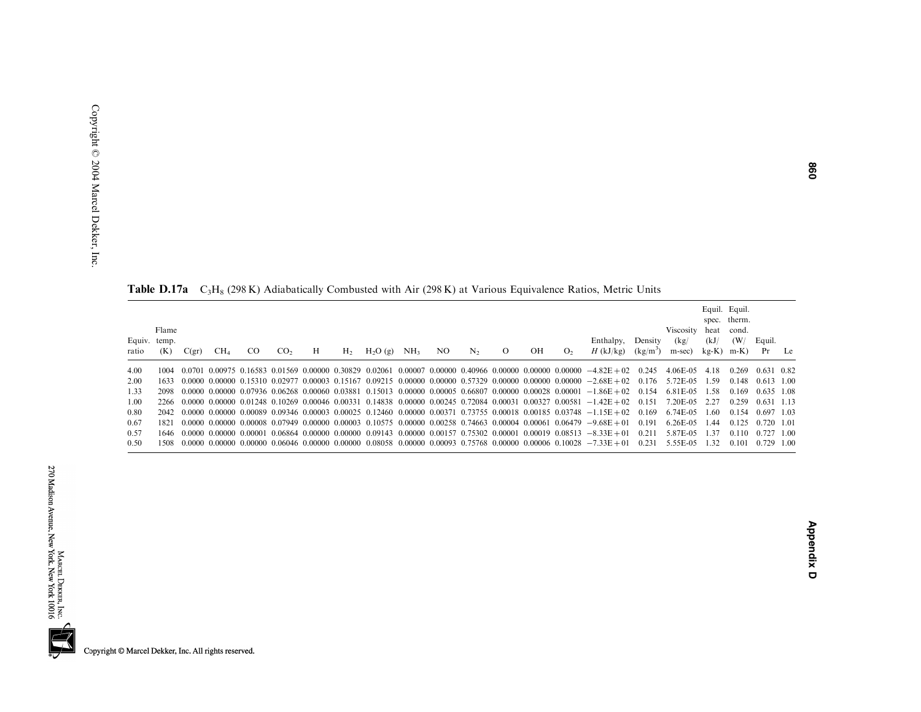| Flame<br>Equiv. temp.<br>Enthalpy.<br>Density<br>OН<br>CO <sub>2</sub><br>H <sub>2</sub> O(g)<br>NH <sub>3</sub><br>NO.<br>$\Omega$<br>$H$ (kJ/kg)<br>CO.<br>Н<br>N <sub>2</sub><br>CH <sub>4</sub><br>$H_{2}$<br>O <sub>2</sub><br>$(kg/m^3)$<br>(K)<br>C(gr)<br>ratio<br>4.00<br>$0.0701$ $0.00975$ $0.16583$ $0.01569$ $0.00000$ $0.30829$ $0.02061$ $0.00007$ $0.00000$ $0.40966$ $0.00000$ $0.00000$ $0.00000$ $-4.82E+02$ $0.245$<br>1004<br>2.00<br>$0.0000$ $0.00000$ $0.15310$ $0.02977$ $0.00003$ $0.15167$ $0.09215$ $0.00000$ $0.00000$ $0.57329$ $0.00000$ $0.00000$ $0.00000$ $-2.68E+02$ $0.176$ $5.72E-05$<br>1633.<br>1.33<br>$0.0000$ $0.00000$ $0.07936$ $0.06268$ $0.00060$ $0.03881$ $0.15013$ $0.00000$ $0.00005$ $0.66807$ $0.00000$ $0.00028$ $0.00001$ $-1.86E+02$ $0.154$<br>2098<br>1.00<br>$0.0000$ $0.00000$ $0.01248$ $0.10269$ $0.00046$ $0.00331$ $0.14838$ $0.00000$ $0.00245$ $0.72084$ $0.00031$ $0.00327$ $0.00581$ $-1.42E+02$ $0.151$<br>2266<br>0.80<br>$2042$ 0.0000 0.00000 0.00089 0.09346 0.00003 0.00025 0.12460 0.00000 0.00371 0.73755 0.00018 0.00185 0.03748 -1.15E+02 0.169<br>0.67<br>$0.0000$ $0.00000$ $0.00008$ $0.07949$ $0.00000$ $0.00003$ $0.10575$ $0.00000$ $0.00258$ $0.74663$ $0.00004$ $0.00061$ $0.06479$ $-9.68E+01$ $0.191$<br>1821<br>0.57<br>$0.0000$ $0.00000$ $0.00001$ $0.06864$ $0.00000$ $0.00000$ $0.09143$ $0.00000$ $0.00157$ $0.75302$ $0.00001$ $0.00019$ $0.08513$ $-8.33E+01$ $0.211$<br>1646 |      |       |  |  |  |  |  |  |  |                                    |                               | Equil. Equil.<br>spec. therm. |                    |  |
|------------------------------------------------------------------------------------------------------------------------------------------------------------------------------------------------------------------------------------------------------------------------------------------------------------------------------------------------------------------------------------------------------------------------------------------------------------------------------------------------------------------------------------------------------------------------------------------------------------------------------------------------------------------------------------------------------------------------------------------------------------------------------------------------------------------------------------------------------------------------------------------------------------------------------------------------------------------------------------------------------------------------------------------------------------------------------------------------------------------------------------------------------------------------------------------------------------------------------------------------------------------------------------------------------------------------------------------------------------------------------------------------------------------------------------------------------------------------------|------|-------|--|--|--|--|--|--|--|------------------------------------|-------------------------------|-------------------------------|--------------------|--|
|                                                                                                                                                                                                                                                                                                                                                                                                                                                                                                                                                                                                                                                                                                                                                                                                                                                                                                                                                                                                                                                                                                                                                                                                                                                                                                                                                                                                                                                                              |      |       |  |  |  |  |  |  |  | <b>Viscosity</b><br>(kg)<br>m-sec) | heat<br>(kJ)<br>$kg-K$ ) m-K) | cond.<br>(W/                  | Equil.<br>Pr Le    |  |
|                                                                                                                                                                                                                                                                                                                                                                                                                                                                                                                                                                                                                                                                                                                                                                                                                                                                                                                                                                                                                                                                                                                                                                                                                                                                                                                                                                                                                                                                              |      |       |  |  |  |  |  |  |  | 4.06E-05                           | 4.18                          | 0.269                         | 0.631 0.82         |  |
|                                                                                                                                                                                                                                                                                                                                                                                                                                                                                                                                                                                                                                                                                                                                                                                                                                                                                                                                                                                                                                                                                                                                                                                                                                                                                                                                                                                                                                                                              |      |       |  |  |  |  |  |  |  |                                    | 1.59                          | 0.148                         | $0.613 \quad 1.00$ |  |
|                                                                                                                                                                                                                                                                                                                                                                                                                                                                                                                                                                                                                                                                                                                                                                                                                                                                                                                                                                                                                                                                                                                                                                                                                                                                                                                                                                                                                                                                              |      |       |  |  |  |  |  |  |  | 6.81E-05                           | 1.58                          | 0.169                         | 0.635 1.08         |  |
|                                                                                                                                                                                                                                                                                                                                                                                                                                                                                                                                                                                                                                                                                                                                                                                                                                                                                                                                                                                                                                                                                                                                                                                                                                                                                                                                                                                                                                                                              |      |       |  |  |  |  |  |  |  | 7.20E-05                           | 2.27                          | 0.259                         | 0.631 1.13         |  |
|                                                                                                                                                                                                                                                                                                                                                                                                                                                                                                                                                                                                                                                                                                                                                                                                                                                                                                                                                                                                                                                                                                                                                                                                                                                                                                                                                                                                                                                                              |      |       |  |  |  |  |  |  |  | 6.74E-05                           | 1.60                          | 0.154                         | 0.697 1.03         |  |
|                                                                                                                                                                                                                                                                                                                                                                                                                                                                                                                                                                                                                                                                                                                                                                                                                                                                                                                                                                                                                                                                                                                                                                                                                                                                                                                                                                                                                                                                              |      |       |  |  |  |  |  |  |  | 6.26E-05                           | 1.44                          | 0.125                         | 0.720 1.01         |  |
|                                                                                                                                                                                                                                                                                                                                                                                                                                                                                                                                                                                                                                                                                                                                                                                                                                                                                                                                                                                                                                                                                                                                                                                                                                                                                                                                                                                                                                                                              |      |       |  |  |  |  |  |  |  | 5.87E-05                           | 1 37                          | 0.110                         | $0.727$ 1.00       |  |
| $0.0000$ $0.00000$ $0.00000$ $0.06046$ $0.00000$ $0.00000$ $0.08058$ $0.00000$ $0.00093$ $0.75768$ $0.00000$ $0.00006$ $0.10028$ $-7.33E+01$ $0.231$                                                                                                                                                                                                                                                                                                                                                                                                                                                                                                                                                                                                                                                                                                                                                                                                                                                                                                                                                                                                                                                                                                                                                                                                                                                                                                                         | 0.50 | 1508. |  |  |  |  |  |  |  | 5.55E-05                           | 1.32                          | 0.101                         | 0.729 1.00         |  |

**Table D.17a**  $C_3H_8$  (298 K) Adiabatically Combusted with Air (298 K) at Various Equivalence Ratios, Metric Units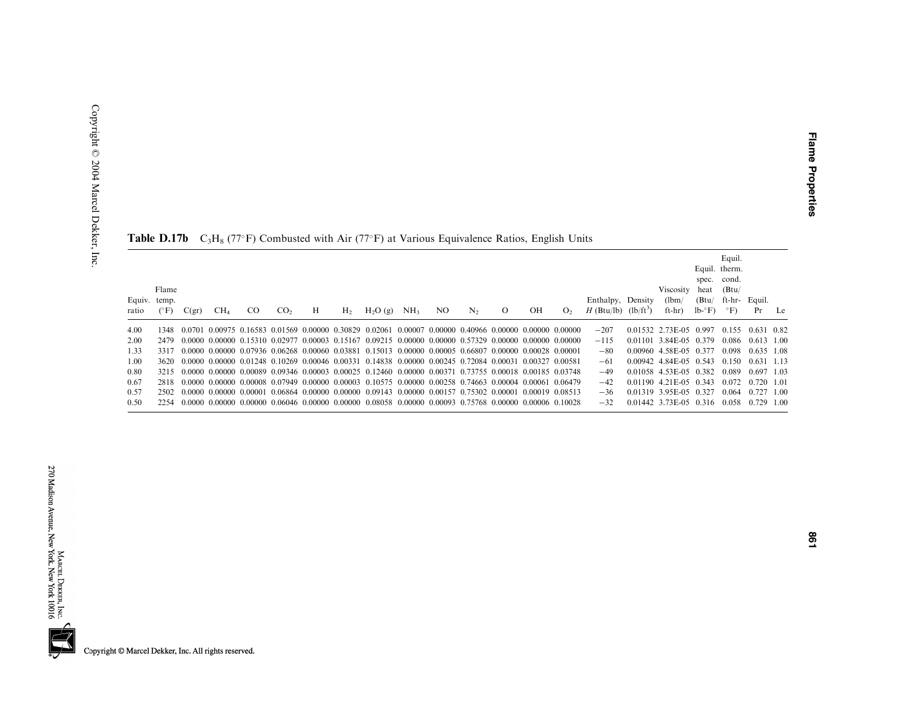| Equiv. temp.<br>ratio | Flame<br>$(^{\circ}F)$ | C(gr) | CH <sub>4</sub> | <sub>CO</sub> | CO <sub>2</sub> | Н | H <sub>2</sub> | $H_2O(g)$                                                                                                                        | NH <sub>3</sub> | NO | N <sub>2</sub> | $\mathbf{O}$ | OН | O <sub>2</sub> | Enthalpy, Density<br>$H$ (Btu/lb) | $(lb/ft^3)$ | Viscosity<br>(lbm)<br>ft-hr) | heat<br>(Btu/<br>$lb - F$ | Equil.<br>Equil. therm.<br>spec. cond.<br>(Btu)<br>ft-hr-<br>$\circ$ F) | Equil.<br>Pr | Le |
|-----------------------|------------------------|-------|-----------------|---------------|-----------------|---|----------------|----------------------------------------------------------------------------------------------------------------------------------|-----------------|----|----------------|--------------|----|----------------|-----------------------------------|-------------|------------------------------|---------------------------|-------------------------------------------------------------------------|--------------|----|
|                       |                        |       |                 |               |                 |   |                |                                                                                                                                  |                 |    |                |              |    |                |                                   |             |                              |                           |                                                                         |              |    |
| 4.00                  | 1348.                  |       |                 |               |                 |   |                | $-0.0701$ 0.00975 0.16583 0.01569 0.00000 0.30829 0.02061 0.00007 0.00000 0.40966 0.00000 0.00000 0.00000                        |                 |    |                |              |    |                | $-207$                            |             | 0.01532 2.73E-05 0.997       |                           | 0.155                                                                   | 0.631 0.82   |    |
| 2.00                  | 2479                   |       |                 |               |                 |   |                | $0.0000$ $0.00000$ $0.15310$ $0.02977$ $0.00003$ $0.15167$ $0.09215$ $0.00000$ $0.00000$ $0.57329$ $0.00000$ $0.00000$ $0.00000$ |                 |    |                |              |    |                | $-115$                            |             | 0.01101 3.84E-05 0.379       |                           | 0.086                                                                   | $0.613$ 1.00 |    |
| 1.33                  | 3317                   |       |                 |               |                 |   |                | $0.0000$ $0.00000$ $0.07936$ $0.06268$ $0.00060$ $0.03881$ $0.15013$ $0.00000$ $0.00005$ $0.66807$ $0.00000$ $0.00028$ $0.00001$ |                 |    |                |              |    |                | $-80$                             |             | 0.00960 4.58E-05 0.377       |                           | 0.098                                                                   | 0.635 1.08   |    |
| 1.00                  | 3620                   |       |                 |               |                 |   |                | $0.0000$ $0.00000$ $0.01248$ $0.10269$ $0.00046$ $0.00331$ $0.14838$ $0.00000$ $0.00245$ $0.72084$ $0.00031$ $0.00327$ $0.00581$ |                 |    |                |              |    |                | $-61$                             |             | $0.00942$ 4.84 E-0.5 0.543   |                           | 0.150                                                                   | $0.631$ 1.13 |    |
| 0.80                  | 3215                   |       |                 |               |                 |   |                | 0.0000 0.00000 0.00089 0.09346 0.00003 0.00025 0.12460 0.00000 0.00371 0.73755 0.00018 0.00185 0.03748                           |                 |    |                |              |    |                | $-49$                             |             | 0.01058 4.53E-05 0.382       |                           | 0.089                                                                   | 0.697 1.03   |    |
| 0.67                  | 2818                   |       |                 |               |                 |   |                | $0.0000$ $0.00000$ $0.00008$ $0.07949$ $0.00000$ $0.00003$ $0.10575$ $0.00000$ $0.00258$ $0.74663$ $0.00004$ $0.00061$ $0.06479$ |                 |    |                |              |    |                | $-42$                             |             | 0.01190 4.21E-05 0.343       |                           | 0.072                                                                   | $0.720$ 1.01 |    |
| 0.57                  | 2502                   |       |                 |               |                 |   |                | $0.0000$ $0.00000$ $0.00001$ $0.06864$ $0.00000$ $0.00000$ $0.09143$ $0.00000$ $0.00157$ $0.75302$ $0.00001$ $0.00019$ $0.08513$ |                 |    |                |              |    |                | $-36$                             |             | 0.01319 3.95E-05 0.327       |                           | 0.064                                                                   | $0.727$ 1.00 |    |
| 0.50                  | 2254                   |       |                 |               |                 |   |                | $0.0000$ $0.00000$ $0.00000$ $0.06046$ $0.00000$ $0.00000$ $0.08058$ $0.00000$ $0.00093$ $0.75768$ $0.00000$ $0.00006$ $0.10028$ |                 |    |                |              |    |                | $-32$                             |             | 0.01442 3.73E-05 0.316       |                           | 0.058                                                                   | $0.729$ 1.00 |    |
|                       |                        |       |                 |               |                 |   |                |                                                                                                                                  |                 |    |                |              |    |                |                                   |             |                              |                           |                                                                         |              |    |

| <b>Table D.17b</b> $C_3H_8$ (77°F) Combusted with Air (77°F) at Various Equivalence Ratios, English Units |  |  |  |  |  |  |  |  |  |
|-----------------------------------------------------------------------------------------------------------|--|--|--|--|--|--|--|--|--|
|-----------------------------------------------------------------------------------------------------------|--|--|--|--|--|--|--|--|--|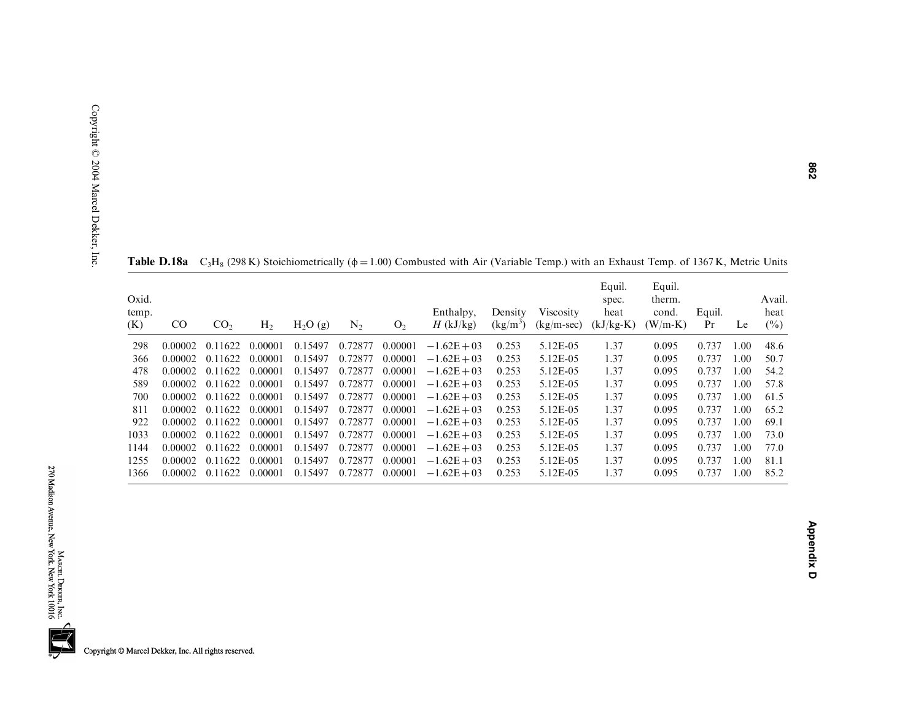| Oxid.<br>temp.<br>(K) | $\rm CO$ | CO <sub>2</sub> | H <sub>2</sub> | $H_2O(g)$ | $N_2$   | O <sub>2</sub> | Enthalpy,<br>$H$ (kJ/kg) | Density<br>$(kg/m^3)$ | Viscosity<br>$(kg/m-sec)$ | Equil.<br>spec.<br>heat<br>$(kJ/kg-K)$ | Equil.<br>therm.<br>cond.<br>$(W/m-K)$ | Equil.<br>Pr | Le   | Avail.<br>heat<br>$(\%)$ |
|-----------------------|----------|-----------------|----------------|-----------|---------|----------------|--------------------------|-----------------------|---------------------------|----------------------------------------|----------------------------------------|--------------|------|--------------------------|
| 298                   | 0.00002  | 0.11622         | 0.00001        | 0.15497   | 0.72877 | 0.00001        | $-1.62E + 03$            | 0.253                 | 5.12E-05                  | 1.37                                   | 0.095                                  | 0.737        | 1.00 | 48.6                     |
| 366                   | 0.00002  | 0.11622         | 0.00001        | 0.15497   | 0.72877 | 0.00001        | $-1.62E + 03$            | 0.253                 | 5.12E-05                  | 1.37                                   | 0.095                                  | 0.737        | 1.00 | 50.7                     |
| 478                   | 0.00002  | 0.11622         | 0.00001        | 0.15497   | 0.72877 | 0.00001        | $-1.62E + 03$            | 0.253                 | 5.12E-05                  | 1.37                                   | 0.095                                  | 0.737        | 1.00 | 54.2                     |
| 589                   | 0.00002  | 0.11622         | 0.00001        | 0.15497   | 0.72877 | 0.00001        | $-1.62E + 03$            | 0.253                 | 5.12E-05                  | 1.37                                   | 0.095                                  | 0.737        | 1.00 | 57.8                     |
| 700                   | 0.00002  | 0.11622         | 0.00001        | 0.15497   | 0.72877 | 0.00001        | $-1.62E + 03$            | 0.253                 | 5.12E-05                  | 1.37                                   | 0.095                                  | 0.737        | 1.00 | 61.5                     |
| 811                   | 0.00002  | 0.11622         | 0.00001        | 0.15497   | 0.72877 | 0.00001        | $-1.62E + 03$            | 0.253                 | 5.12E-05                  | 1.37                                   | 0.095                                  | 0.737        | 1.00 | 65.2                     |
| 922                   | 0.00002  | 0.11622         | 0.00001        | 0.15497   | 0.72877 | 0.00001        | $-1.62E + 03$            | 0.253                 | 5.12E-05                  | 1.37                                   | 0.095                                  | 0.737        | 1.00 | 69.1                     |
| 1033                  | 0.00002  | 0.11622         | 0.00001        | 0.15497   | 0.72877 | 0.00001        | $-1.62E + 03$            | 0.253                 | 5.12E-05                  | 1.37                                   | 0.095                                  | 0.737        | 1.00 | 73.0                     |
| 1144                  | 0.00002  | 0.11622         | 0.00001        | 0.15497   | 0.72877 | 0.00001        | $-1.62E + 03$            | 0.253                 | 5.12E-05                  | 1.37                                   | 0.095                                  | 0.737        | 1.00 | 77.0                     |
| 1255                  | 0.00002  | 0.11622         | 0.00001        | 0.15497   | 0.72877 | 0.00001        | $-1.62E + 03$            | 0.253                 | 5.12E-05                  | 1.37                                   | 0.095                                  | 0.737        | 1.00 | 81.1                     |
| 1366                  | 0.00002  | 0.11622         | 0.00001        | 0.15497   | 0.72877 | 0.00001        | $-1.62E + 03$            | 0.253                 | 5.12E-05                  | 1.37                                   | 0.095                                  | 0.737        | 1.00 | 85.2                     |

**Table D.18a**  $C_3H_8$  (298 K) Stoichiometrically ( $\phi = 1.00$ ) Combusted with Air (Variable Temp.) with an Exhaust Temp. of 1367 K, Metric Units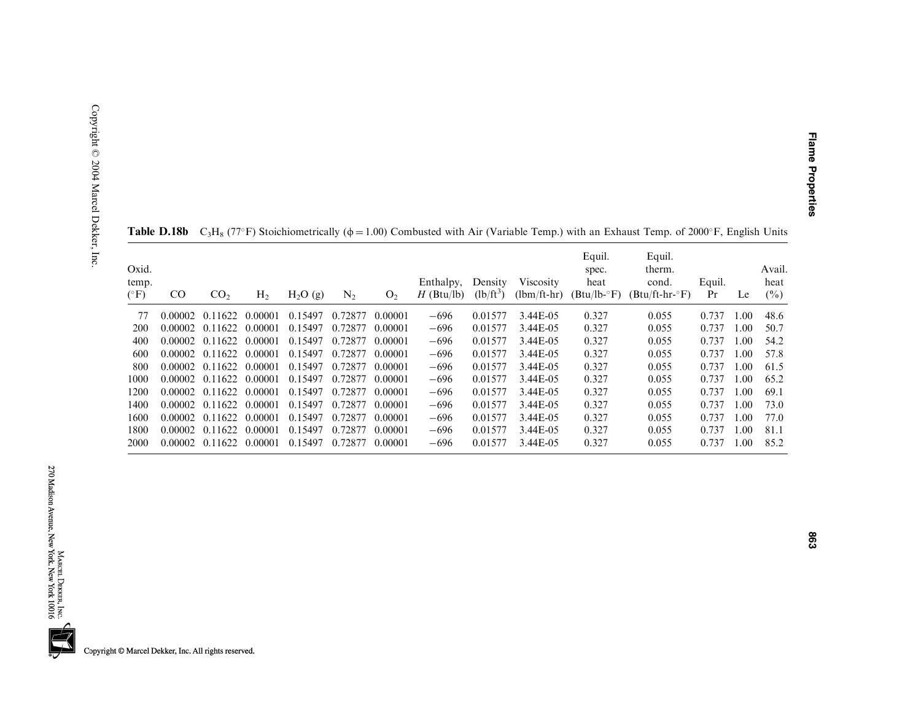| Oxid.<br>temp.<br>$(^\circ F)$ | CO      | CO <sub>2</sub> | H <sub>2</sub> | $H_2O(g)$ | $N_2$   | O <sub>2</sub> | Enthalpy,<br>$H$ (Btu/lb) | Density<br>$(lb/ft^3)$ | Viscosity<br>$(lbm/ft-hr)$ | Equil.<br>spec.<br>heat<br>$(Btu/lb - F)$ | Equil.<br>therm.<br>cond.<br>$(Btu/ft-hr-oF)$ | Equil.<br>Pr | Le   | Avail.<br>heat<br>$(\%)$ |
|--------------------------------|---------|-----------------|----------------|-----------|---------|----------------|---------------------------|------------------------|----------------------------|-------------------------------------------|-----------------------------------------------|--------------|------|--------------------------|
| 77                             | 0.00002 | 0.11622         | 0.00001        | 0.15497   | 0.72877 | 0.00001        | $-696$                    | 0.01577                | 3.44E-05                   | 0.327                                     | 0.055                                         | 0.737        | .00. | 48.6                     |
| 200                            | 0.00002 | 0.11622         | 0.00001        | 0.15497   | 0.72877 | 0.00001        | $-696$                    | 0.01577                | 3.44E-05                   | 0.327                                     | 0.055                                         | 0.737        | 1.00 | 50.7                     |
| 400                            | 0.00002 | 0.11622         | 0.00001        | 0.15497   | 0.72877 | 0.00001        | $-696$                    | 0.01577                | 3.44E-05                   | 0.327                                     | 0.055                                         | 0.737        | 1.00 | 54.2                     |
| 600                            | 0.00002 | 0.11622         | 0.00001        | 0.15497   | 0.72877 | 0.00001        | $-696$                    | 0.01577                | 3.44E-05                   | 0.327                                     | 0.055                                         | 0.737        | 1.00 | 57.8                     |
| 800                            | 0.00002 | 0.11622         | 0.00001        | 0.15497   | 0.72877 | 0.00001        | $-696$                    | 0.01577                | 3.44E-05                   | 0.327                                     | 0.055                                         | 0.737        | 1.00 | 61.5                     |
| 1000                           | 0.00002 | 0.11622         | 0.00001        | 0.15497   | 0.72877 | 0.00001        | $-696$                    | 0.01577                | 3.44E-05                   | 0.327                                     | 0.055                                         | 0.737        | 1.00 | 65.2                     |
| 1200                           | 0.00002 | 0.11622         | 0.00001        | 0.15497   | 0.72877 | 0.00001        | $-696$                    | 0.01577                | 3.44E-05                   | 0.327                                     | 0.055                                         | 0.737        | 1.00 | 69.1                     |
| 1400                           | 0.00002 | 0.11622         | 0.00001        | 0.15497   | 0.72877 | 0.00001        | $-696$                    | 0.01577                | 3.44E-05                   | 0.327                                     | 0.055                                         | 0.737        | 1.00 | 73.0                     |
| 1600                           | 0.00002 | 0.11622         | 0.00001        | 0.15497   | 0.72877 | 0.00001        | $-696$                    | 0.01577                | 3.44E-05                   | 0.327                                     | 0.055                                         | 0.737        | 1.00 | 77.0                     |
| 1800                           | 0.00002 | 0.11622         | 0.00001        | 0.15497   | 0.72877 | 0.00001        | $-696$                    | 0.01577                | 3.44E-05                   | 0.327                                     | 0.055                                         | 0.737        | 1.00 | 81.1                     |
| <b>2000</b>                    | 0.00002 | 0.11622         | 0.00001        | 0.15497   | 0.72877 | 0.00001        | $-696$                    | 0.01577                | 3.44E-05                   | 0.327                                     | 0.055                                         | 0.737        | 1.00 | 85.2                     |

|  |  |  | <b>Table D.18b</b> $C_3H_8$ (77°F) Stoichiometrically ( $\phi = 1.00$ ) Combusted with Air (Variable Temp.) with an Exhaust Temp. of 2000°F, English Units |
|--|--|--|------------------------------------------------------------------------------------------------------------------------------------------------------------|
|  |  |  |                                                                                                                                                            |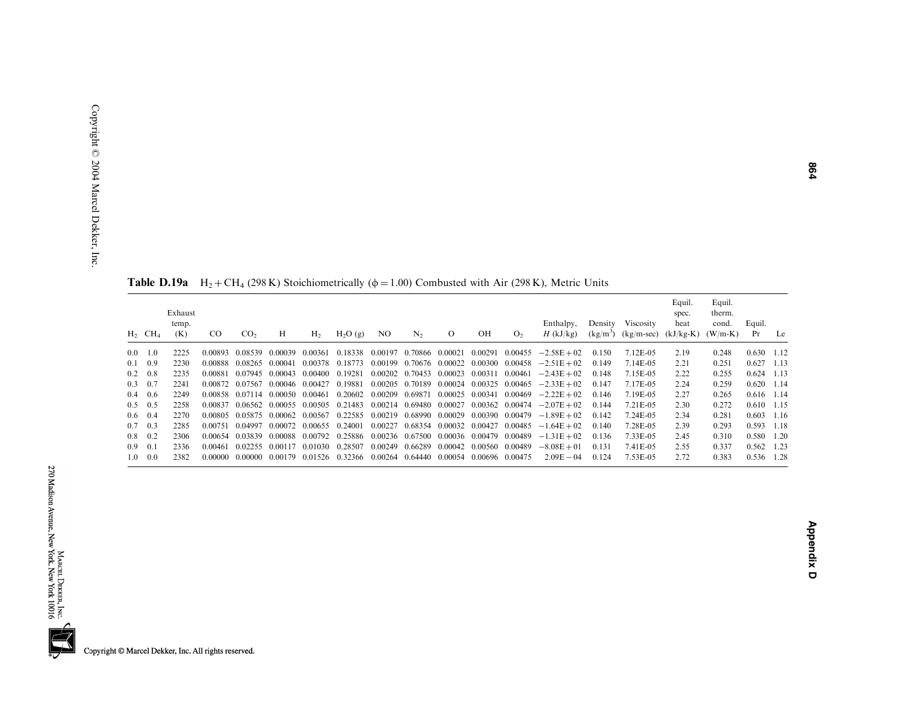|                      | ٠<br>п<br>J.<br>n<br>Ì<br>ī | f |
|----------------------|-----------------------------|---|
|                      |                             |   |
| l                    |                             |   |
|                      |                             |   |
| ֘֒                   |                             |   |
| ֘֒                   |                             |   |
| $\ddot{\phantom{a}}$ |                             |   |
|                      |                             |   |
|                      |                             |   |
| l                    |                             |   |
|                      |                             |   |
| $\ddot{\phantom{a}}$ |                             |   |
|                      |                             |   |
| $\overline{1}$       |                             |   |
|                      |                             |   |

|                 | $H_2$ CH <sub>4</sub> | Exhaust<br>temp.<br>(K) | <sub>CO</sub> | CO <sub>2</sub> | H                       | H <sub>2</sub> | $H_2O(g)$ | NO.             | $N_{2}$                         | $\mathbf{O}$    | OН      | O <sub>2</sub> | Enthalpy,<br>$H$ (kJ/kg)        | Density | Viscosity<br>$(kg/m^3)$ $(kg/m\text{-}sec)$ | Equil.<br>spec.<br>heat<br>$(kJ/kg-K)$ | Equil.<br>therm.<br>cond.<br>$(W/m-K)$ | Equil.<br>Pr       | Le |
|-----------------|-----------------------|-------------------------|---------------|-----------------|-------------------------|----------------|-----------|-----------------|---------------------------------|-----------------|---------|----------------|---------------------------------|---------|---------------------------------------------|----------------------------------------|----------------------------------------|--------------------|----|
|                 | $0.0 \quad 1.0$       | 2225                    | 0.00893       | 0.08539         | 0.00039                 | 0.00361        | 0.18338   | 0.00197         | 0.70866 0.00021                 |                 | 0.00291 |                | $0.00455 -2.58E + 02$           | 0.150   | 7.12E-05                                    | 2.19                                   | 0.248                                  | $0.630$ 1.12       |    |
|                 | $0.1 \quad 0.9$       | 2230                    | 0.00888       | 0.08265         | 0.00041                 | 0.00378        | 0.18773   | 0.00199         | 0.70676 0.00022                 |                 | 0.00300 | 0.00458        | $-2.51E + 02$                   | 0.149   | 7.14E-05                                    | 2.21                                   | 0.251                                  | $0.627$ 1.13       |    |
|                 | $0.2 \quad 0.8$       | 2235                    | 0.00881       | 0.07945         | 0.00043                 | 0.00400        | 0.19281   | 0.00202         | 0.70453                         | 0.00023         | 0.00311 | 0.00461        | $-2.43E + 02$                   | 0.148   | 7.15E-05                                    | 2.22                                   | 0.255                                  | $0.624$ 1.13       |    |
|                 | $0.3 \quad 0.7$       | 2241                    | 0.00872       | 0.07567         | 0.00046 0.00427         |                | 0.19881   | 0.00205         | 0.70189 0.00024                 |                 | 0.00325 | 0.00465        | $-2.33E + 02$                   | 0.147   | 7.17E-05                                    | 2.24                                   | 0.259                                  | $0.620$ 1.14       |    |
|                 | $0.4 \quad 0.6$       | 2249                    | 0.00858       |                 | 0.07114 0.00050 0.00461 |                | 0.20602   | 0.00209         | 0.69871 0.00025                 |                 | 0.00341 |                | $0.00469 -2.22E + 02$           | 0.146   | 7.19E-05                                    | 2.27                                   | 0.265                                  | $0.616$ 1.14       |    |
|                 | $0.5 \quad 0.5$       | 2258                    | 0.00837       |                 | 0.06562 0.00055 0.00505 |                | 0.21483   |                 | 0.00214 0.69480 0.00027         |                 |         |                | $0.00362$ $0.00474$ $-2.07E+02$ | 0.144   | 7.21E-05                                    | 2.30                                   | 0.272                                  | $0.610 \quad 1.15$ |    |
|                 | $0.6 \quad 0.4$       | 2270                    | 0.00805       | 0.05875         | 0.00062                 | 0.00567        | 0.22585   | 0.00219         | 0.68990 0.00029                 |                 | 0.00390 | 0.00479        | $-1.89E + 02$                   | 0.142   | 7.24E-05                                    | 2.34                                   | 0.281                                  | $0.603$ 1.16       |    |
|                 | $0.7 \quad 0.3$       | 2285                    | 0.00751       | 0.04997         | 0.00072                 | 0.00655        | 0.24001   | 0.00227         | 0.68354                         | 0.00032 0.00427 |         | 0.00485        | $-1.64E + 02$                   | 0.140   | 7.28E-05                                    | 2.39                                   | 0.293                                  | 0.593 1.18         |    |
|                 | $0.8 \quad 0.2$       | 2306                    | 0.00654       | 0.03839         | 0.00088                 | 0.00792        | 0.25886   |                 | 0.00236 0.67500 0.00036 0.00479 |                 |         | 0.00489        | $-1.31E + 02$                   | 0.136   | 7.33E-05                                    | 2.45                                   | 0.310                                  | 0.580 1.20         |    |
| $0.9 \quad 0.1$ |                       | 2336                    | 0.00461       | 0.02255         | 0.00117                 | 0.01030        | 0.28507   | 0.00249         | 0.66289 0.00042 0.00560 0.00489 |                 |         |                | $-8.08E + 01$                   | 0.131   | 7.41 E-05                                   | 2.55                                   | 0.337                                  | $0.562$ 1.23       |    |
|                 | $1.0 \quad 0.0$       | 2382                    | 0.00000       | 0.00000         | 0.00179                 | 0.01526        | 0.32366   | 0.00264 0.64440 |                                 | 0.00054         | 0.00696 | 0.00475        | $2.09E - 04$                    | 0.124   | 7.53E-05                                    | 2.72                                   | 0.383                                  | 0.536 1.28         |    |

**Table D.19a**  $H_2 + CH_4$  (298 K) Stoichiometrically ( $\phi = 1.00$ ) Combusted with Air (298 K), Metric Units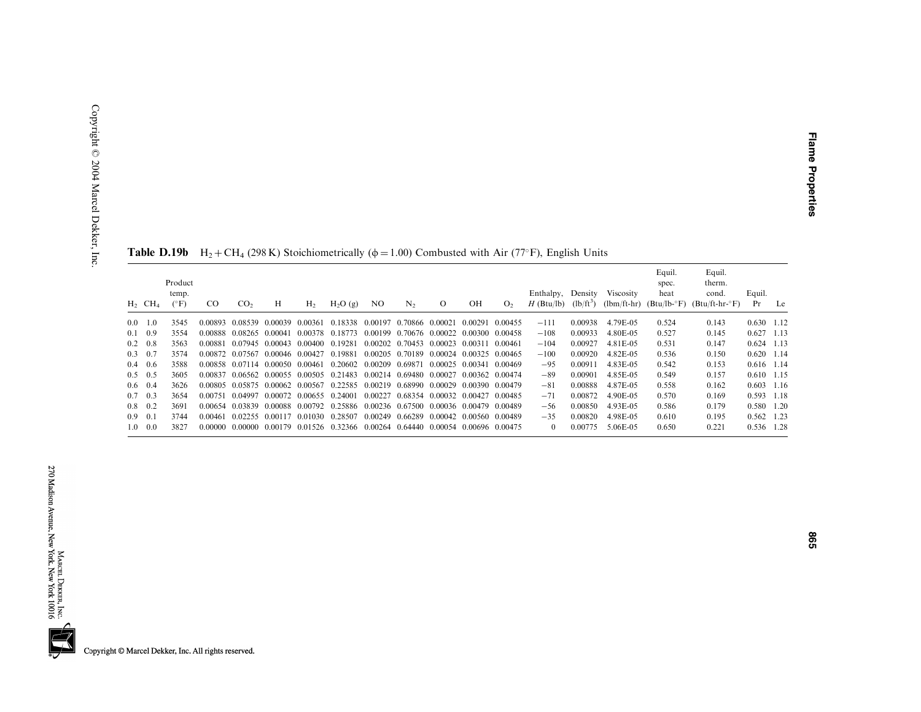|                 | $H_2$ CH <sub>4</sub> | Product<br>temp.<br>$(^{\circ}F)$ | CO.     | CO <sub>2</sub>         | Н                               | H <sub>2</sub> | H <sub>2</sub> O(g)                                                             | NO.             | N <sub>2</sub>                          | $\Omega$ | OН                      | O <sub>2</sub> | Enthalpy,<br>$H$ (Btu/lb) | Density<br>$(lb/ft^3)$ | Viscosity<br>$(lbm/ft-hr)$ | Equil.<br>spec.<br>heat<br>$(Btu/lb - F)$ | Equil.<br>therm.<br>cond.<br>$(Btu/ft-hr-oF)$ | Equil.<br>Pr | Le |
|-----------------|-----------------------|-----------------------------------|---------|-------------------------|---------------------------------|----------------|---------------------------------------------------------------------------------|-----------------|-----------------------------------------|----------|-------------------------|----------------|---------------------------|------------------------|----------------------------|-------------------------------------------|-----------------------------------------------|--------------|----|
| 0.0             | 1.0                   | 3545                              | 0.00893 |                         | 0.08539 0.00039                 | 0.00361        | 0.18338                                                                         | 0.00197         | 0.70866 0.00021                         |          | 0.00291                 | 0.00455        | $-111$                    | 0.00938                | 4.79E-05                   | 0.524                                     | 0.143                                         | $0.630$ 1.12 |    |
|                 | $0.1 \quad 0.9$       | 3554                              |         | 0.00888 0.08265 0.00041 |                                 |                | 0.00378 0.18773                                                                 |                 | 0.00199 0.70676 0.00022 0.00300 0.00458 |          |                         |                | $-108$                    | 0.00933                | 4.80E-05                   | 0.527                                     | 0.145                                         | $0.627$ 1.13 |    |
| 0.2             | 0.8                   | 3563                              | 0.00881 |                         | 0.07945 0.00043 0.00400 0.19281 |                |                                                                                 |                 | 0.00202 0.70453 0.00023                 |          | 0.00311                 | 0.00461        | $-104$                    | 0.00927                | 4.81E-05                   | 0.531                                     | 0.147                                         | $0.624$ 1.13 |    |
| $0.3 \quad 0.7$ |                       | 3574                              |         |                         | 0.00872 0.07567 0.00046 0.00427 |                | 0.19881                                                                         |                 | 0.00205 0.70189                         | 0.00024  | 0.00325 0.00465         |                | $-100$                    | 0.00920                | 4.82E-05                   | 0.536                                     | 0.150                                         | $0.620$ 1.14 |    |
|                 | $0.4\quad 0.6$        | 3588                              |         |                         | 0.00858 0.07114 0.00050 0.00461 |                | 0.20602                                                                         | 0.00209 0.69871 |                                         | 0.00025  | 0.00341                 | 0.00469        | $-95$                     | 0.00911                | 4.83E-05                   | 0.542                                     | 0.153                                         | $0.616$ 1.14 |    |
| $0.5 \quad 0.5$ |                       | 3605                              | 0.00837 |                         |                                 |                | 0.06562 0.00055 0.00505 0.21483                                                 |                 | 0.00214 0.69480 0.00027                 |          | 0.00362 0.00474         |                | $-89$                     | 0.00901                | 4.85E-05                   | 0.549                                     | 0.157                                         | $0.610$ 1.15 |    |
|                 | $0.6 \quad 0.4$       | 3626                              |         |                         |                                 |                | 0.00805 0.05875 0.00062 0.00567 0.22585 0.00219 0.68990 0.00029 0.00390 0.00479 |                 |                                         |          |                         |                | $-81$                     | 0.00888                | 4.87E-05                   | 0.558                                     | 0.162                                         | $0.603$ 1.16 |    |
|                 | $0.7 \quad 0.3$       | 3654                              | 0.00751 |                         | 0.04997 0.00072 0.00655 0.24001 |                |                                                                                 | 0.00227         | 0.68354 0.00032 0.00427 0.00485         |          |                         |                | $-71$                     | 0.00872                | 4.90E-05                   | 0.570                                     | 0.169                                         | 0.593 1.18   |    |
| $0.8 \quad 0.2$ |                       | 3691                              |         |                         |                                 |                | 0.00654 0.03839 0.00088 0.00792 0.25886 0.00236 0.67500 0.00036 0.00479 0.00489 |                 |                                         |          |                         |                | $-56$                     | 0.00850                | 4.93E-05                   | 0.586                                     | 0.179                                         | 0.580 1.20   |    |
| 0.9             | 0.1                   | 3744                              | 0.00461 |                         | 0.02255 0.00117                 |                | 0.01030 0.28507                                                                 | 0.00249         | 0.66289                                 |          | 0.00042 0.00560 0.00489 |                | $-35$                     | 0.00820                | 4.98E-05                   | 0.610                                     | 0.195                                         | $0.562$ 1.23 |    |
|                 | $1.0 \quad 0.0$       | 3827                              |         |                         |                                 |                | 0.00000 0.00000 0.00179 0.01526 0.32366 0.00264 0.64440                         |                 |                                         |          | 0.00054 0.00696 0.00475 |                | $\theta$                  | 0.00775                | 5.06E-05                   | 0.650                                     | 0.221                                         | 0.536 1.28   |    |

**Table D.19b** H<sub>2</sub> + CH<sub>4</sub> (298 K) Stoichiometrically ( $\phi$  = 1.00) Combusted with Air (77°F), English Units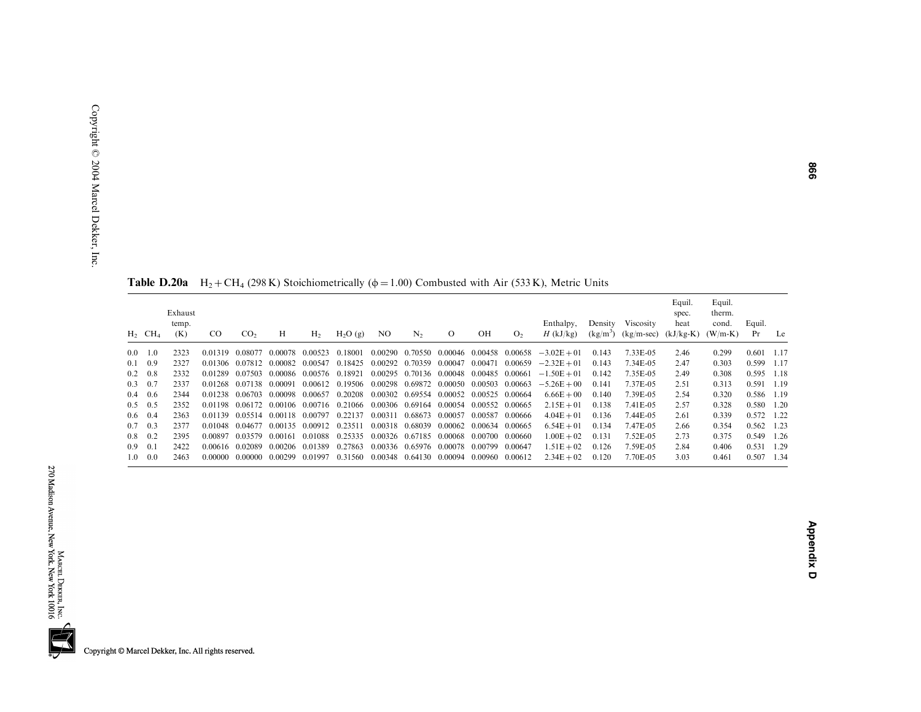**Table D.20a**  $H_2 + CH_4$  (298 K) Stoichiometrically ( $\phi = 1.00$ ) Combusted with Air (533 K), Metric Units

|                 | $H_2$ CH <sub>4</sub> | Exhaust<br>temp.<br>(K) | <sub>CO</sub> | CO <sub>2</sub> | Н                       | H <sub>2</sub>  | H <sub>2</sub> O(g) | NO                      | N <sub>2</sub>          | $\Omega$ | OН      | O <sub>2</sub>                          | Enthalpy,<br>$H$ (kJ/kg) | Density<br>$(kg/m^3)$ | Viscosity<br>$(kg/m\text{-}sec)$ | Equil.<br>spec.<br>heat<br>$(kJ/kg-K)$ | Equil.<br>therm.<br>cond.<br>$(W/m-K)$ | Equil.<br>Pr | Le    |
|-----------------|-----------------------|-------------------------|---------------|-----------------|-------------------------|-----------------|---------------------|-------------------------|-------------------------|----------|---------|-----------------------------------------|--------------------------|-----------------------|----------------------------------|----------------------------------------|----------------------------------------|--------------|-------|
| 0.0             | 1.0                   | 2323                    | 0.01319       | 0.08077         |                         | 0.00078 0.00523 | 0.18001             |                         |                         |          |         | 0.00290 0.70550 0.00046 0.00458 0.00658 | $-3.02E + 01$            | 0.143                 | 7.33E-05                         | 2.46                                   | 0.299                                  | 0.601        | -1.17 |
| 0.1             | 0.9                   | 2327                    | 0.01306       | 0.07812         | 0.00082                 | 0.00547         | 0.18425             |                         | 0.00292 0.70359 0.00047 |          | 0.00471 | 0.00659                                 | $-2.32E + 01$            | 0.143                 | 7.34E-05                         | 2.47                                   | 0.303                                  | 0.599 1.17   |       |
| 0.2             | 0.8                   | 2332                    | 0.01289       | 0.07503         |                         | 0.00086 0.00576 | 0.18921             |                         | 0.00295 0.70136 0.00048 |          | 0.00485 | 0.00661                                 | $-1.50E + 01$            | 0.142                 | 7.35E-05                         | 2.49                                   | 0.308                                  | 0.595        | 1.18  |
| 0.3             | 0.7                   | 2337                    | 0.01268       | 0.07138         | 0.00091                 | 0.00612         | 0.19506             | 0.00298 0.69872 0.00050 |                         |          | 0.00503 | 0.00663                                 | $-5.26E + 00$            | 0.141                 | 7.37E-05                         | 2.51                                   | 0.313                                  | 0.591        | 1.19  |
|                 | $0.4\quad 0.6$        | 2344                    | 0.01238       | 0.06703         | 0.00098 0.00657         |                 | 0.20208             |                         | 0.00302 0.69554 0.00052 |          | 0.00525 | 0.00664                                 | $6.66E + 00$             | 0.140                 | 7.39E-05                         | 2.54                                   | 0.320                                  | 0.586 1.19   |       |
| $0.5 \quad 0.5$ |                       | 2352                    | 0.01198       | 0.06172         |                         | 0.00106 0.00716 | 0.21066             | 0.00306 0.69164 0.00054 |                         |          | 0.00552 | 0.00665                                 | $2.15E + 01$             | 0.138                 | 7.41E-05                         | 2.57                                   | 0.328                                  | 0.580 1.20   |       |
| $0.6 \quad 0.4$ |                       | 2363                    | 0.01139       |                 | 0.05514 0.00118 0.00797 |                 | 0.22137             | 0.00311                 | 0.68673 0.00057         |          | 0.00587 | 0.00666                                 | $4.04E + 01$             | 0.136                 | 7.44E-05                         | 2.61                                   | 0.339                                  | $0.572$ 1.22 |       |
| 0.7             | 0.3                   | 2377                    | 0.01048       | 0.04677         |                         | 0.00135 0.00912 | 0.23511             |                         | 0.00318 0.68039         | 0.00062  | 0.00634 | 0.00665                                 | $6.54E + 01$             | 0.134                 | 7.47E-05                         | 2.66                                   | 0.354                                  | $0.562$ 1.23 |       |
| $0.8 \quad 0.2$ |                       | 2395                    | 0.00897       | 0.03579         | 0.00161                 | 0.01088         | 0.25335             |                         | 0.00326 0.67185 0.00068 |          | 0.00700 | 0.00660                                 | $1.00E + 02$             | 0.131                 | 7.52E-05                         | 2.73                                   | 0.375                                  | 0.549        | 1.26  |
| 0.9             | 0.1                   | 2422                    | 0.00616       | 0.02089         | 0.00206                 | 0.01389         | 0.27863             |                         | 0.00336 0.65976 0.00078 |          | 0.00799 | 0.00647                                 | $1.51E + 02$             | 0.126                 | 7.59E-05                         | 2.84                                   | 0.406                                  | 0.531        | 1.29  |
| 1.0             | 0.0                   | 2463                    | 0.00000       | 0.00000         | 0.00299                 | 0.01997         | 0.31560             | 0.00348                 | 0.64130                 | 0.00094  | 0.00960 | 0.00612                                 | $2.34E + 02$             | 0.120                 | 7.70E-05                         | 3.03                                   | 0.461                                  | 0.507        | 1.34  |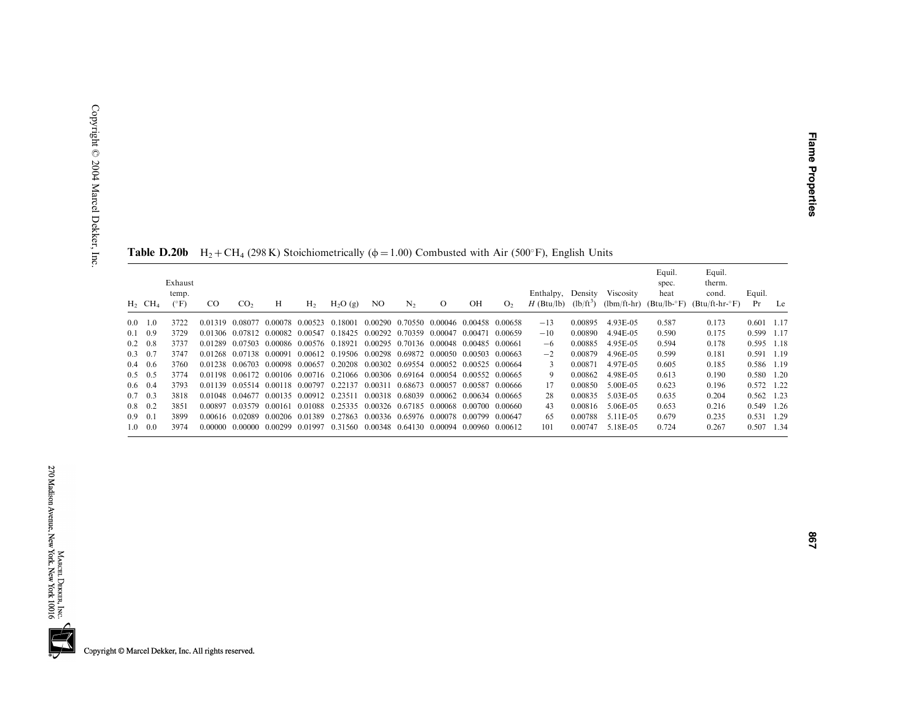|     | $H_2$ CH <sub>4</sub> | Exhaust<br>temp.<br>$(^{\circ}F)$ | CO.     | CO <sub>2</sub>                 | Н                       | H <sub>2</sub>  | $H_2O(g)$                                                                       | NO.                     | N <sub>2</sub>          | $\Omega$ | OН                      | O <sub>2</sub> | Enthalpy,<br>$H$ (Btu/lb) | Density<br>$(lb/ft^3)$ | Viscosity<br>$(lbm/ft-hr)$ | Equil.<br>spec.<br>heat<br>$(Btu/lb - F)$ | Equil.<br>therm.<br>cond.<br>$(Btu/ft-hr\cdot^{\circ}F)$ | Equil.<br>Pr | Le   |
|-----|-----------------------|-----------------------------------|---------|---------------------------------|-------------------------|-----------------|---------------------------------------------------------------------------------|-------------------------|-------------------------|----------|-------------------------|----------------|---------------------------|------------------------|----------------------------|-------------------------------------------|----------------------------------------------------------|--------------|------|
| 0.0 | 1.0                   | 3722                              | 0.01319 | 0.08077                         |                         | 0.00078 0.00523 | 0.18001                                                                         |                         | 0.00290 0.70550         | 0.00046  | 0.00458 0.00658         |                | $-13$                     | 0.00895                | 4.93E-05                   | 0.587                                     | 0.173                                                    | 0.601        | 1.17 |
|     | $0.1 \quad 0.9$       | 3729                              |         | 0.01306 0.07812 0.00082 0.00547 |                         |                 | 0.18425 0.00292 0.70359                                                         |                         |                         | 0.00047  | 0.00471                 | 0.00659        | $-10$                     | 0.00890                | 4.94E-05                   | 0.590                                     | 0.175                                                    | 0.599 1.17   |      |
|     | $0.2 \quad 0.8$       | 3737                              | 0.01289 | 0.07503 0.00086 0.00576 0.18921 |                         |                 |                                                                                 |                         | 0.00295 0.70136 0.00048 |          | 0.00485 0.00661         |                | $-6$                      | 0.00885                | 4.95E-05                   | 0.594                                     | 0.178                                                    | 0.595 1.18   |      |
|     | $0.3 \quad 0.7$       | 3747                              |         | 0.01268 0.07138 0.00091         |                         |                 | 0.00612 0.19506 0.00298 0.69872                                                 |                         |                         | 0.00050  | 0.00503 0.00663         |                | $-2$                      | 0.00879                | 4.96E-05                   | 0.599                                     | 0.181                                                    | 0.591 1.19   |      |
|     | $0.4\quad 0.6$        | 3760                              |         | 0.01238 0.06703                 | 0.00098 0.00657         |                 | 0.20208                                                                         | 0.00302 0.69554         |                         | 0.00052  | 0.00525 0.00664         |                | $\mathcal{L}$             | 0.00871                | 4.97E-05                   | 0.605                                     | 0.185                                                    | 0.586 1.19   |      |
|     | $0.5 \quad 0.5$       | 3774                              |         |                                 |                         |                 | 0.01198 0.06172 0.00106 0.00716 0.21066 0.00306 0.69164 0.00054 0.00552 0.00665 |                         |                         |          |                         |                | 9                         | 0.00862                | 4.98E-05                   | 0.613                                     | 0.190                                                    | 0.580 1.20   |      |
|     | $0.6 \quad 0.4$       | 3793                              | 0.01139 |                                 |                         |                 | 0.05514 0.00118 0.00797 0.22137                                                 |                         | 0.00311 0.68673 0.00057 |          | 0.00587 0.00666         |                | 17                        | 0.00850                | 5.00E-05                   | 0.623                                     | 0.196                                                    | 0.572 1.22   |      |
|     | $0.7 \quad 0.3$       | 3818                              |         | 0.01048 0.04677                 | 0.00135 0.00912 0.23511 |                 |                                                                                 |                         | 0.00318 0.68039         |          | 0.00062 0.00634 0.00665 |                | 28                        | 0.00835                | 5.03E-05                   | 0.635                                     | 0.204                                                    | $0.562$ 1.23 |      |
|     | $0.8 \quad 0.2$       | 3851                              | 0.00897 | 0.03579                         |                         |                 | 0.00161 0.01088 0.25335 0.00326 0.67185 0.00068 0.00700 0.00660                 |                         |                         |          |                         |                | 43                        | 0.00816                | 5.06E-05                   | 0.653                                     | 0.216                                                    | 0.549 1.26   |      |
|     | $0.9 \quad 0.1$       | 3899                              |         | 0.00616 0.02089                 | 0.00206 0.01389         |                 | 0.27863                                                                         | 0.00336 0.65976 0.00078 |                         |          | 0.00799 0.00647         |                | 65                        | 0.00788                | 5.11E-05                   | 0.679                                     | 0.235                                                    | 0.531 1.29   |      |
|     | $1.0 \quad 0.0$       | 3974                              | 0.00000 | 0.00000                         | 0.00299 0.01997         |                 | 0.31560 0.00348 0.64130                                                         |                         |                         |          | 0.00094 0.00960 0.00612 |                | 101                       | 0.00747                | 5.18E-05                   | 0.724                                     | 0.267                                                    | 0.507 1.34   |      |

**Table D.20b** H<sub>2</sub> + CH<sub>4</sub> (298 K) Stoichiometrically ( $\phi$  = 1.00) Combusted with Air (500°F), English Units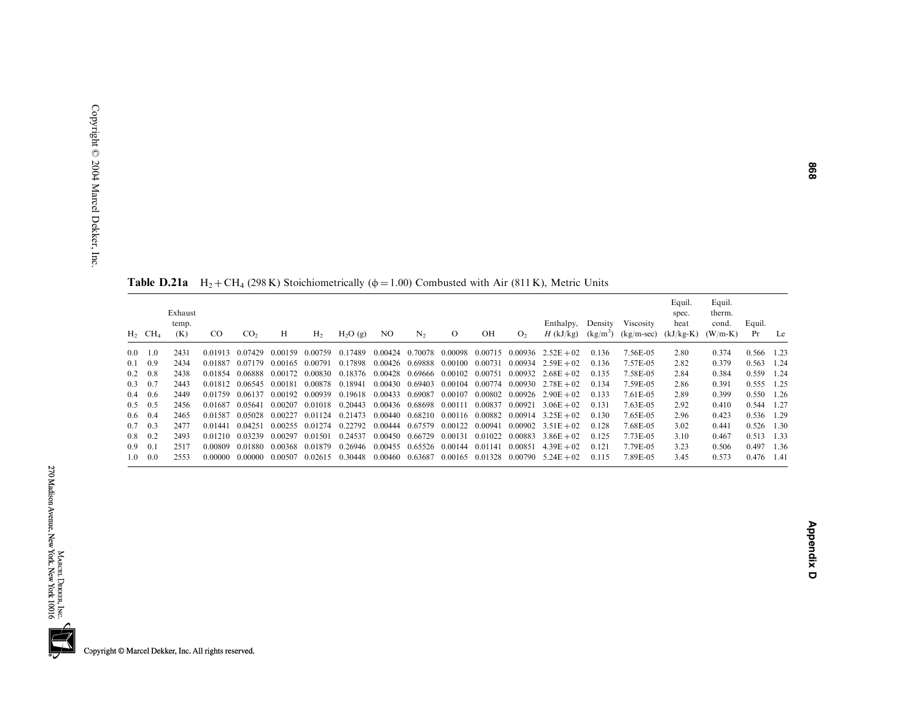|                  | $H_2$ CH <sub>4</sub> | Exhaust<br>temp.<br>(K) | CO.     | CO <sub>2</sub> | Н       | H <sub>2</sub>  | $H_2O(g)$ | NO.             | $\mathbf{N}_2$  | $\mathbf{O}$                    | OН              | O <sub>2</sub> | Enthalpy, Density Viscosity<br>$H$ (kJ/kg) | $(kg/m^3)$ | $(kg/m\text{-}sec)$ | Equil.<br>spec.<br>heat<br>$(kJ/kg-K)$ | Equil.<br>therm.<br>cond.<br>$(W/m-K)$ | Equil.<br>Pr | Le |
|------------------|-----------------------|-------------------------|---------|-----------------|---------|-----------------|-----------|-----------------|-----------------|---------------------------------|-----------------|----------------|--------------------------------------------|------------|---------------------|----------------------------------------|----------------------------------------|--------------|----|
| $0.0 \quad 1.0$  |                       | 2431                    | 0.01913 | 0.07429         | 0.00159 | 0.00759         | 0.17489   |                 | 0.00424 0.70078 | 0.00098                         | 0.00715         |                | $0.00936$ $2.52E + 02$                     | 0.136      | 7.56E-05            | 2.80                                   | 0.374                                  | 0.566 1.23   |    |
| $0.1 \quad 0.9$  |                       | 2434                    | 0.01887 | 0.07179         | 0.00165 | 0.00791         | 0.17898   |                 | 0.00426 0.69888 | 0.00100                         | 0.00731         |                | $0.00934$ $2.59E + 02$                     | 0.136      | 7.57E-05            | 2.82                                   | 0.379                                  | $0.563$ 1.24 |    |
| $0.2 \quad 0.8$  |                       | 2438                    | 0.01854 | 0.06888         | 0.00172 | 0.00830         | 0.18376   | 0.00428         | 0.69666         | 0.00102                         | 0.00751         | 0.00932        | $2.68E + 02$                               | 0.135      | 7.58E-05            | 2.84                                   | 0.384                                  | 0.559 1.24   |    |
| $0.3 \quad 0.7$  |                       | 2443                    | 0.01812 | 0.06545         | 0.00181 | 0.00878         | 0.18941   | 0.00430         | 0.69403         |                                 | 0.00104 0.00774 | 0.00930        | $2.78E + 02$                               | 0.134      | 7.59E-05            | 2.86                                   | 0.391                                  | 0.555 1.25   |    |
| $0.4\quad 0.6$   |                       | 2449                    | 0.01759 | 0.06137         |         | 0.00192 0.00939 | 0.19618   | 0.00433 0.69087 |                 | 0.00107                         | 0.00802         | 0.00926        | $2.90E + 02$                               | 0.133      | 7.61E-05            | 2.89                                   | 0.399                                  | 0.550 1.26   |    |
| $0.5 \quad 0.5$  |                       | 2456                    | 0.01687 | 0.05641         | 0.00207 | 0.01018         | 0.20443   |                 | 0.00436 0.68698 | 0.00111                         | 0.00837         | 0.00921        | $3.06E + 02$                               | 0.131      | 7.63E-05            | 2.92                                   | 0.410                                  | 0.544 1.27   |    |
| $0.6 \quad 0.4$  |                       | 2465                    | 0.01587 | 0.05028         | 0.00227 | 0.01124         | 0.21473   | 0.00440         | 0.68210         | 0.00116 0.00882                 |                 | 0.00914        | $3.25E + 02$                               | 0.130      | 7.65E-05            | 2.96                                   | 0.423                                  | 0.536 1.29   |    |
| $0.7 \quad 0.3$  |                       | 2477                    | 0.01441 | 0.04251         | 0.00255 | 0.01274         | 0.22792   |                 | 0.00444 0.67579 | 0.00122                         | 0.00941         |                | $0.00902 \quad 3.51E + 02$                 | 0.128      | 7.68E-05            | 3.02                                   | 0.441                                  | $0.526$ 1.30 |    |
| $0.8 \quad 0.2$  |                       | 2493                    | 0.01210 | 0.03239         | 0.00297 | 0.01501         | 0.24537   |                 | 0.00450 0.66729 | 0.00131                         | 0.01022         | 0.00883        | $3.86E + 02$                               | 0.125      | 7.73E-05            | 3.10                                   | 0.467                                  | $0.513$ 1.33 |    |
| 0.9 <sup>°</sup> | 0.1                   | 2517                    | 0.00809 | 0.01880         | 0.00368 | 0.01879         | 0.26946   |                 |                 | 0.00455 0.65526 0.00144 0.01141 |                 | 0.00851        | $4.39E + 02$                               | 0.121      | 7.79E-05            | 3.23                                   | 0.506                                  | 0.497 1.36   |    |
| 1.0              | 0.0                   | 2553                    | 0.00000 | 0.00000         | 0.00507 | 0.02615         | 0.30448   | 0.00460         | 0.63687         |                                 | 0.00165 0.01328 |                | $0.00790 \quad 5.24E + 02$                 | 0.115      | 7.89E-05            | 3.45                                   | 0.573                                  | 0.476 1.41   |    |

**Table D.21a**  $H_2 + CH_4$  (298 K) Stoichiometrically ( $\phi = 1.00$ ) Combusted with Air (811 K), Metric Units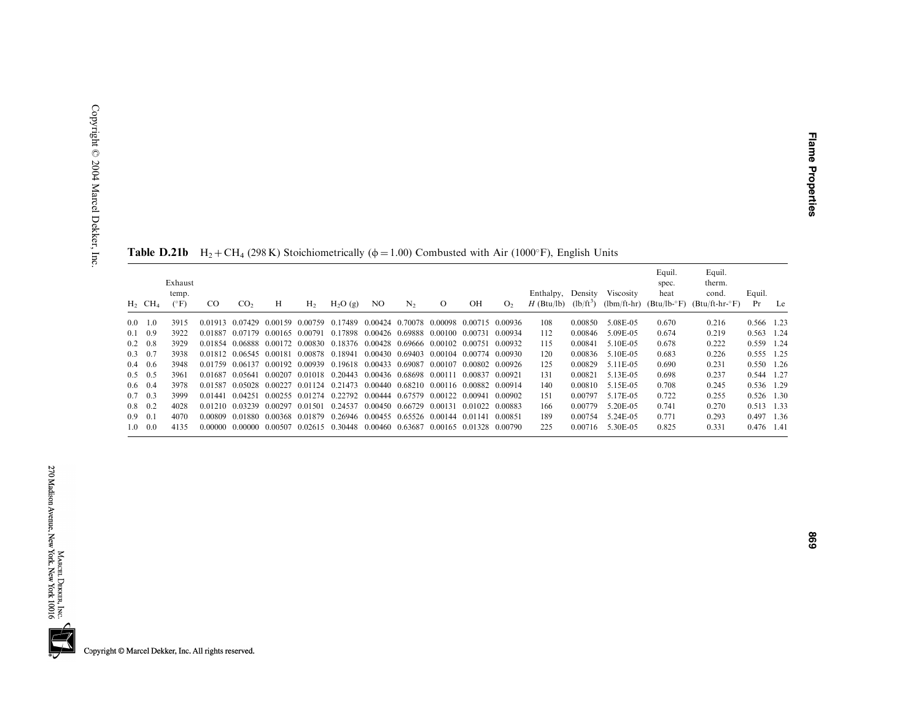|               |                       | Table D.21b                       |               |                 |                                 |                |           |                 |         |                                                 |    |                | $H_2 + CH_4$ (298 K) Stoichiometrically ( $\phi = 1.00$ ) Combusted with Air (1000°F), English Units |                        |                            |                                           |                                               |              |      |
|---------------|-----------------------|-----------------------------------|---------------|-----------------|---------------------------------|----------------|-----------|-----------------|---------|-------------------------------------------------|----|----------------|------------------------------------------------------------------------------------------------------|------------------------|----------------------------|-------------------------------------------|-----------------------------------------------|--------------|------|
|               | $H_2$ CH <sub>4</sub> | Exhaust<br>temp.<br>$(^{\circ}F)$ | <sub>CO</sub> | CO <sub>2</sub> | H                               | H <sub>2</sub> | $H_2O(g)$ | N <sub>O</sub>  | $N_2$   | $\circ$                                         | OH | O <sub>2</sub> | Enthalpy,<br>$H$ (Btu/lb)                                                                            | Density<br>$(lb/ft^3)$ | Viscosity<br>$(lbm/ft-hr)$ | Equil.<br>spec.<br>heat<br>$(Btu/lb - F)$ | Equil.<br>therm.<br>cond.<br>$(Btu/ft-hr-oF)$ | Equil.<br>Pr | Le   |
| 0.0           | 1.0                   | 3915                              |               | 0.01913 0.07429 | 0.00159                         | 0.00759        | 0.17489   | 0.00424         | 0.70078 | 0.00098 0.00715 0.00936                         |    |                | 108                                                                                                  | 0.00850                | 5.08E-05                   | 0.670                                     | 0.216                                         | 0.566 1.23   |      |
| 0.1           | 0.9                   | 3922                              |               | 0.01887 0.07179 | 0.00165 0.00791                 |                | 0.17898   |                 |         | 0.00426 0.69888 0.00100 0.00731                 |    | 0.00934        | 112                                                                                                  | 0.00846                | 5.09E-05                   | 0.674                                     | 0.219                                         | 0.563        | 1.24 |
| 0.2           | 0.8                   | 3929                              |               |                 | 0.01854 0.06888 0.00172 0.00830 |                | 0.18376   |                 |         | 0.00428 0.69666 0.00102 0.00751 0.00932         |    |                | 115                                                                                                  | 0.00841                | 5.10E-05                   | 0.678                                     | 0.222                                         | 0.559        | 1.24 |
| 0.3           | 0.7                   | 3938                              |               |                 | 0.01812 0.06545 0.00181 0.00878 |                | 0.18941   | 0.00430 0.69403 |         | 0.00104 0.00774                                 |    | 0.00930        | 120                                                                                                  | 0.00836                | 5.10E-05                   | 0.683                                     | 0.226                                         | 0.555 1.25   |      |
| 0.4           | 0.6                   | 3948                              |               |                 | 0.01759 0.06137 0.00192 0.00939 |                | 0.19618   | 0.00433 0.69087 |         | 0.00107 0.00802                                 |    | 0.00926        | 125                                                                                                  | 0.00829                | 5.11E-05                   | 0.690                                     | 0.231                                         | 0.550        | 1.26 |
| $0.5^{\circ}$ | 0.5                   | 3961                              |               |                 | 0.01687 0.05641 0.00207 0.01018 |                | 0.20443   |                 |         | 0.00436 0.68698 0.00111 0.00837                 |    | 0.00921        | 131                                                                                                  | 0.00821                | 5.13E-05                   | 0.698                                     | 0.237                                         | 0.544 1.27   |      |
|               | $0.6 \quad 0.4$       | 3978                              | 0.01587       |                 | 0.05028 0.00227                 | 0.01124        | 0.21473   |                 |         | 0.00440 0.68210 0.00116 0.00882 0.00914         |    |                | 140                                                                                                  | 0.00810                | 5.15E-05                   | 0.708                                     | 0.245                                         | 0.536 1.29   |      |
| 0.7           | 0.3                   | 3999                              | 0.01441       | 0.04251         | 0.00255 0.01274                 |                | 0.22792   |                 |         | 0.00444 0.67579 0.00122 0.00941                 |    | 0.00902        | 151                                                                                                  | 0.00797                | 5.17E-05                   | 0.722                                     | 0.255                                         | 0.526        | 1.30 |
| 0.8           | 0.2                   | 4028                              |               | 0.01210 0.03239 | 0.00297 0.01501                 |                | 0.24537   |                 |         | 0.00450 0.66729 0.00131 0.01022 0.00883         |    |                | 166                                                                                                  | 0.00779                | 5.20E-05                   | 0.741                                     | 0.270                                         | 0.513        | 1.33 |
|               |                       |                                   |               |                 | 0.00368 0.01879                 |                |           |                 |         | 0.26946 0.00455 0.65526 0.00144 0.01141 0.00851 |    |                | 189                                                                                                  | 0.00754                | 5.24E-05                   | 0.771                                     | 0.293                                         | 0.497 1.36   |      |
| 0.9<br>1.0    | 0.1<br>0.0            | 4070<br>4135                      |               | 0.00809 0.01880 | 0.00000 0.00000 0.00507 0.02615 |                | 0.30448   |                 |         | 0.00460 0.63687 0.00165 0.01328 0.00790         |    |                | 225                                                                                                  | 0.00716                | 5.30E-05                   | 0.825                                     | 0.331                                         | 0.476 1.41   |      |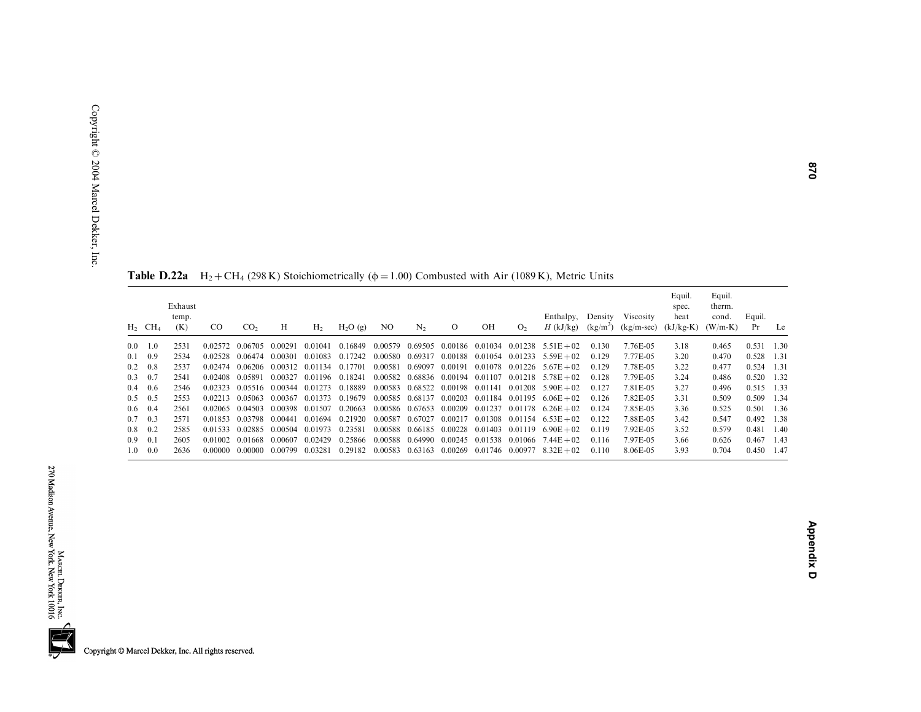|                  | $H_2$ CH <sub>4</sub> | Exhaust<br>temp.<br>(K) | CO.     | CO <sub>2</sub> | Н                       | H <sub>2</sub>  | $H_2O(g)$ | NO      | N <sub>2</sub>  | $\Omega$                                | OH              | O <sub>2</sub> | Enthalpy, Density<br>$H$ (kJ/kg)         | $(kg/m^3)$ | Viscosity<br>$(kg/m-sec)$ | Equil.<br>spec.<br>heat<br>$(kJ/kg-K)$ | Equil.<br>therm.<br>cond.<br>$(W/m-K)$ | Equil.<br>Pr | Le    |
|------------------|-----------------------|-------------------------|---------|-----------------|-------------------------|-----------------|-----------|---------|-----------------|-----------------------------------------|-----------------|----------------|------------------------------------------|------------|---------------------------|----------------------------------------|----------------------------------------|--------------|-------|
|                  | $0.0 \quad 1.0$       | 2531                    | 0.02572 | 0.06705         | 0.00291                 | 0.01041         | 0.16849   |         | 0.00579 0.69505 |                                         |                 |                | $0.00186$ $0.01034$ $0.01238$ $5.51E+02$ | 0.130      | 7.76E-05                  | 3.18                                   | 0.465                                  | 0.531        | 1.30  |
|                  | $0.1 \quad 0.9$       | 2534                    | 0.02528 | 0.06474         | 0.00301                 | 0.01083         | 0.17242   | 0.00580 | 0.69317         | 0.00188                                 | 0.01054         | 0.01233        | $5.59E + 02$                             | 0.129      | 7.77E-05                  | 3.20                                   | 0.470                                  | 0.528        | 1.31  |
|                  | $0.2 \quad 0.8$       | 2537                    |         | 0.02474 0.06206 |                         | 0.00312 0.01134 | 0.17701   | 0.00581 | 0.69097         | 0.00191                                 |                 |                | $0.01078$ $0.01226$ $5.67E + 02$         | 0.129      | 7.78E-05                  | 3.22                                   | 0.477                                  | 0.524        | 1.31  |
|                  | $0.3 \quad 0.7$       | 2541                    | 0.02408 | 0.05891         | 0.00327                 | 0.01196         | 0.18241   | 0.00582 |                 | 0.68836 0.00194 0.01107                 |                 |                | $0.01218$ $5.78E + 02$                   | 0.128      | 7.79E-05                  | 3.24                                   | 0.486                                  | 0.520        | 1.32  |
|                  | $0.4\quad 0.6$        | 2546                    | 0.02323 |                 | 0.05516 0.00344 0.01273 |                 | 0.18889   | 0.00583 | 0.68522         | 0.00198 0.01141                         |                 |                | $0.01208$ 5.90 E + 02                    | 0.127      | 7.81E-05                  | 3.27                                   | 0.496                                  | 0.515        | 1.33  |
|                  | $0.5 \quad 0.5$       | 2553                    | 0.02213 | 0.05063         | 0.00367                 | 0.01373         | 0.19679   | 0.00585 | 0.68137         | 0.00203                                 | 0.01184         | 0.01195        | $6.06E + 02$                             | 0.126      | 7.82E-05                  | 3.31                                   | 0.509                                  | 0.509        | 1.34  |
|                  | $0.6 \quad 0.4$       | 2561                    | 0.02065 | 0.04503         | 0.00398                 | 0.01507         | 0.20663   |         | 0.00586 0.67653 | 0.00209 0.01237                         |                 | 0.01178        | $6.26E + 02$                             | 0.124      | 7.85E-05                  | 3.36                                   | 0.525                                  | 0.501        | 1.36  |
|                  | $0.7 \quad 0.3$       | 2571                    | 0.01853 | 0.03798         | 0.00441                 | 0.01694         | 0.21920   | 0.00587 | 0.67027         |                                         |                 |                | $0.00217$ $0.01308$ $0.01154$ $6.53E+02$ | 0.122      | 7.88E-05                  | 3.42                                   | 0.547                                  | 0.492        | 1.38  |
|                  | $0.8 \quad 0.2$       | 2585                    | 0.01533 | 0.02885         | 0.00504                 | 0.01973         | 0.23581   |         |                 | 0.00588 0.66185 0.00228 0.01403 0.01119 |                 |                | $6.90E + 02$                             | 0.119      | 7.92E-05                  | 3.52                                   | 0.579                                  | 0.481        | -1.40 |
| 0.9 <sub>z</sub> | 0.1                   | 2605                    | 0.01002 | 0.01668         | 0.00607                 | 0.02429         | 0.25866   | 0.00588 | 0.64990         |                                         | 0.00245 0.01538 | 0.01066        | $7.44E + 02$                             | 0.116      | 7.97E-05                  | 3.66                                   | 0.626                                  | 0.467        | 1.43  |
| 1.0              | 0.0                   | 2636                    | 0.00000 | 0.00000         | 0.00799                 | 0.03281         | 0.29182   | 0.00583 | 0.63163         | 0.00269                                 | 0.01746 0.00977 |                | $8.32E + 02$                             | 0.110      | 8.06E-05                  | 3.93                                   | 0.704                                  | 0.450        | 1.47  |

**Table D.22a**  $H_2 + CH_4$  (298 K) Stoichiometrically ( $\phi = 1.00$ ) Combusted with Air (1089 K), Metric Units